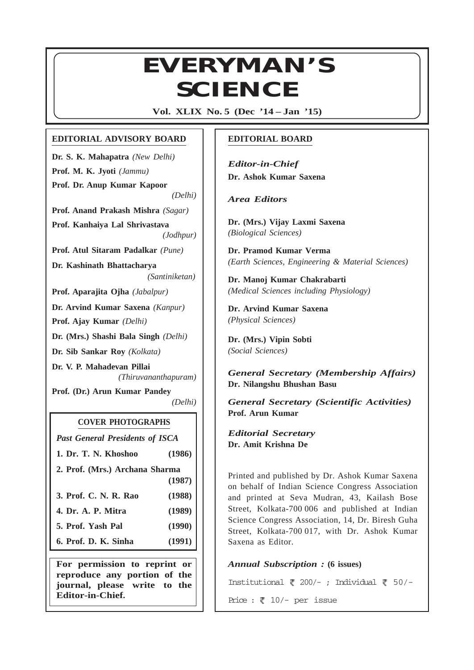### $1 \cdot 8$  $11$ 3345678880123456789012345678901234567890123456789012345678901234567890123456789012345678901234567890123456789012345678901234567890123456789012345678901234567890123456789012345678901234567890123456789012345678901234567  $\begin{matrix} \begin{matrix} \begin{matrix} \mathbb{N} & \mathbb{N} \end{matrix} & \mathbb{N} \end{matrix} & \mathbb{N} \end{matrix} & \mathbb{N} \end{matrix} & \mathbb{N} \end{matrix} & \mathbb{N} \end{matrix} & \mathbb{N} \end{matrix} & \mathbb{N} \end{matrix} \end{matrix}$ **SCIENCE**

12345678901234567890123456789012123456789012345678901234567890121234567890123456789012345678

**Vol. XLIX No. 5 (Dec '14 – Jan '15)**

#### **EDITORIAL ADVISORY BOARD**

**Dr. S. K. Mahapatra** *(New Delhi)* **Prof. M. K. Jyoti** *(Jammu)* **Prof. Dr. Anup Kumar Kapoor** *(Delhi)* **Prof. Anand Prakash Mishra** *(Sagar)*

**Prof. Kanhaiya Lal Shrivastava** *(Jodhpur)*

**Prof. Atul Sitaram Padalkar** *(Pune)*

**Dr. Kashinath Bhattacharya**

*(Santiniketan)*

**Prof. Aparajita Ojha** *(Jabalpur)*

**Dr. Arvind Kumar Saxena** *(Kanpur)*

**Prof. Ajay Kumar** *(Delhi)*

**Dr. (Mrs.) Shashi Bala Singh** *(Delhi)*

**Dr. Sib Sankar Roy** *(Kolkata)*

**Dr. V. P. Mahadevan Pillai** *(Thiruvananthapuram)*

**Prof. (Dr.) Arun Kumar Pandey** *(Delhi)*

### **COVER PHOTOGRAPHS**

*Past General Presidents of ISCA*

**1. Dr. T. N. Khoshoo (1986)**

- **2. Prof. (Mrs.) Archana Sharma (1987)**
- **3. Prof. C. N. R. Rao (1988)**
- **4. Dr. A. P. Mitra (1989)**
- **5. Prof. Yash Pal (1990)**

**6. Prof. D. K. Sinha (1991)**

**For permission to reprint or reproduce any portion of the journal, please write to the Editor-in-Chief.**

#### **EDITORIAL BOARD**

*Editor-in-Chief* **Dr. Ashok Kumar Saxena**

#### *Area Editors*

**Dr. (Mrs.) Vijay Laxmi Saxena** *(Biological Sciences)*

**Dr. Pramod Kumar Verma** *(Earth Sciences, Engineering & Material Sciences)*

**Dr. Manoj Kumar Chakrabarti** *(Medical Sciences including Physiology)*

**Dr. Arvind Kumar Saxena** *(Physical Sciences)*

**Dr. (Mrs.) Vipin Sobti** *(Social Sciences)*

*General Secretary (Membership Affairs)* **Dr. Nilangshu Bhushan Basu**

*General Secretary (Scientific Activities)* **Prof. Arun Kumar**

*Editorial Secretary* **Dr. Amit Krishna De**

Printed and published by Dr. Ashok Kumar Saxena on behalf of Indian Science Congress Association and printed at Seva Mudran, 43, Kailash Bose Street, Kolkata-700 006 and published at Indian Science Congress Association, 14, Dr. Biresh Guha Street, Kolkata-700 017, with Dr. Ashok Kumar Saxena as Editor.

*Annual Subscription :* **(6 issues)**

Institutional  $\sqrt{200/-}$ ; Individual  $\sqrt{50/-}$ 

Price :  $\sqrt{2}$  10/- per issue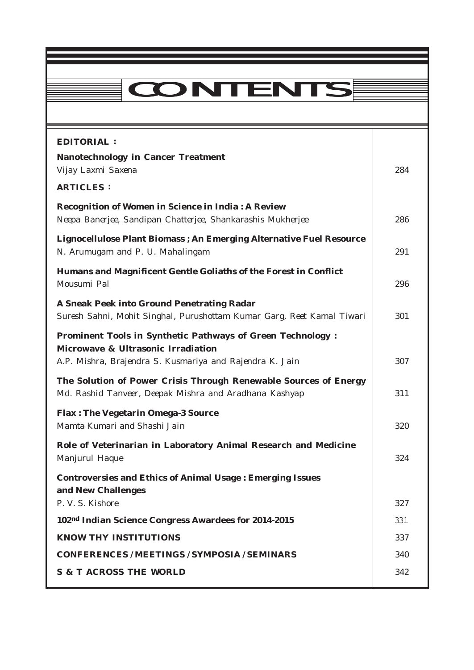# **CONTENTS**

12345678901234567890123456789012123456789012345678901234567890121234567890123456789012345678 12345678901234567890123456789012123456789012345678901234567890121234567890123456789012345678  $1.8 \pm 0.000$  and  $1.8 \pm 0.000$  and  $1.8 \pm 0.000$  and  $1.8 \pm 0.000$  and  $1.8 \pm 0.000$  and  $1.8 \pm 0.000$ 12345678901234567890123456789012123456789012345678901234567890121234567890123456789012345678 12345678901234567890123456789012345678901234567890123456789012345678901234567890123456789012345678901234567890

Everyman's Science Everyman's Science Vol. XLIX No. 5 Dec. '14 — Jan. '15

| <b>EDITORIAL:</b>                                                                                                                                                   |     |
|---------------------------------------------------------------------------------------------------------------------------------------------------------------------|-----|
| <b>Nanotechnology in Cancer Treatment</b><br>Vijay Laxmi Saxena                                                                                                     | 284 |
| <b>ARTICLES:</b>                                                                                                                                                    |     |
| <b>Recognition of Women in Science in India: A Review</b><br>Neepa Banerjee, Sandipan Chatterjee, Shankarashis Mukherjee                                            | 286 |
| <b>Lignocellulose Plant Biomass ; An Emerging Alternative Fuel Resource</b><br>N. Arumugam and P. U. Mahalingam                                                     | 291 |
| Humans and Magnificent Gentle Goliaths of the Forest in Conflict<br>Mousumi Pal                                                                                     | 296 |
| <b>A Sneak Peek into Ground Penetrating Radar</b><br>Suresh Sahni, Mohit Singhal, Purushottam Kumar Garg, Reet Kamal Tiwari                                         | 301 |
| <b>Prominent Tools in Synthetic Pathways of Green Technology:</b><br>Microwave & Ultrasonic Irradiation<br>A.P. Mishra, Brajendra S. Kusmariya and Rajendra K. Jain | 307 |
| The Solution of Power Crisis Through Renewable Sources of Energy<br>Md. Rashid Tanveer, Deepak Mishra and Aradhana Kashyap                                          | 311 |
| <b>Flax: The Vegetarin Omega-3 Source</b><br>Mamta Kumari and Shashi Jain                                                                                           | 320 |
| Role of Veterinarian in Laboratory Animal Research and Medicine<br>Manjurul Haque                                                                                   | 324 |
| <b>Controversies and Ethics of Animal Usage: Emerging Issues</b><br>and New Challenges                                                                              |     |
| P. V. S. Kishore                                                                                                                                                    | 327 |
| 102 <sup>nd</sup> Indian Science Congress Awardees for 2014-2015                                                                                                    | 331 |
| <b>KNOW THY INSTITUTIONS</b>                                                                                                                                        | 337 |
| <b>CONFERENCES / MEETINGS / SYMPOSIA / SEMINARS</b>                                                                                                                 | 340 |
| <b>S &amp; T ACROSS THE WORLD</b>                                                                                                                                   | 342 |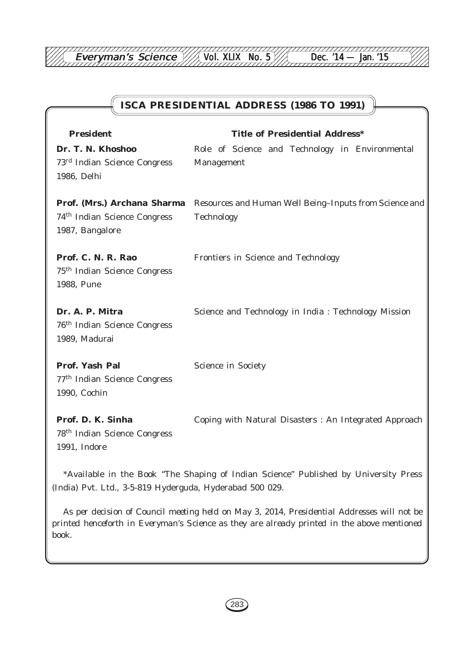12345678901234567890123456789012123456789012345678901234567890121234567890123456789012345678

| ISCA PRESIDENTIAL ADDRESS (1986 TO 1991)                                                   |                                                                      |  |
|--------------------------------------------------------------------------------------------|----------------------------------------------------------------------|--|
| <b>President</b>                                                                           | <b>Title of Presidential Address*</b>                                |  |
| Dr. T. N. Khoshoo<br>73 <sup>rd</sup> Indian Science Congress<br>1986, Delhi               | Role of Science and Technology in Environmental<br>Management        |  |
| Prof. (Mrs.) Archana Sharma<br>74 <sup>th</sup> Indian Science Congress<br>1987, Bangalore | Resources and Human Well Being-Inputs from Science and<br>Technology |  |
| Prof. C. N. R. Rao<br>75 <sup>th</sup> Indian Science Congress<br>1988, Pune               | Frontiers in Science and Technology                                  |  |
| Dr. A. P. Mitra<br>76 <sup>th</sup> Indian Science Congress<br>1989, Madurai               | Science and Technology in India: Technology Mission                  |  |
| Prof. Yash Pal<br>77 <sup>th</sup> Indian Science Congress<br>1990, Cochin                 | Science in Society                                                   |  |
| Prof. D. K. Sinha<br>78 <sup>th</sup> Indian Science Congress<br>1991, Indore              | Coping with Natural Disasters: An Integrated Approach                |  |

\*Available in the Book "The Shaping of Indian Science" Published by University Press (India) Pvt. Ltd., 3-5-819 Hyderguda, Hyderabad 500 029.

*As per decision of Council meeting held on May 3, 2014, Presidential Addresses will not be printed henceforth in Everyman's Science as they are already printed in the above mentioned book.*

283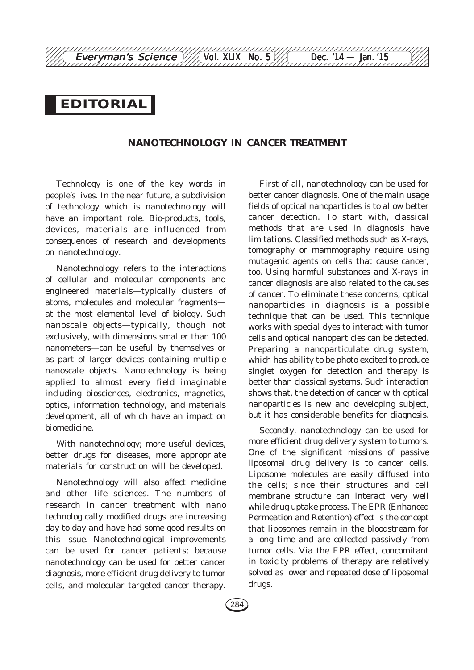# *EDITORIAL*

#### **NANOTECHNOLOGY IN CANCER TREATMENT**

Technology is one of the key words in people's lives. In the near future, a subdivision of technology which is nanotechnology will have an important role. Bio-products, tools, devices, materials are influenced from consequences of research and developments on nanotechnology.

Nanotechnology refers to the interactions of cellular and molecular components and engineered materials—typically clusters of atoms, molecules and molecular fragments at the most elemental level of biology. Such nanoscale objects—typically, though not exclusively, with dimensions smaller than 100 nanometers—can be useful by themselves or as part of larger devices containing multiple nanoscale objects. Nanotechnology is being applied to almost every field imaginable including biosciences, electronics, magnetics, optics, information technology, and materials development, all of which have an impact on biomedicine.

With nanotechnology; more useful devices, better drugs for diseases, more appropriate materials for construction will be developed.

Nanotechnology will also affect medicine and other life sciences. The numbers of research in cancer treatment with nano technologically modified drugs are increasing day to day and have had some good results on this issue. Nanotechnological improvements can be used for cancer patients; because nanotechnology can be used for better cancer diagnosis, more efficient drug delivery to tumor cells, and molecular targeted cancer therapy.

First of all, nanotechnology can be used for better cancer diagnosis. One of the main usage fields of optical nanoparticles is to allow better cancer detection. To start with, classical methods that are used in diagnosis have limitations. Classified methods such as X-rays, tomography or mammography require using mutagenic agents on cells that cause cancer, too. Using harmful substances and X-rays in cancer diagnosis are also related to the causes of cancer. To eliminate these concerns, optical nanoparticles in diagnosis is a possible technique that can be used. This technique works with special dyes to interact with tumor cells and optical nanoparticles can be detected. Preparing a nanoparticulate drug system, which has ability to be photo excited to produce singlet oxygen for detection and therapy is better than classical systems. Such interaction shows that, the detection of cancer with optical nanoparticles is new and developing subject, but it has considerable benefits for diagnosis.

Secondly, nanotechnology can be used for more efficient drug delivery system to tumors. One of the significant missions of passive liposomal drug delivery is to cancer cells. Liposome molecules are easily diffused into the cells; since their structures and cell membrane structure can interact very well while drug uptake process. The EPR (Enhanced Permeation and Retention) effect is the concept that liposomes remain in the bloodstream for a long time and are collected passively from tumor cells. Via the EPR effect, concomitant in toxicity problems of therapy are relatively solved as lower and repeated dose of liposomal drugs.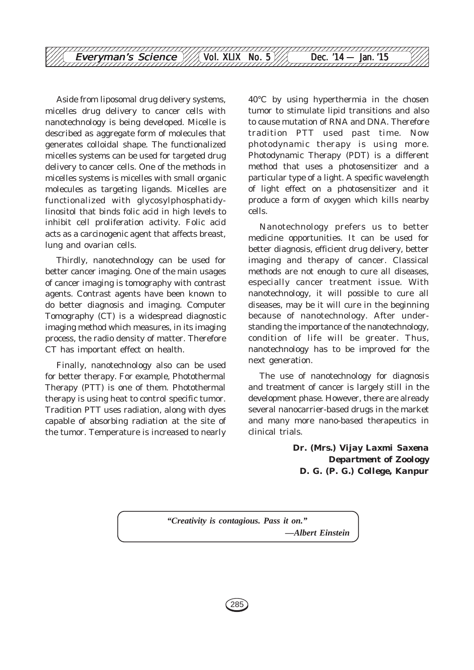

Aside from liposomal drug delivery systems, micelles drug delivery to cancer cells with nanotechnology is being developed. Micelle is described as aggregate form of molecules that generates colloidal shape. The functionalized micelles systems can be used for targeted drug delivery to cancer cells. One of the methods in micelles systems is micelles with small organic molecules as targeting ligands. Micelles are functionalized with glycosylphosphatidylinositol that binds folic acid in high levels to inhibit cell proliferation activity. Folic acid acts as a carcinogenic agent that affects breast, lung and ovarian cells.

Thirdly, nanotechnology can be used for better cancer imaging. One of the main usages of cancer imaging is tomography with contrast agents. Contrast agents have been known to do better diagnosis and imaging. Computer Tomography (CT) is a widespread diagnostic imaging method which measures, in its imaging process, the radio density of matter. Therefore CT has important effect on health.

Finally, nanotechnology also can be used for better therapy. For example, Photothermal Therapy (PTT) is one of them. Photothermal therapy is using heat to control specific tumor. Tradition PTT uses radiation, along with dyes capable of absorbing radiation at the site of the tumor. Temperature is increased to nearly

40°C by using hyperthermia in the chosen tumor to stimulate lipid transitions and also to cause mutation of RNA and DNA. Therefore tradition PTT used past time. Now photodynamic therapy is using more. Photodynamic Therapy (PDT) is a different method that uses a photosensitizer and a particular type of a light. A specific wavelength of light effect on a photosensitizer and it produce a form of oxygen which kills nearby cells.

Nanotechnology prefers us to better medicine opportunities. It can be used for better diagnosis, efficient drug delivery, better imaging and therapy of cancer. Classical methods are not enough to cure all diseases, especially cancer treatment issue. With nanotechnology, it will possible to cure all diseases, may be it will cure in the beginning because of nanotechnology. After understanding the importance of the nanotechnology, condition of life will be greater. Thus, nanotechnology has to be improved for the next generation.

The use of nanotechnology for diagnosis and treatment of cancer is largely still in the development phase. However, there are already several nanocarrier-based drugs in the market and many more nano-based therapeutics in clinical trials.

> *Dr. (Mrs.) Vijay Laxmi Saxena Department of Zoology D. G. (P. G.) College, Kanpur*

*"Creativity is contagious. Pass it on." —Albert Einstein*

285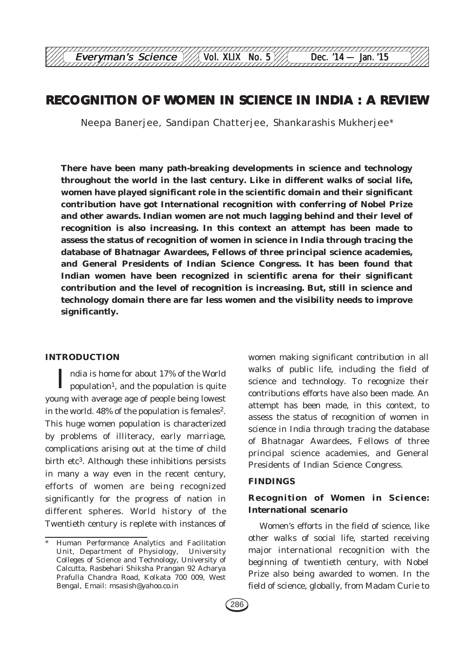# **RECOGNITION OF WOMEN IN SCIENCE IN INDIA : A REVIEW**

12345678901234567890123456789012123456789012345678901234567890121234567890123456789012345678 **Everyman's Science**  $\frac{1}{\sqrt{2}}$  Vol. XLIX No. 5 Dec. '14 — Jan. '15

Neepa Banerjee, Sandipan Chatterjee, Shankarashis Mukherjee\*

**There have been many path-breaking developments in science and technology throughout the world in the last century. Like in different walks of social life, women have played significant role in the scientific domain and their significant contribution have got International recognition with conferring of Nobel Prize and other awards. Indian women are not much lagging behind and their level of recognition is also increasing. In this context an attempt has been made to assess the status of recognition of women in science in India through tracing the database of Bhatnagar Awardees, Fellows of three principal science academies, and General Presidents of Indian Science Congress. It has been found that Indian women have been recognized in scientific arena for their significant contribution and the level of recognition is increasing. But, still in science and technology domain there are far less women and the visibility needs to improve significantly.**

#### **INTRODUCTION**

 $\prod$  ndia is home for about 17% of the World<br>population<sup>1</sup>, and the population is quite young with average age of people being lowest in the world. 48% of the population is females<sup>2</sup>. This huge women population is characterized by problems of illiteracy, early marriage, complications arising out at the time of child birth etc<sup>3</sup>. Although these inhibitions persists in many a way even in the recent century, efforts of women are being recognized significantly for the progress of nation in different spheres. World history of the Twentieth century is replete with instances of walks of public life, including the field of science and technology. To recognize their contributions efforts have also been made. An attempt has been made, in this context, to assess the status of recognition of women in science in India through tracing the database of Bhatnagar Awardees, Fellows of three principal science academies, and General Presidents of Indian Science Congress.

women making significant contribution in all

#### **FINDINGS**

#### **Recognition of Women in Science: International scenario**

Women's efforts in the field of science, like other walks of social life, started receiving major international recognition with the beginning of twentieth century, with Nobel Prize also being awarded to women. In the field of science, globally, from Madam Curie to

Human Performance Analytics and Facilitation Unit, Department of Physiology, University Colleges of Science and Technology, University of Calcutta, Rasbehari Shiksha Prangan 92 Acharya Prafulla Chandra Road, Kolkata 700 009, West Bengal, Email: msasish@yahoo.co.in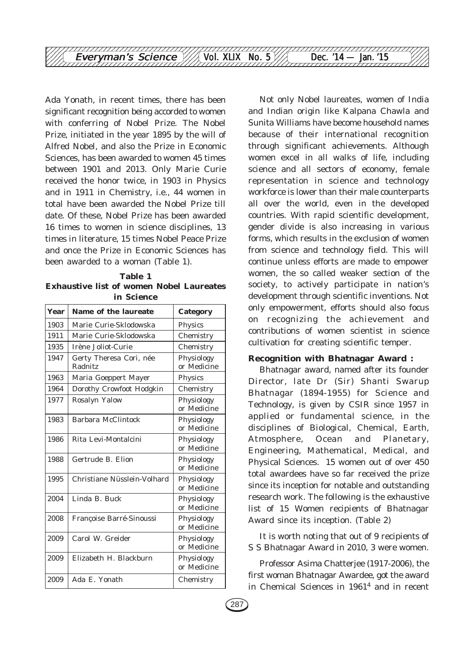

Ada Yonath, in recent times, there has been significant recognition being accorded to women with conferring of Nobel Prize. The Nobel Prize, initiated in the year 1895 by the will of Alfred Nobel, and also the Prize in Economic Sciences, has been awarded to women 45 times between 1901 and 2013. Only Marie Curie received the honor twice, in 1903 in Physics and in 1911 in Chemistry, i.e., 44 women in total have been awarded the Nobel Prize till date. Of these, Nobel Prize has been awarded 16 times to women in science disciplines, 13 times in literature, 15 times Nobel Peace Prize and once the Prize in Economic Sciences has been awarded to a woman (Table 1).

**Table 1 Exhaustive list of women Nobel Laureates in Science**

| Year | Name of the laureate               | Category                  |  |
|------|------------------------------------|---------------------------|--|
| 1903 | Marie Curie-Sklodowska             | Physics                   |  |
| 1911 | Marie Curie-Sklodowska             | Chemistry                 |  |
| 1935 | Irène Joliot-Curie                 | Chemistry                 |  |
| 1947 | Gerty Theresa Cori, née<br>Radnitz | Physiology<br>or Medicine |  |
| 1963 | Maria Goeppert Mayer               | Physics                   |  |
| 1964 | Dorothy Crowfoot Hodgkin           | Chemistry                 |  |
| 1977 | Rosalyn Yalow                      | Physiology<br>or Medicine |  |
| 1983 | Barbara McClintock                 | Physiology<br>or Medicine |  |
| 1986 | Rita Levi-Montalcini               | Physiology<br>or Medicine |  |
| 1988 | Gertrude B. Elion                  | Physiology<br>or Medicine |  |
| 1995 | Christiane Nüsslein-Volhard        | Physiology<br>or Medicine |  |
| 2004 | Linda B. Buck                      | Physiology<br>or Medicine |  |
| 2008 | Françoise Barré-Sinoussi           | Physiology<br>or Medicine |  |
| 2009 | Carol W. Greider                   | Physiology<br>or Medicine |  |
| 2009 | Elizabeth H. Blackburn             | Physiology<br>or Medicine |  |
| 2009 | Ada E. Yonath                      | Chemistry                 |  |

Not only Nobel laureates, women of India and Indian origin like Kalpana Chawla and Sunita Williams have become household names because of their international recognition through significant achievements. Although women excel in all walks of life, including science and all sectors of economy, female representation in science and technology workforce is lower than their male counterparts all over the world, even in the developed countries. With rapid scientific development, gender divide is also increasing in various forms, which results in the exclusion of women from science and technology field. This will continue unless efforts are made to empower women, the so called weaker section of the society, to actively participate in nation's development through scientific inventions. Not only empowerment, efforts should also focus on recognizing the achievement and contributions of women scientist in science cultivation for creating scientific temper.

#### **Recognition with Bhatnagar Award :**

Bhatnagar award, named after its founder Director, late Dr (Sir) Shanti Swarup Bhatnagar (1894-1955) for Science and Technology, is given by CSIR since 1957 in applied or fundamental science, in the disciplines of Biological, Chemical, Earth, Atmosphere, Ocean and Planetary, Engineering, Mathematical, Medical, and Physical Sciences. 15 women out of over 450 total awardees have so far received the prize since its inception for notable and outstanding research work. The following is the exhaustive list of 15 Women recipients of Bhatnagar Award since its inception. (Table 2)

It is worth noting that out of 9 recipients of S S Bhatnagar Award in 2010, 3 were women.

Professor Asima Chatterjee (1917-2006), the first woman Bhatnagar Awardee, got the award in Chemical Sciences in 19614 and in recent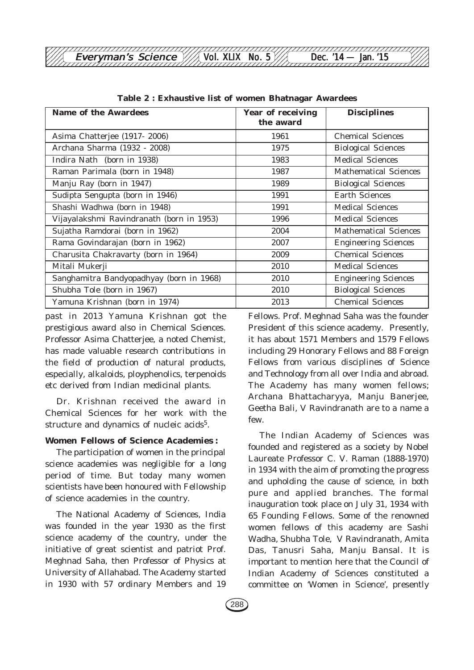| Name of the Awardees                      | Year of receiving<br>the award | <b>Disciplines</b>           |
|-------------------------------------------|--------------------------------|------------------------------|
|                                           |                                |                              |
| Asima Chatterjee (1917-2006)              | 1961                           | <b>Chemical Sciences</b>     |
| Archana Sharma (1932 - 2008)              | 1975                           | <b>Biological Sciences</b>   |
| Indira Nath (born in 1938)                | 1983                           | <b>Medical Sciences</b>      |
| Raman Parimala (born in 1948)             | 1987                           | <b>Mathematical Sciences</b> |
| Manju Ray (born in 1947)                  | 1989                           | <b>Biological Sciences</b>   |
| Sudipta Sengupta (born in 1946)           | 1991                           | Earth Sciences               |
| Shashi Wadhwa (born in 1948)              | 1991                           | <b>Medical Sciences</b>      |
| Vijayalakshmi Ravindranath (born in 1953) | 1996                           | <b>Medical Sciences</b>      |
| Sujatha Ramdorai (born in 1962)           | 2004                           | <b>Mathematical Sciences</b> |
| Rama Govindarajan (born in 1962)          | 2007                           | <b>Engineering Sciences</b>  |
| Charusita Chakravarty (born in 1964)      | 2009                           | <b>Chemical Sciences</b>     |
| Mitali Mukerji                            | 2010                           | <b>Medical Sciences</b>      |
| Sanghamitra Bandyopadhyay (born in 1968)  | 2010                           | <b>Engineering Sciences</b>  |
| Shubha Tole (born in 1967)                | 2010                           | <b>Biological Sciences</b>   |
| Yamuna Krishnan (born in 1974)            | 2013                           | <b>Chemical Sciences</b>     |

**Table 2 : Exhaustive list of women Bhatnagar Awardees**

past in 2013 Yamuna Krishnan got the prestigious award also in Chemical Sciences. Professor Asima Chatterjee, a noted Chemist, has made valuable research contributions in the field of production of natural products, especially, alkaloids, ployphenolics, terpenoids etc derived from Indian medicinal plants.

Dr. Krishnan received the award in Chemical Sciences for her work with the structure and dynamics of nucleic acids<sup>5</sup>.

#### **Women Fellows of Science Academies :**

The participation of women in the principal science academies was negligible for a long period of time. But today many women scientists have been honoured with Fellowship of science academies in the country.

The National Academy of Sciences, India was founded in the year 1930 as the first science academy of the country, under the initiative of great scientist and patriot Prof. Meghnad Saha, then Professor of Physics at University of Allahabad. The Academy started in 1930 with 57 ordinary Members and 19 Fellows. Prof. Meghnad Saha was the founder President of this science academy. Presently, it has about 1571 Members and 1579 Fellows including 29 Honorary Fellows and 88 Foreign Fellows from various disciplines of Science and Technology from all over India and abroad. The Academy has many women fellows; Archana Bhattacharyya, Manju Banerjee, Geetha Bali, V Ravindranath are to a name a few.

The Indian Academy of Sciences was founded and registered as a society by Nobel Laureate Professor C. V. Raman (1888-1970) in 1934 with the aim of promoting the progress and upholding the cause of science, in both pure and applied branches. The formal inauguration took place on July 31, 1934 with 65 Founding Fellows. Some of the renowned women fellows of this academy are Sashi Wadha, Shubha Tole, V Ravindranath, Amita Das, Tanusri Saha, Manju Bansal. It is important to mention here that the Council of Indian Academy of Sciences constituted a committee on 'Women in Science', presently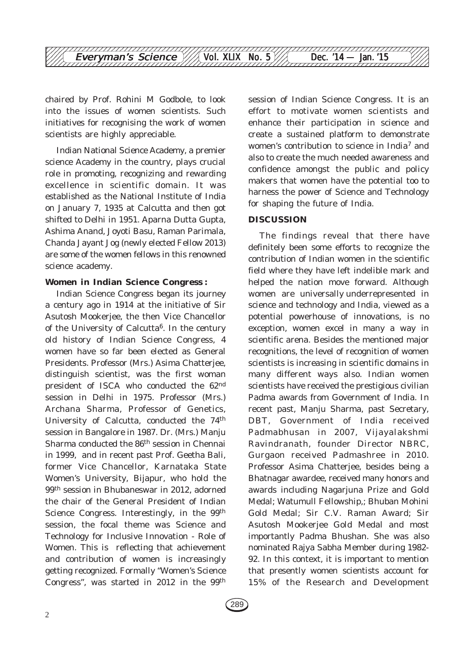

chaired by Prof. Rohini M Godbole, to look into the issues of women scientists. Such initiatives for recognising the work of women scientists are highly appreciable.

Indian National Science Academy, a premier science Academy in the country, plays crucial role in promoting, recognizing and rewarding excellence in scientific domain. It was established as the National Institute of India on January 7, 1935 at Calcutta and then got shifted to Delhi in 1951. Aparna Dutta Gupta, Ashima Anand, Joyoti Basu, Raman Parimala, Chanda Jayant Jog (newly elected Fellow 2013) are some of the women fellows in this renowned science academy.

#### **Women in Indian Science Congress :**

Indian Science Congress began its journey a century ago in 1914 at the initiative of Sir Asutosh Mookerjee, the then Vice Chancellor of the University of Calcutta<sup>6</sup>. In the century old history of Indian Science Congress, 4 women have so far been elected as General Presidents. Professor (Mrs.) Asima Chatterjee, distinguish scientist, was the first woman president of ISCA who conducted the 62nd session in Delhi in 1975. Professor (Mrs.) Archana Sharma, Professor of Genetics, University of Calcutta, conducted the 74th session in Bangalore in 1987. Dr. (Mrs.) Manju Sharma conducted the 86th session in Chennai in 1999, and in recent past Prof. Geetha Bali, former Vice Chancellor, Karnataka State Women's University, Bijapur, who hold the 99th session in Bhubaneswar in 2012, adorned the chair of the General President of Indian Science Congress. Interestingly, in the 99th session, the focal theme was Science and Technology for Inclusive Innovation - Role of Women. This is reflecting that achievement and contribution of women is increasingly getting recognized. Formally "Women's Science Congress", was started in 2012 in the 99<sup>th</sup> session of Indian Science Congress. It is an effort to motivate women scientists and enhance their participation in science and create a sustained platform to demonstrate women's contribution to science in India7 and also to create the much needed awareness and confidence amongst the public and policy makers that women have the potential too to harness the power of Science and Technology for shaping the future of India.

#### **DISCUSSION**

The findings reveal that there have definitely been some efforts to recognize the contribution of Indian women in the scientific field where they have left indelible mark and helped the nation move forward. Although women are universally underrepresented in science and technology and India, viewed as a potential powerhouse of innovations, is no exception, women excel in many a way in scientific arena. Besides the mentioned major recognitions, the level of recognition of women scientists is increasing in scientific domains in many different ways also. Indian women scientists have received the prestigious civilian Padma awards from Government of India. In recent past, Manju Sharma, past Secretary, DBT, Government of India received Padmabhusan in 2007, Vijayalakshmi Ravindranath, founder Director NBRC, Gurgaon received Padmashree in 2010. Professor Asima Chatterjee, besides being a Bhatnagar awardee, received many honors and awards including Nagarjuna Prize and Gold Medal; Watumull Fellowship,; Bhuban Mohini Gold Medal; Sir C.V. Raman Award; Sir Asutosh Mookerjee Gold Medal and most importantly Padma Bhushan. She was also nominated Rajya Sabha Member during 1982- 92. In this context, it is important to mention that presently women scientists account for 15% of the Research and Development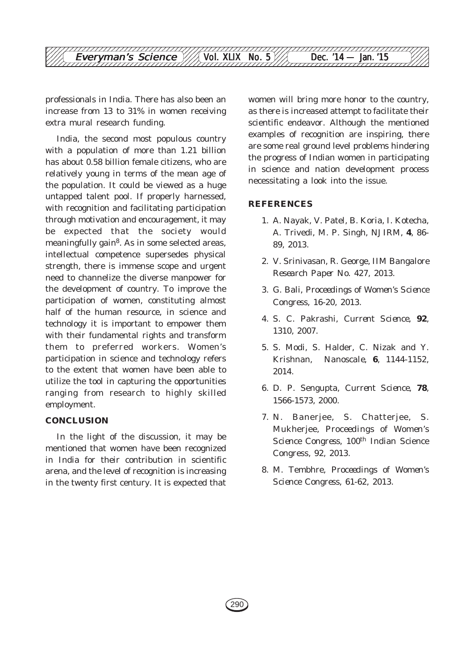

professionals in India. There has also been an increase from 13 to 31% in women receiving extra mural research funding.

India, the second most populous country with a population of more than 1.21 billion has about 0.58 billion female citizens, who are relatively young in terms of the mean age of the population. It could be viewed as a huge untapped talent pool. If properly harnessed, with recognition and facilitating participation through motivation and encouragement, it may be expected that the society would meaningfully gain<sup>8</sup>. As in some selected areas, intellectual competence supersedes physical strength, there is immense scope and urgent need to channelize the diverse manpower for the development of country. To improve the participation of women, constituting almost half of the human resource, in science and technology it is important to empower them with their fundamental rights and transform them to preferred workers. Women's participation in science and technology refers to the extent that women have been able to utilize the tool in capturing the opportunities ranging from research to highly skilled employment.

#### **CONCLUSION**

In the light of the discussion, it may be mentioned that women have been recognized in India for their contribution in scientific arena, and the level of recognition is increasing in the twenty first century. It is expected that women will bring more honor to the country, as there is increased attempt to facilitate their scientific endeavor. Although the mentioned examples of recognition are inspiring, there are some real ground level problems hindering the progress of Indian women in participating in science and nation development process necessitating a look into the issue.

#### **REFERENCES**

- 1. A. Nayak, V. Patel, B. Koria, I. Kotecha, A. Trivedi, M. P. Singh, *NJIRM,* **4**, 86- 89, 2013.
- 2. V. Srinivasan, R. George, *IIM Bangalore Research Paper* No. 427*,* 2013.
- 3. G. Bali, *Proceedings of Women's Science Congress*, 16-20, 2013.
- 4. S. C. Pakrashi, *Current Science*, **92**, 1310, 2007.
- 5. S. Modi, S. Halder, C. Nizak and Y. Krishnan, *Nanoscale*, **6**, 1144-1152, 2014.
- 6. D. P. Sengupta, *Current Science,* **78**, 1566-1573, 2000.
- 7. N. Banerjee, S. Chatterjee, S. Mukherjee, *Proceedings of Women's Science Congress*, 100th Indian Science Congress, 92, 2013.
- 8. M. Tembhre, *Proceedings of Women's Science Congress*, 61-62, 2013.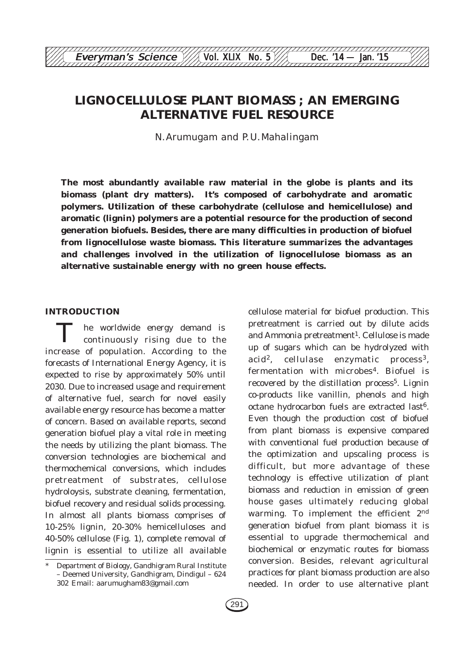## **LIGNOCELLULOSE PLANT BIOMASS ; AN EMERGING ALTERNATIVE FUEL RESOURCE**

12345678901234567890123456789012123456789012345678901234567890121234567890123456789012345678 123456789012345<del>689012345678901234567891234567891212345</del>789123456789012345678901234567890123456789012345678901234 Which Everyman's Science  $\mathbb{V}/\mathbb{A}$  Vol. XLIX No. 5  $\mathbb{V}/\mathbb{A}$  Dec. '14 — Jan. '15 12345678901234567890123456789012123456789012345678901234567890121234567890123456789012345678

N.Arumugam and P.U.Mahalingam

**The most abundantly available raw material in the globe is plants and its biomass (plant dry matters). It's composed of carbohydrate and aromatic polymers. Utilization of these carbohydrate (cellulose and hemicellulose) and aromatic (lignin) polymers are a potential resource for the production of second generation biofuels. Besides, there are many difficulties in production of biofuel from lignocellulose waste biomass. This literature summarizes the advantages and challenges involved in the utilization of lignocellulose biomass as an alternative sustainable energy with no green house effects.**

#### **INTRODUCTION**

he worldwide energy demand is continuously rising due to the increase of population. According to the forecasts of International Energy Agency, it is expected to rise by approximately 50% until 2030. Due to increased usage and requirement of alternative fuel, search for novel easily available energy resource has become a matter of concern. Based on available reports, second generation biofuel play a vital role in meeting the needs by utilizing the plant biomass. The conversion technologies are biochemical and thermochemical conversions, which includes pretreatment of substrates, cellulose hydroloysis, substrate cleaning, fermentation, biofuel recovery and residual solids processing. In almost all plants biomass comprises of 10-25% lignin, 20-30% hemicelluloses and 40-50% cellulose (Fig. 1), complete removal of lignin is essential to utilize all available pretreatment is carried out by dilute acids and Ammonia pretreatment<sup>1</sup>. Cellulose is made up of sugars which can be hydrolyzed with  $acid<sup>2</sup>$ , cellulase enzymatic process<sup>3</sup>, fermentation with microbes<sup>4</sup>. Biofuel is recovered by the distillation process<sup>5</sup>. Lignin co-products like vanillin, phenols and high octane hydrocarbon fuels are extracted last<sup>6</sup>. Even though the production cost of biofuel from plant biomass is expensive compared with conventional fuel production because of the optimization and upscaling process is difficult, but more advantage of these technology is effective utilization of plant biomass and reduction in emission of green house gases ultimately reducing global warming. To implement the efficient 2nd generation biofuel from plant biomass it is essential to upgrade thermochemical and biochemical or enzymatic routes for biomass conversion. Besides, relevant agricultural practices for plant biomass production are also needed. In order to use alternative plant

cellulose material for biofuel production. This

Department of Biology, Gandhigram Rural Institute – Deemed University, Gandhigram, Dindigul – 624 302 Email: aarumugham83@gmail.com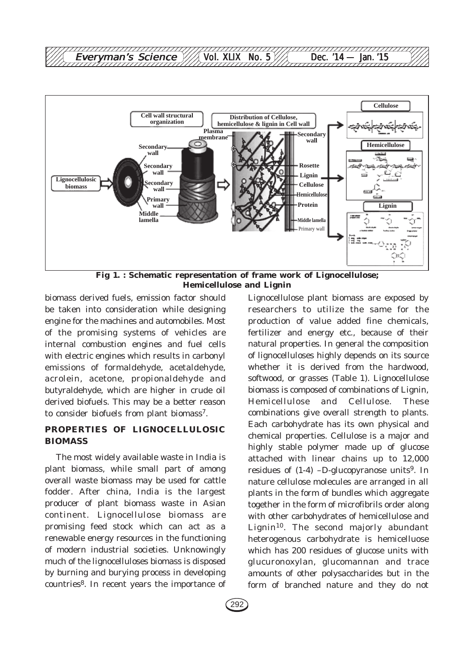



**Fig 1. : Schematic representation of frame work of Lignocellulose; Hemicellulose and Lignin**

biomass derived fuels, emission factor should be taken into consideration while designing engine for the machines and automobiles. Most of the promising systems of vehicles are internal combustion engines and fuel cells with electric engines which results in carbonyl emissions of formaldehyde, acetaldehyde, acrolein, acetone, propionaldehyde and butyraldehyde, which are higher in crude oil derived biofuels. This may be a better reason to consider biofuels from plant biomass<sup>7</sup>.

#### **PROPERTIES OF LIGNOCELLULOSIC BIOMASS**

The most widely available waste in India is plant biomass, while small part of among overall waste biomass may be used for cattle fodder. After china, India is the largest producer of plant biomass waste in Asian continent. Lignocellulose biomass are promising feed stock which can act as a renewable energy resources in the functioning of modern industrial societies. Unknowingly much of the lignocelluloses biomass is disposed by burning and burying process in developing countries8. In recent years the importance of Lignocellulose plant biomass are exposed by researchers to utilize the same for the production of value added fine chemicals, fertilizer and energy etc., because of their natural properties. In general the composition of lignocelluloses highly depends on its source whether it is derived from the hardwood, softwood, or grasses (Table 1). Lignocellulose biomass is composed of combinations of Lignin, Hemicellulose and Cellulose. These combinations give overall strength to plants. Each carbohydrate has its own physical and chemical properties. Cellulose is a major and highly stable polymer made up of glucose attached with linear chains up to 12,000 residues of  $(1-4)$  -D-glucopyranose units<sup>9</sup>. In nature cellulose molecules are arranged in all plants in the form of bundles which aggregate together in the form of microfibrils order along with other carbohydrates of hemicellulose and Lignin $10$ . The second majorly abundant heterogenous carbohydrate is hemicelluose which has 200 residues of glucose units with glucuronoxylan, glucomannan and trace amounts of other polysaccharides but in the form of branched nature and they do not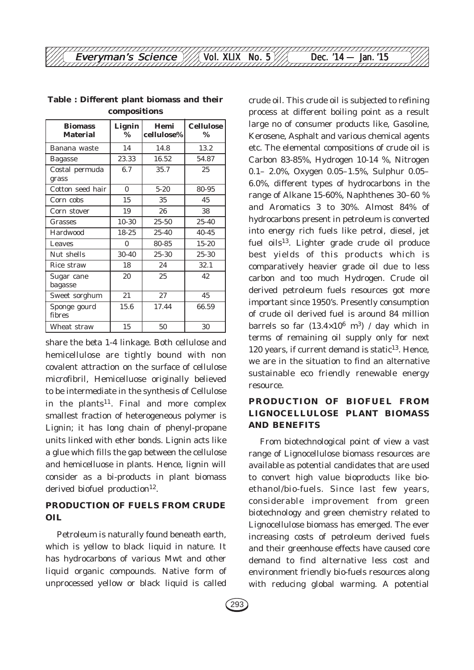

| <b>Biomass</b><br><b>Material</b> | Lignin<br>$\%$ | Hemi<br>cellulose% | <b>Cellulose</b><br>$\%$ |
|-----------------------------------|----------------|--------------------|--------------------------|
| Banana waste                      | 14             | 14.8               | 13.2                     |
| Bagasse                           | 23.33          | 16.52              | 54.87                    |
| Costal permuda<br>grass           | 6.7            | 35.7               | 25                       |
| Cotton seed hair                  | $\Omega$       | $5 - 20$           | 80-95                    |
| Corn cobs                         | 15             | 35                 | 45                       |
| Corn stover                       | 19             | 26                 | 38                       |
| Grasses                           | $10-30$        | 25-50              | $25-40$                  |
| Hardwood                          | $18-25$        | $25-40$            | $40 - 45$                |
| Leaves                            | $\theta$       | 80-85              | $15 - 20$                |
| Nut shells                        | 30-40          | 25-30              | 25-30                    |
| Rice straw                        | 18             | 24                 | 32.1                     |
| Sugar cane<br>bagasse             | 20             | 25                 | 42                       |
| Sweet sorghum                     | 21             | 27                 | 45                       |
| Sponge gourd<br>fibres            | 15.6           | 17.44              | 66.59                    |
| Wheat straw                       | 15             | 50                 | 30                       |

**Table : Different plant biomass and their compositions**

share the beta 1-4 linkage. Both cellulose and hemicellulose are tightly bound with non covalent attraction on the surface of cellulose microfibril, Hemicelluose originally believed to be intermediate in the synthesis of Cellulose in the plants $11$ . Final and more complex smallest fraction of heterogeneous polymer is Lignin; it has long chain of phenyl-propane units linked with ether bonds. Lignin acts like a glue which fills the gap between the cellulose and hemicelluose in plants. Hence, lignin will consider as a bi-products in plant biomass derived biofuel production $12$ .

#### **PRODUCTION OF FUELS FROM CRUDE OIL**

Petroleum is naturally found beneath earth, which is yellow to black liquid in nature. It has hydrocarbons of various Mwt and other liquid organic compounds. Native form of unprocessed yellow or black liquid is called crude oil. This crude oil is subjected to refining process at different boiling point as a result large no of consumer products like, Gasoline, Kerosene, Asphalt and various chemical agents etc. The elemental compositions of crude oil is Carbon 83-85%, Hydrogen 10-14 %, Nitrogen 0.1– 2.0%, Oxygen 0.05–1.5%, Sulphur 0.05– 6.0%, different types of hydrocarbons in the range of Alkane 15-60%, Naphthenes 30–60 % and Aromatics 3 to 30%. Almost 84% of hydrocarbons present in petroleum is converted into energy rich fuels like petrol, diesel, jet fuel oil $s^{13}$ . Lighter grade crude oil produce best yields of this products which is comparatively heavier grade oil due to less carbon and too much Hydrogen. Crude oil derived petroleum fuels resources got more important since 1950's. Presently consumption of crude oil derived fuel is around 84 million barrels so far  $(13.4\times10^6 \text{ m}^3)$  / day which in terms of remaining oil supply only for next 120 years, if current demand is static<sup>13</sup>. Hence, we are in the situation to find an alternative sustainable eco friendly renewable energy resource.

#### **PRODUCTION OF BIOFUEL FROM LIGNOCELLULOSE PLANT BIOMASS AND BENEFITS**

From biotechnological point of view a vast range of Lignocellulose biomass resources are available as potential candidates that are used to convert high value bioproducts like bioethanol/bio-fuels. Since last few years, considerable improvement from green biotechnology and green chemistry related to Lignocellulose biomass has emerged. The ever increasing costs of petroleum derived fuels and their greenhouse effects have caused core demand to find alternative less cost and environment friendly bio-fuels resources along with reducing global warming. A potential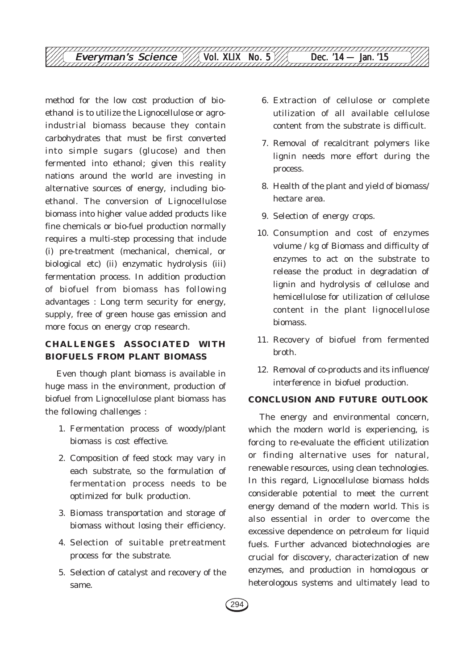method for the low cost production of bioethanol is to utilize the Lignocellulose or agroindustrial biomass because they contain carbohydrates that must be first converted into simple sugars (glucose) and then fermented into ethanol; given this reality nations around the world are investing in alternative sources of energy, including bioethanol. The conversion of Lignocellulose biomass into higher value added products like fine chemicals or bio-fuel production normally requires a multi-step processing that include (i) pre-treatment (mechanical, chemical, or biological etc) (ii) enzymatic hydrolysis (iii) fermentation process. In addition production of biofuel from biomass has following advantages : Long term security for energy, supply, free of green house gas emission and more focus on energy crop research.

#### **CHALLENGES ASSOCIATED WITH BIOFUELS FROM PLANT BIOMASS**

Even though plant biomass is available in huge mass in the environment, production of biofuel from Lignocellulose plant biomass has the following challenges :

- 1. Fermentation process of woody/plant biomass is cost effective.
- 2. Composition of feed stock may vary in each substrate, so the formulation of fermentation process needs to be optimized for bulk production.
- 3. Biomass transportation and storage of biomass without losing their efficiency.
- 4. Selection of suitable pretreatment process for the substrate.
- 5. Selection of catalyst and recovery of the same.
- 6. Extraction of cellulose or complete utilization of all available cellulose content from the substrate is difficult.
- 7. Removal of recalcitrant polymers like lignin needs more effort during the process.
- 8. Health of the plant and yield of biomass/ hectare area.
- 9. Selection of energy crops.
- 10. Consumption and cost of enzymes volume / kg of Biomass and difficulty of enzymes to act on the substrate to release the product in degradation of lignin and hydrolysis of cellulose and hemicellulose for utilization of cellulose content in the plant lignocellulose biomass.
- 11. Recovery of biofuel from fermented broth.
- 12. Removal of co-products and its influence/ interference in biofuel production.

#### **CONCLUSION AND FUTURE OUTLOOK**

The energy and environmental concern, which the modern world is experiencing, is forcing to re-evaluate the efficient utilization or finding alternative uses for natural, renewable resources, using clean technologies. In this regard, Lignocellulose biomass holds considerable potential to meet the current energy demand of the modern world. This is also essential in order to overcome the excessive dependence on petroleum for liquid fuels. Further advanced biotechnologies are crucial for discovery, characterization of new enzymes, and production in homologous or heterologous systems and ultimately lead to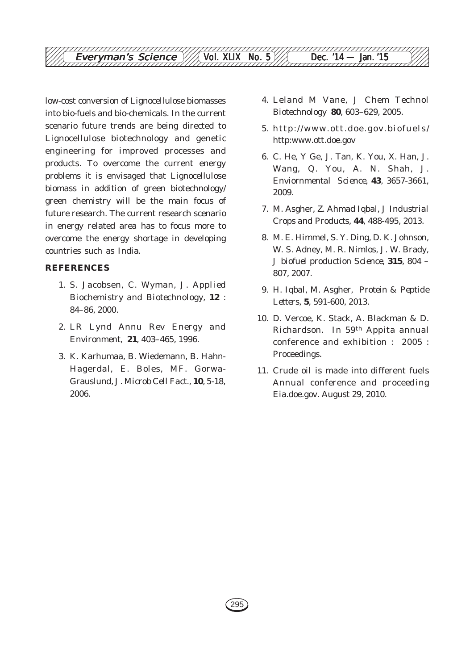

low-cost conversion of Lignocellulose biomasses into bio-fuels and bio-chemicals. In the current scenario future trends are being directed to Lignocellulose biotechnology and genetic engineering for improved processes and products. To overcome the current energy problems it is envisaged that Lignocellulose biomass in addition of green biotechnology/ green chemistry will be the main focus of future research. The current research scenario in energy related area has to focus more to overcome the energy shortage in developing countries such as India.

#### **REFERENCES**

- 1. S. Jacobsen, C. Wyman, *J. Applied Biochemistry and Biotechnology*, **12** : 84–86, 2000.
- 2. LR Lynd *Annu Rev Energy and Environment*, **21**, 403–465, 1996.
- 3. K. Karhumaa, B. Wiedemann, B. Hahn-Hagerdal, E. Boles, MF. Gorwa-Grauslund, *J. Microb Cell Fact.*, **10**, 5-18, 2006.
- 4. Leland M Vane, *J Chem Technol Biotechnology* **80**, 603–629, 2005.
- 5. http://www.ott.doe.gov.biofuels/ http:www.ott.doe.gov
- 6. C. He, Y Ge, J. Tan, K. You, X. Han, J. Wang, Q. You, A. N. Shah, *J. Enviornmental Science*, **43**, 3657-3661, 2009.
- 7. M. Asgher, Z. Ahmad Iqbal, *J Industrial Crops and Products*, **44**, 488-495, 2013.
- 8. M. E. Himmel, S. Y. Ding, D. K. Johnson, W. S. Adney, M. R. Nimlos, J. W. Brady, *J biofuel production Science*, **315**, 804 – 807, 2007.
- 9. H. Iqbal, M. Asgher, *Protein & Peptide Letters*, **5**, 591-600, 2013.
- 10. D. Vercoe, K. Stack, A. Blackman & D. Richardson. In 59th Appita annual conference and exhibition : 2005 : Proceedings.
- 11. Crude oil is made into different fuels *Annual conference and proceeding* Eia.doe.gov. August 29, 2010.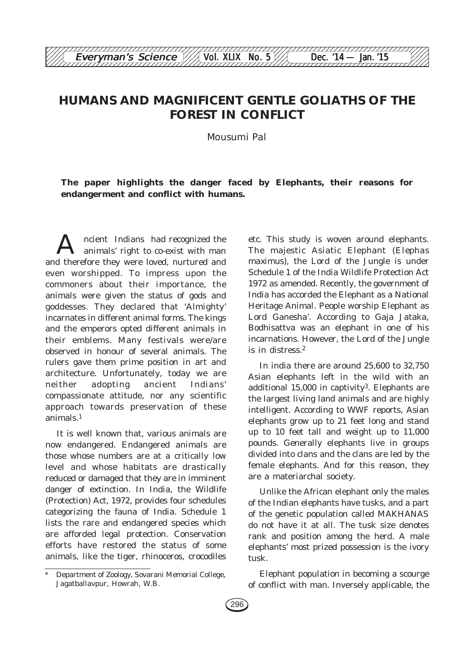#### 12345678901234567890123456789012123456789012345678901234567890121234567890123456789012345678 **Everyman's Science /// Vol. XLIX No. 5 /// Dec. '14 — Jan. '15** 12345678901234567890123456789012123456789012345678901234567890121234567890123456789012345678

### **HUMANS AND MAGNIFICENT GENTLE GOLIATHS OF THE FOREST IN CONFLICT**

Mousumi Pal

#### **The paper highlights the danger faced by Elephants, their reasons for endangerment and conflict with humans.**

ncient Indians had recognized the animals' right to co-exist with man and therefore they were loved, nurtured and even worshipped. To impress upon the commoners about their importance, the animals were given the status of gods and goddesses. They declared that 'Almighty' incarnates in different animal forms. The kings and the emperors opted different animals in their emblems. Many festivals were/are observed in honour of several animals. The rulers gave them prime position in art and architecture. Unfortunately, today we are neither adopting ancient Indians' compassionate attitude, nor any scientific approach towards preservation of these animals.1

It is well known that, various animals are now endangered. Endangered animals are those whose numbers are at a critically low level and whose habitats are drastically reduced or damaged that they are in imminent danger of extinction. In India, the Wildlife (Protection) Act, 1972, provides four schedules categorizing the fauna of India. Schedule 1 lists the rare and endangered species which are afforded legal protection. Conservation efforts have restored the status of some animals, like the tiger, rhinoceros, crocodiles

etc. This study is woven around elephants. The majestic Asiatic Elephant (*Elephas maximus*), the Lord of the Jungle is under Schedule 1 of the India Wildlife Protection Act 1972 as amended. Recently, the government of India has accorded the Elephant as a National Heritage Animal. People worship Elephant as Lord Ganesha'. According to Gaja Jataka, Bodhisattva was an elephant in one of his incarnations. However, the Lord of the Jungle is in distress<sup>2</sup>

In india there are around 25,600 to 32,750 Asian elephants left in the wild with an additional  $15,000$  in captivity<sup>3</sup>. Elephants are the largest living land animals and are highly intelligent. According to WWF reports, Asian elephants grow up to 21 feet long and stand up to 10 feet tall and weight up to 11,000 pounds. Generally elephants live in groups divided into clans and the clans are led by the female elephants. And for this reason, they are a materiarchal society.

Unlike the African elephant only the males of the Indian elephants have tusks, and a part of the genetic population called *MAKHANAS* do not have it at all. The tusk size denotes rank and position among the herd. A male elephants' most prized possession is the ivory tusk.

Elephant population in becoming a scourge of conflict with man. Inversely applicable, the

Department of Zoology, Sovarani Memorial College, Jagatballavpur, Howrah, W.B.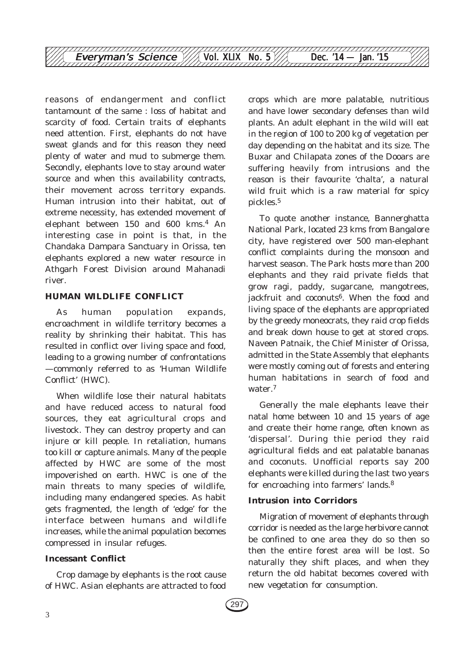

reasons of endangerment and conflict tantamount of the same : loss of habitat and scarcity of food. Certain traits of elephants need attention. First, elephants do not have sweat glands and for this reason they need plenty of water and mud to submerge them. Secondly, elephants love to stay around water source and when this availability contracts, their movement across territory expands. Human intrusion into their habitat, out of extreme necessity, has extended movement of elephant between 150 and 600 kms.4 An interesting case in point is that, in the Chandaka Dampara Sanctuary in Orissa, ten elephants explored a new water resource in Athgarh Forest Division around Mahanadi river.

#### **HUMAN WILDLIFE CONFLICT**

As human population expands, encroachment in wildlife territory becomes a reality by shrinking their habitat. This has resulted in conflict over living space and food, leading to a growing number of confrontations —commonly referred to as 'Human Wildlife Conflict' (HWC).

When wildlife lose their natural habitats and have reduced access to natural food sources, they eat agricultural crops and livestock. They can destroy property and can injure or kill people. In retaliation, humans too kill or capture animals. Many of the people affected by HWC are some of the most impoverished on earth. HWC is one of the main threats to many species of wildlife, including many endangered species. As habit gets fragmented, the length of 'edge' for the interface between humans and wildlife increases, while the animal population becomes compressed in insular refuges.

#### **Incessant Conflict**

Crop damage by elephants is the root cause of HWC. Asian elephants are attracted to food crops which are more palatable, nutritious and have lower secondary defenses than wild plants. An adult elephant in the wild will eat in the region of 100 to 200 kg of vegetation per day depending on the habitat and its size. The Buxar and Chilapata zones of the Dooars are suffering heavily from intrusions and the reason is their favourite 'chalta', a natural wild fruit which is a raw material for spicy pickles.5

To quote another instance, Bannerghatta National Park, located 23 kms from Bangalore city, have registered over 500 man-elephant conflict complaints during the monsoon and harvest season. The Park hosts more than 200 elephants and they raid private fields that grow ragi, paddy, sugarcane, mangotrees, jackfruit and coconuts $6$ . When the food and living space of the elephants are appropriated by the greedy moneocrats, they raid crop fields and break down house to get at stored crops. Naveen Patnaik, the Chief Minister of Orissa, admitted in the State Assembly that elephants were mostly coming out of forests and entering human habitations in search of food and water.<sup>7</sup>

Generally the male elephants leave their natal home between 10 and 15 years of age and create their home range, often known as 'dispersal'. During thie period they raid agricultural fields and eat palatable bananas and coconuts. Unofficial reports say 200 elephants were killed during the last two years for encroaching into farmers' lands.8

#### **Intrusion into Corridors**

Migration of movement of elephants through corridor is needed as the large herbivore cannot be confined to one area they do so then so then the entire forest area will be lost. So naturally they shift places, and when they return the old habitat becomes covered with new vegetation for consumption.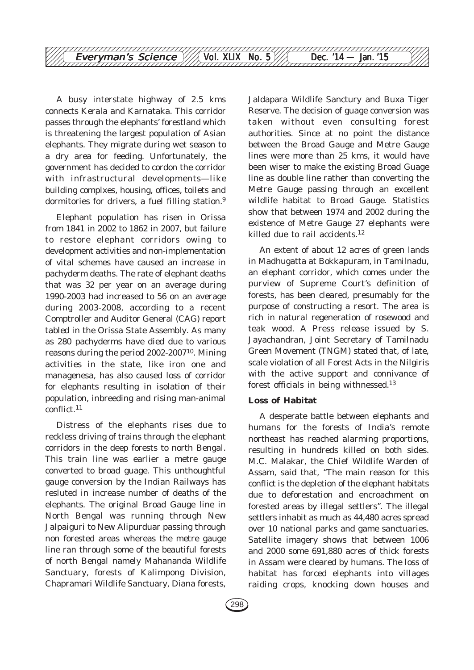

A busy interstate highway of 2.5 kms connects Kerala and Karnataka. This corridor passes through the elephants' forestland which is threatening the largest population of Asian elephants. They migrate during wet season to a dry area for feeding. Unfortunately, the government has decided to cordon the corridor with infrastructural developments—like building complxes, housing, offices, toilets and dormitories for drivers, a fuel filling station.<sup>9</sup>

Elephant population has risen in Orissa from 1841 in 2002 to 1862 in 2007, but failure to restore elephant corridors owing to development activities and non-implementation of vital schemes have caused an increase in pachyderm deaths. The rate of elephant deaths that was 32 per year on an average during 1990-2003 had increased to 56 on an average during 2003-2008, according to a recent Comptroller and Auditor General (CAG) report tabled in the Orissa State Assembly. As many as 280 pachyderms have died due to various reasons during the period 2002-200710. Mining activities in the state, like iron one and managenesa, has also caused loss of corridor for elephants resulting in isolation of their population, inbreeding and rising man-animal conflict.11

Distress of the elephants rises due to reckless driving of trains through the elephant corridors in the deep forests to north Bengal. This train line was earlier a metre gauge converted to broad guage. This unthoughtful gauge conversion by the Indian Railways has resluted in increase number of deaths of the elephants. The original Broad Gauge line in North Bengal was running through New Jalpaiguri to New Alipurduar passing through non forested areas whereas the metre gauge line ran through some of the beautiful forests of north Bengal namely Mahananda Wildlife Sanctuary, forests of Kalimpong Division, Chapramari Wildlife Sanctuary, Diana forests, Jaldapara Wildlife Sanctury and Buxa Tiger Reserve. The decision of guage conversion was taken without even consulting forest authorities. Since at no point the distance between the Broad Gauge and Metre Gauge lines were more than 25 kms, it would have been wiser to make the existing Broad Guage line as double line rather than converting the Metre Gauge passing through an excellent wildlife habitat to Broad Gauge. Statistics show that between 1974 and 2002 during the existence of Metre Gauge 27 elephants were killed due to rail accidents.12

An extent of about 12 acres of green lands in Madhugatta at Bokkapuram, in Tamilnadu, an elephant corridor, which comes under the purview of Supreme Court's definition of forests, has been cleared, presumably for the purpose of constructing a resort. The area is rich in natural regeneration of rosewood and teak wood. A Press release issued by S. Jayachandran, Joint Secretary of Tamilnadu Green Movement (TNGM) stated that, of late, scale violation of all Forest Acts in the Nilgiris with the active support and connivance of forest officials in being withnessed.13

#### **Loss of Habitat**

A desperate battle between elephants and humans for the forests of India's remote northeast has reached alarming proportions, resulting in hundreds killed on both sides. M.C. Malakar, the Chief Wildlife Warden of Assam, said that, "The main reason for this conflict is the depletion of the elephant habitats due to deforestation and encroachment on forested areas by illegal settlers". The illegal settlers inhabit as much as 44,480 acres spread over 10 national parks and game sanctuaries. Satellite imagery shows that between 1006 and 2000 some 691,880 acres of thick forests in Assam were cleared by humans. The loss of habitat has forced elephants into villages raiding crops, knocking down houses and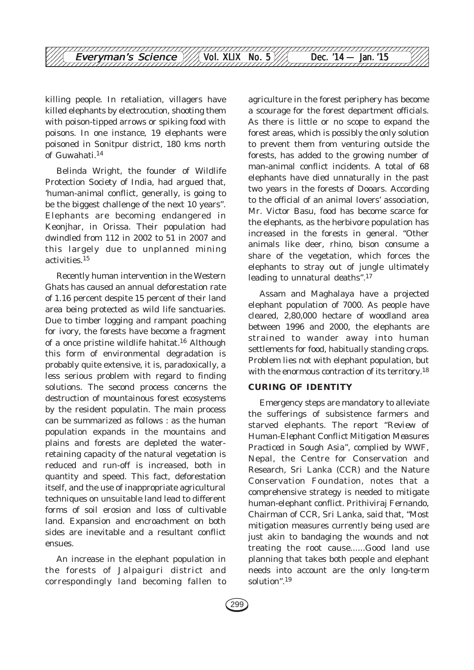

killing people. In retaliation, villagers have killed elephants by electrocution, shooting them with poison-tipped arrows or spiking food with poisons. In one instance, 19 elephants were poisoned in Sonitpur district, 180 kms north of Guwahati.<sup>14</sup>

Belinda Wright, the founder of Wildlife Protection Society of India, had argued that, 'human-animal conflict, generally, is going to be the biggest challenge of the next 10 years". Elephants are becoming endangered in Keonjhar, in Orissa. Their population had dwindled from 112 in 2002 to 51 in 2007 and this largely due to unplanned mining activities.15

Recently human intervention in the Western Ghats has caused an annual deforestation rate of 1.16 percent despite 15 percent of their land area being protected as wild life sanctuaries. Due to timber logging and rampant poaching for ivory, the forests have become a fragment of a once pristine wildlife hahitat.16 Although this form of environmental degradation is probably quite extensive, it is, paradoxically, a less serious problem with regard to finding solutions. The second process concerns the destruction of mountainous forest ecosystems by the resident populatin. The main process can be summarized as follows : as the human population expands in the mountains and plains and forests are depleted the waterretaining capacity of the natural vegetation is reduced and run-off is increased, both in quantity and speed. This fact, deforestation itself, and the use of inappropriate agricultural techniques on unsuitable land lead to different forms of soil erosion and loss of cultivable land. Expansion and encroachment on both sides are inevitable and a resultant conflict ensues.

An increase in the elephant population in the forests of Jalpaiguri district and correspondingly land becoming fallen to

agriculture in the forest periphery has become a scourage for the forest department officials. As there is little or no scope to expand the forest areas, which is possibly the only solution to prevent them from venturing outside the forests, has added to the growing number of man-animal conflict incidents. A total of 68 elephants have died unnaturally in the past two years in the forests of Dooars. According to the official of an animal lovers' association, Mr. Victor Basu, food has become scarce for the elephants, as the herbivore population has increased in the forests in general. "Other animals like deer, rhino, bison consume a share of the vegetation, which forces the elephants to stray out of jungle ultimately leading to unnatural deaths".17

Assam and Maghalaya have a projected elephant population of 7000. As people have cleared, 2,80,000 hectare of woodland area between 1996 and 2000, the elephants are strained to wander away into human settlements for food, habitually standing crops. Problem lies not with elephant population, but with the enormous contraction of its territory.18

#### **CURING OF IDENTITY**

Emergency steps are mandatory to alleviate the sufferings of subsistence farmers and starved elephants. The report *"Review of Human-Elephant Conflict Mitigation Measures Practiced in Sough Asia"*, complied by WWF, Nepal, the Centre for Conservation and Research, Sri Lanka (CCR) and the Nature Conservation Foundation, notes that a comprehensive strategy is needed to mitigate human-elephant conflict. Prithiviraj Fernando, Chairman of CCR, Sri Lanka, said that, "Most mitigation measures currently being used are just akin to bandaging the wounds and not treating the root cause......Good land use planning that takes both people and elephant needs into account are the only long-term solution".19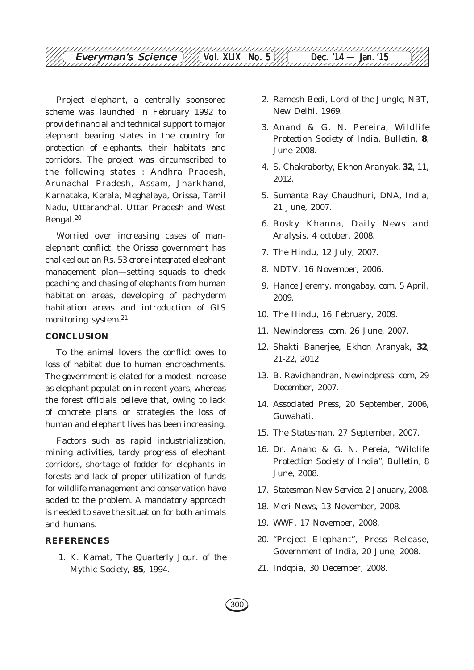Project elephant, a centrally sponsored scheme was launched in February 1992 to provide financial and technical support to major elephant bearing states in the country for protection of elephants, their habitats and corridors. The project was circumscribed to the following states : Andhra Pradesh, Arunachal Pradesh, Assam, Jharkhand, Karnataka, Kerala, Meghalaya, Orissa, Tamil Nadu, Uttaranchal. Uttar Pradesh and West Bengal.20

Worried over increasing cases of manelephant conflict, the Orissa government has chalked out an Rs. 53 crore integrated elephant management plan—setting squads to check poaching and chasing of elephants from human habitation areas, developing of pachyderm habitation areas and introduction of GIS monitoring system.21

#### **CONCLUSION**

To the animal lovers the conflict owes to loss of habitat due to human encroachments. The government is elated for a modest increase as elephant population in recent years; whereas the forest officials believe that, owing to lack of concrete plans or strategies the loss of human and elephant lives has been increasing.

Factors such as rapid industrialization, mining activities, tardy progress of elephant corridors, shortage of fodder for elephants in forests and lack of proper utilization of funds for wildlife management and conservation have added to the problem. A mandatory approach is needed to save the situation for both animals and humans.

#### **REFERENCES**

1. K. Kamat, *The Quarterly Jour. of the Mythic Society*, **85**, 1994.

- 2. Ramesh Bedi, *Lord of the Jungle*, NBT, New Delhi, 1969.
- 3. Anand & G. N. Pereira, *Wildlife Protection Society of India*, *Bulletin*, **8**, June 2008.
- 4. S. Chakraborty, *Ekhon Aranyak*, **32**, 11, 2012.
- 5. Sumanta Ray Chaudhuri, *DNA*, *India*, 21 June, 2007.
- 6. Bosky Khanna, *Daily News and Analysis*, 4 october, 2008.
- 7. *The Hindu*, 12 July, 2007.
- 8. *NDTV*, 16 November, 2006.
- 9. Hance Jeremy, *mongabay. com*, 5 April, 2009.
- 10. *The Hindu*, 16 February, 2009.
- 11. *Newindpress. com*, 26 June, 2007.
- 12. Shakti Banerjee, *Ekhon Aranyak*, **32**, 21-22, 2012.
- 13. B. Ravichandran, *Newindpress. com*, 29 December, 2007.
- 14. *Associated Press*, 20 September, 2006, Guwahati.
- 15. *The Statesman*, 27 September, 2007.
- 16. Dr. Anand & G. N. Pereia, "Wildlife Protection Society of India", *Bulletin*, 8 June, 2008.
- 17. *Statesman New Service*, 2 January, 2008.
- 18. *Meri News*, 13 November, 2008.
- 19. *WWF*, 17 November, 2008.
- 20. "*Project Elephant*", Press Release, Government of India, 20 June, 2008.
- 21. *Indopia*, 30 December, 2008.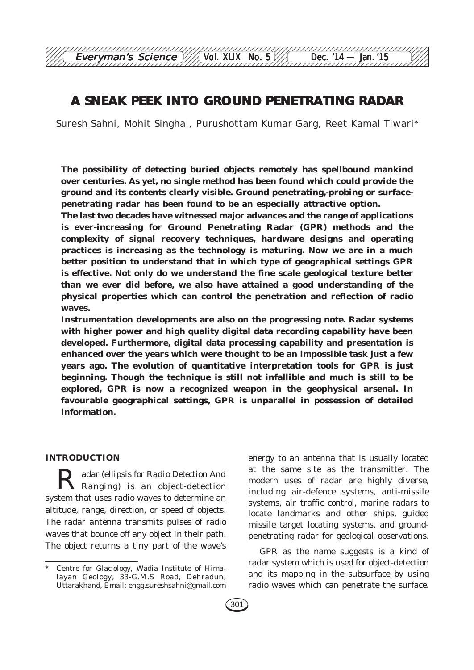# **A SNEAK PEEK INTO GROUND PENETRATING RADAR**

12345678901234567890123456789012123456789012345678901234567890121234567890123456789012345678 **Everyman's Science**  $\frac{1}{\sqrt{2}}$  Vol. XLIX No. 5 Dec. '14 — Jan. '15

Suresh Sahni, Mohit Singhal, Purushottam Kumar Garg, Reet Kamal Tiwari\*

**The possibility of detecting buried objects remotely has spellbound mankind over centuries. As yet, no single method has been found which could provide the ground and its contents clearly visible. Ground penetrating,-probing or surfacepenetrating radar has been found to be an especially attractive option.**

**The last two decades have witnessed major advances and the range of applications is ever-increasing for Ground Penetrating Radar (GPR) methods and the complexity of signal recovery techniques, hardware designs and operating practices is increasing as the technology is maturing. Now we are in a much better position to understand that in which type of geographical settings GPR is effective. Not only do we understand the fine scale geological texture better than we ever did before, we also have attained a good understanding of the physical properties which can control the penetration and reflection of radio waves.**

**Instrumentation developments are also on the progressing note. Radar systems with higher power and high quality digital data recording capability have been developed. Furthermore, digital data processing capability and presentation is enhanced over the years which were thought to be an impossible task just a few years ago. The evolution of quantitative interpretation tools for GPR is just beginning. Though the technique is still not infallible and much is still to be explored, GPR is now a recognized weapon in the geophysical arsenal. In favourable geographical settings, GPR is unparallel in possession of detailed information.**

#### **INTRODUCTION**

R adar (ellipsis for *Radio Detection And Ranging*) is an object-detection system that uses radio waves to determine an altitude, range, direction, or speed of objects. The radar antenna transmits pulses of radio waves that bounce off any object in their path. The object returns a tiny part of the wave's energy to an antenna that is usually located at the same site as the transmitter. The modern uses of radar are highly diverse, including air-defence systems, anti-missile systems, air traffic control, marine radars to locate landmarks and other ships, guided missile target locating systems, and groundpenetrating radar for geological observations.

GPR as the name suggests is a kind of radar system which is used for object-detection and its mapping in the subsurface by using radio waves which can penetrate the surface.

Centre for Glaciology, Wadia Institute of Himalayan Geology, 33-G.M.S Road, Dehradun, Uttarakhand, Email: engg.sureshsahni@gmail.com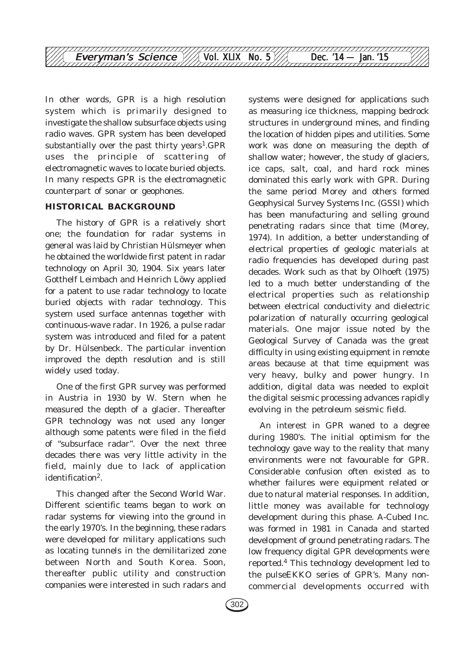

In other words, GPR is a high resolution system which is primarily designed to investigate the shallow subsurface objects using radio waves. GPR system has been developed substantially over the past thirty years<sup>1</sup>.GPR uses the principle of scattering of electromagnetic waves to locate buried objects. In many respects GPR is the electromagnetic counterpart of sonar or geophones.

#### **HISTORICAL BACKGROUND**

The history of GPR is a relatively short one; the foundation for radar systems in general was laid by Christian Hülsmeyer when he obtained the worldwide first patent in radar technology on April 30, 1904. Six years later Gotthelf Leimbach and Heinrich Löwy applied for a patent to use radar technology to locate buried objects with radar technology. This system used surface antennas together with continuous-wave radar. In 1926, a pulse radar system was introduced and filed for a patent by Dr. Hülsenbeck. The particular invention improved the depth resolution and is still widely used today.

One of the first GPR survey was performed in Austria in 1930 by W. Stern when he measured the depth of a glacier. Thereafter GPR technology was not used any longer although some patents were filed in the field of "subsurface radar". Over the next three decades there was very little activity in the field, mainly due to lack of application identification<sup>2</sup>.

This changed after the Second World War. Different scientific teams began to work on radar systems for viewing into the ground in the early 1970's. In the beginning, these radars were developed for military applications such as locating tunnels in the demilitarized zone between North and South Korea. Soon, thereafter public utility and construction companies were interested in such radars and systems were designed for applications such as measuring ice thickness, mapping bedrock structures in underground mines, and finding the location of hidden pipes and utilities. Some work was done on measuring the depth of shallow water; however, the study of glaciers, ice caps, salt, coal, and hard rock mines dominated this early work with GPR. During the same period Morey and others formed Geophysical Survey Systems Inc. (GSSI) which has been manufacturing and selling ground penetrating radars since that time (Morey, 1974). In addition, a better understanding of electrical properties of geologic materials at radio frequencies has developed during past decades. Work such as that by Olhoeft (1975) led to a much better understanding of the electrical properties such as relationship between electrical conductivity and dielectric polarization of naturally occurring geological materials. One major issue noted by the Geological Survey of Canada was the great difficulty in using existing equipment in remote areas because at that time equipment was very heavy, bulky and power hungry. In addition, digital data was needed to exploit the digital seismic processing advances rapidly evolving in the petroleum seismic field.

An interest in GPR waned to a degree during 1980's. The initial optimism for the technology gave way to the reality that many environments were not favourable for GPR. Considerable confusion often existed as to whether failures were equipment related or due to natural material responses. In addition, little money was available for technology development during this phase. A-Cubed Inc. was formed in 1981 in Canada and started development of ground penetrating radars. The low frequency digital GPR developments were reported.4 This technology development led to the pulseEKKO series of GPR's. Many noncommercial developments occurred with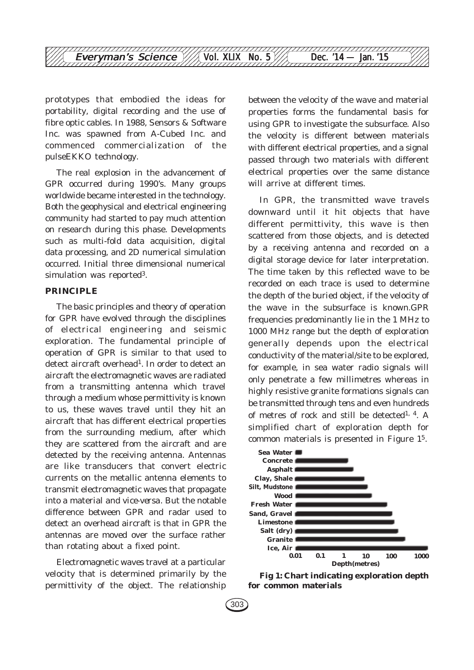

prototypes that embodied the ideas for portability, digital recording and the use of fibre optic cables. In 1988, Sensors & Software Inc. was spawned from A-Cubed Inc. and commenced commercialization of the pulseEKKO technology.

The real explosion in the advancement of GPR occurred during 1990's. Many groups worldwide became interested in the technology. Both the geophysical and electrical engineering community had started to pay much attention on research during this phase. Developments such as multi-fold data acquisition, digital data processing, and 2D numerical simulation occurred. Initial three dimensional numerical simulation was reported<sup>3</sup>.

#### **PRINCIPLE**

The basic principles and theory of operation for GPR have evolved through the disciplines of electrical engineering and seismic exploration. The fundamental principle of operation of GPR is similar to that used to detect aircraft overhead<sup>1</sup>. In order to detect an aircraft the electromagnetic waves are radiated from a transmitting antenna which travel through a medium whose permittivity is known to us, these waves travel until they hit an aircraft that has different electrical properties from the surrounding medium, after which they are scattered from the aircraft and are detected by the receiving antenna. Antennas are like transducers that convert electric currents on the metallic antenna elements to transmit electromagnetic waves that propagate into a material and *vice-versa*. But the notable difference between GPR and radar used to detect an overhead aircraft is that in GPR the antennas are moved over the surface rather than rotating about a fixed point.

Electromagnetic waves travel at a particular velocity that is determined primarily by the permittivity of the object. The relationship between the velocity of the wave and material properties forms the fundamental basis for using GPR to investigate the subsurface. Also the velocity is different between materials with different electrical properties, and a signal passed through two materials with different electrical properties over the same distance will arrive at different times.

In GPR, the transmitted wave travels downward until it hit objects that have different permittivity, this wave is then scattered from those objects, and is detected by a receiving antenna and recorded on a digital storage device for later interpretation. The time taken by this reflected wave to be recorded on each trace is used to determine the depth of the buried object, if the velocity of the wave in the subsurface is known.GPR frequencies predominantly lie in the 1 MHz to 1000 MHz range but the depth of exploration generally depends upon the electrical conductivity of the material/site to be explored, for example, in sea water radio signals will only penetrate a few millimetres whereas in highly resistive granite formations signals can be transmitted through tens and even hundreds of metres of rock and still be detected<sup>1, 4</sup>. A simplified chart of exploration depth for common materials is presented in Figure 15.





303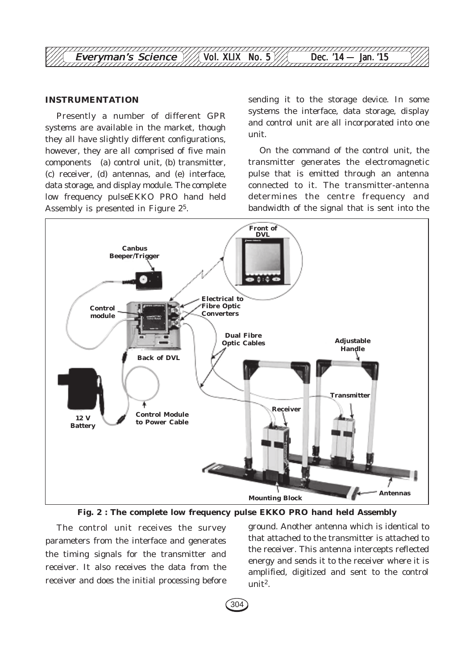

#### **INSTRUMENTATION**

Presently a number of different GPR systems are available in the market, though they all have slightly different configurations, however, they are all comprised of five main components (a) control unit, (b) transmitter, (c) receiver, (d) antennas, and (e) interface, data storage, and display module. The complete low frequency pulseEKKO PRO hand held Assembly is presented in Figure 25.

sending it to the storage device. In some systems the interface, data storage, display and control unit are all incorporated into one unit.

On the command of the control unit, the transmitter generates the electromagnetic pulse that is emitted through an antenna connected to it. The transmitter-antenna determines the centre frequency and bandwidth of the signal that is sent into the



**Fig. 2 : The complete low frequency pulse EKKO PRO hand held Assembly**

The control unit receives the survey parameters from the interface and generates the timing signals for the transmitter and receiver. It also receives the data from the receiver and does the initial processing before ground. Another antenna which is identical to that attached to the transmitter is attached to the receiver. This antenna intercepts reflected energy and sends it to the receiver where it is amplified, digitized and sent to the control unit<sup>2</sup>.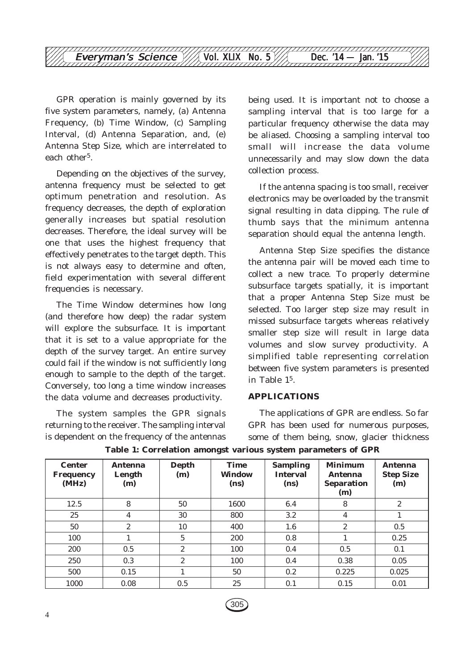

GPR operation is mainly governed by its five system parameters, namely, (a) Antenna Frequency, (b) Time Window, (c) Sampling Interval, (d) Antenna Separation, and, (e) Antenna Step Size, which are interrelated to each other<sup>5</sup>.

Depending on the objectives of the survey, antenna frequency must be selected to get optimum penetration and resolution. As frequency decreases, the depth of exploration generally increases but spatial resolution decreases. Therefore, the ideal survey will be one that uses the highest frequency that effectively penetrates to the target depth. This is not always easy to determine and often, field experimentation with several different frequencies is necessary.

The Time Window determines how long (and therefore how deep) the radar system will explore the subsurface. It is important that it is set to a value appropriate for the depth of the survey target. An entire survey could fail if the window is not sufficiently long enough to sample to the depth of the target. Conversely, too long a time window increases the data volume and decreases productivity.

The system samples the GPR signals returning to the receiver. The sampling interval is dependent on the frequency of the antennas being used. It is important not to choose a sampling interval that is too large for a particular frequency otherwise the data may be aliased. Choosing a sampling interval too small will increase the data volume unnecessarily and may slow down the data collection process.

If the antenna spacing is too small, receiver electronics may be overloaded by the transmit signal resulting in data clipping. The rule of thumb says that the minimum antenna separation should equal the antenna length.

Antenna Step Size specifies the distance the antenna pair will be moved each time to collect a new trace. To properly determine subsurface targets spatially, it is important that a proper Antenna Step Size must be selected. Too larger step size may result in missed subsurface targets whereas relatively smaller step size will result in large data volumes and slow survey productivity. A simplified table representing correlation between five system parameters is presented in Table 15.

#### **APPLICATIONS**

The applications of GPR are endless. So far GPR has been used for numerous purposes, some of them being, snow, glacier thickness

| <b>Center</b><br><b>Frequency</b><br>(MHz) | <b>Antenna</b><br>Length<br>(m) | Depth<br>(m)     | <b>Time</b><br><b>Window</b><br>(n <sub>s</sub> ) | <b>Sampling</b><br><b>Interval</b><br>(n <sub>s</sub> ) | <b>Minimum</b><br><b>Antenna</b><br><b>Separation</b><br>(m) | Antenna<br><b>Step Size</b><br>(m) |
|--------------------------------------------|---------------------------------|------------------|---------------------------------------------------|---------------------------------------------------------|--------------------------------------------------------------|------------------------------------|
| 12.5                                       | 8                               | 50               | 1600                                              | 6.4                                                     | 8                                                            | $\mathbf{2}$                       |
| 25                                         | 4                               | 30               | 800                                               | 3.2                                                     | 4                                                            |                                    |
| 50                                         | $\boldsymbol{2}$                | 10               | 400                                               | 1.6                                                     | $\overline{2}$                                               | 0.5                                |
| 100                                        |                                 | $\overline{5}$   | 200                                               | 0.8                                                     |                                                              | 0.25                               |
| 200                                        | 0.5                             | $\boldsymbol{2}$ | 100                                               | 0.4                                                     | 0.5                                                          | 0.1                                |
| 250                                        | 0.3                             | $\mathbf{2}$     | 100                                               | 0.4                                                     | 0.38                                                         | 0.05                               |
| 500                                        | 0.15                            |                  | 50                                                | 0.2                                                     | 0.225                                                        | 0.025                              |
| 1000                                       | 0.08                            | 0.5              | 25                                                | 0.1                                                     | 0.15                                                         | 0.01                               |

| Table 1: Correlation amongst various system parameters of GPR |  |  |  |
|---------------------------------------------------------------|--|--|--|
|                                                               |  |  |  |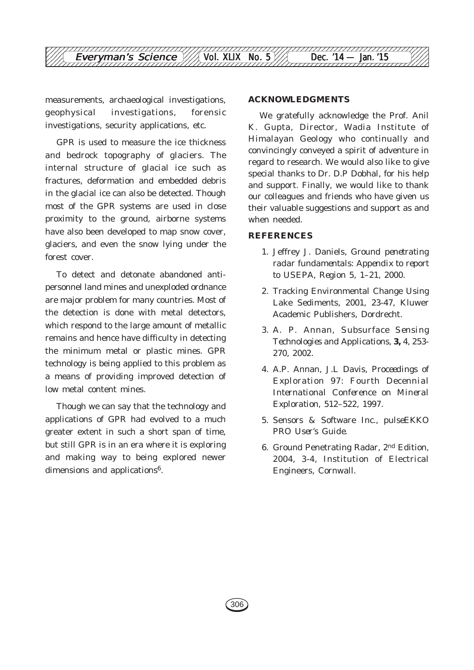

measurements, archaeological investigations, geophysical investigations, forensic investigations, security applications, etc.

GPR is used to measure the ice thickness and bedrock topography of glaciers. The internal structure of glacial ice such as fractures, deformation and embedded debris in the glacial ice can also be detected. Though most of the GPR systems are used in close proximity to the ground, airborne systems have also been developed to map snow cover, glaciers, and even the snow lying under the forest cover.

To detect and detonate abandoned antipersonnel land mines and unexploded ordnance are major problem for many countries. Most of the detection is done with metal detectors, which respond to the large amount of metallic remains and hence have difficulty in detecting the minimum metal or plastic mines. GPR technology is being applied to this problem as a means of providing improved detection of low metal content mines.

Though we can say that the technology and applications of GPR had evolved to a much greater extent in such a short span of time, but still GPR is in an era where it is exploring and making way to being explored newer dimensions and applications $6$ .

#### **ACKNOWLEDGMENTS**

We gratefully acknowledge the Prof. Anil K. Gupta, Director, Wadia Institute of Himalayan Geology who continually and convincingly conveyed a spirit of adventure in regard to research. We would also like to give special thanks to Dr. D.P Dobhal, for his help and support. Finally, we would like to thank our colleagues and friends who have given us their valuable suggestions and support as and when needed.

#### **REFERENCES**

- 1. Jeffrey J. Daniels, *Ground penetrating radar fundamentals: Appendix to report to USEPA, Region 5*, 1–21, 2000.
- 2. Tracking Environmental Change Using Lake Sediments, 2001, 23-47, Kluwer Academic Publishers, Dordrecht.
- 3. A. P. Annan, *Subsurface Sensing Technologies and Applications*, **3,** 4, 253- 270, 2002.
- 4. A.P. Annan, J.L Davis, *Proceedings of Exploration 97: Fourth Decennial International Conference on Mineral Exploration*, 512–522, 1997.
- 5. Sensors & Software Inc., *pulseEKKO PRO User's Guide*.
- 6. Ground Penetrating Radar, 2nd Edition, 2004, 3-4, Institution of Electrical Engineers, Cornwall.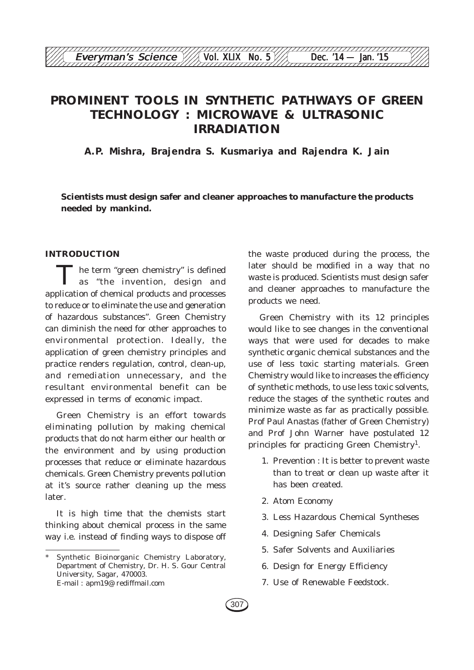# **PROMINENT TOOLS IN SYNTHETIC PATHWAYS OF GREEN TECHNOLOGY : MICROWAVE & ULTRASONIC IRRADIATION**

12345678901234567890123456789012123456789012345678901234567890121234567890123456789012345678 **Everyman's Science /// Vol. XLIX No. 5 /// Dec. '14 — Jan. '15** 12345678901234567890123456789012123456789012345678901234567890121234567890123456789012345678

**A.P. Mishra, Brajendra S. Kusmariya and Rajendra K. Jain**

**Scientists must design safer and cleaner approaches to manufacture the products needed by mankind.**

#### **INTRODUCTION**

The term "green chemistry" is defined as "the invention, design and application of chemical products and processes to reduce or to eliminate the use and generation of hazardous substances". Green Chemistry can diminish the need for other approaches to environmental protection. Ideally, the application of green chemistry principles and practice renders regulation, control, clean-up, and remediation unnecessary, and the resultant environmental benefit can be expressed in terms of economic impact.

Green Chemistry is an effort towards eliminating pollution by making chemical products that do not harm either our health or the environment and by using production processes that reduce or eliminate hazardous chemicals. Green Chemistry prevents pollution at it's source rather cleaning up the mess later.

It is high time that the chemists start thinking about chemical process in the same way i.e. instead of finding ways to dispose off the waste produced during the process, the later should be modified in a way that no waste is produced. Scientists must design safer and cleaner approaches to manufacture the products we need.

Green Chemistry with its 12 principles would like to see changes in the conventional ways that were used for decades to make synthetic organic chemical substances and the use of less toxic starting materials. Green Chemistry would like to increases the efficiency of synthetic methods, to use less toxic solvents, reduce the stages of the synthetic routes and minimize waste as far as practically possible. Prof Paul Anastas (father of Green Chemistry) and Prof John Warner have postulated 12 principles for practicing Green Chemistry1.

- 1. Prevention : It is better to prevent waste than to treat or clean up waste after it has been created.
- 2. Atom Economy
- 3. Less Hazardous Chemical Syntheses
- 4. Designing Safer Chemicals
- 5. Safer Solvents and Auxiliaries
- 6. Design for Energy Efficiency
- 7. Use of Renewable Feedstock.

Synthetic Bioinorganic Chemistry Laboratory, Department of Chemistry, Dr. H. S. Gour Central University, Sagar, 470003. E-mail : apm19@ rediffmail.com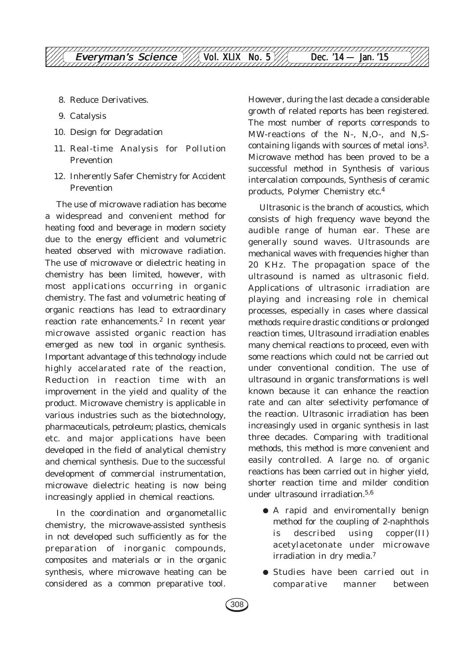

- 8. Reduce Derivatives.
- 9. Catalysis
- 10. Design for Degradation
- 11. Real-time Analysis for Pollution Prevention
- 12. Inherently Safer Chemistry for Accident Prevention

The use of microwave radiation has become a widespread and convenient method for heating food and beverage in modern society due to the energy efficient and volumetric heated observed with microwave radiation. The use of microwave or dielectric heating in chemistry has been limited, however, with most applications occurring in organic chemistry. The fast and volumetric heating of organic reactions has lead to extraordinary reaction rate enhancements.2 In recent year microwave assisted organic reaction has emerged as new tool in organic synthesis. Important advantage of this technology include highly accelarated rate of the reaction, Reduction in reaction time with an improvement in the yield and quality of the product. Microwave chemistry is applicable in various industries such as the biotechnology, pharmaceuticals, petroleum; plastics, chemicals etc. and major applications have been developed in the field of analytical chemistry and chemical synthesis. Due to the successful development of commercial instrumentation, microwave dielectric heating is now being increasingly applied in chemical reactions.

In the coordination and organometallic chemistry, the microwave-assisted synthesis in not developed such sufficiently as for the preparation of inorganic compounds, composites and materials or in the organic synthesis, where microwave heating can be considered as a common preparative tool.

However, during the last decade a considerable growth of related reports has been registered. The most number of reports corresponds to MW-reactions of the N-, N,O-, and N,Scontaining ligands with sources of metal ions<sup>3</sup>. Microwave method has been proved to be a successful method in Synthesis of various intercalation compounds, Synthesis of ceramic products, Polymer Chemistry etc.4

Ultrasonic is the branch of acoustics, which consists of high frequency wave beyond the audible range of human ear. These are generally sound waves. Ultrasounds are mechanical waves with frequencies higher than 20 KHz. The propagation space of the ultrasound is named as ultrasonic field. Applications of ultrasonic irradiation are playing and increasing role in chemical processes, especially in cases where classical methods require drastic conditions or prolonged reaction times, Ultrasound irradiation enables many chemical reactions to proceed, even with some reactions which could not be carried out under conventional condition. The use of ultrasound in organic transformations is well known because it can enhance the reaction rate and can alter selectivity perfomance of the reaction. Ultrasonic irradiation has been increasingly used in organic synthesis in last three decades. Comparing with traditional methods, this method is more convenient and easily controlled. A large no. of organic reactions has been carried out in higher yield, shorter reaction time and milder condition under ultrasound irradiation.<sup>5,6</sup>

- A rapid and enviromentally benign method for the coupling of 2-naphthols is described using copper(II) acetylacetonate under microwave irradiation in dry media.7
- Studies have been carried out in comparative manner between

308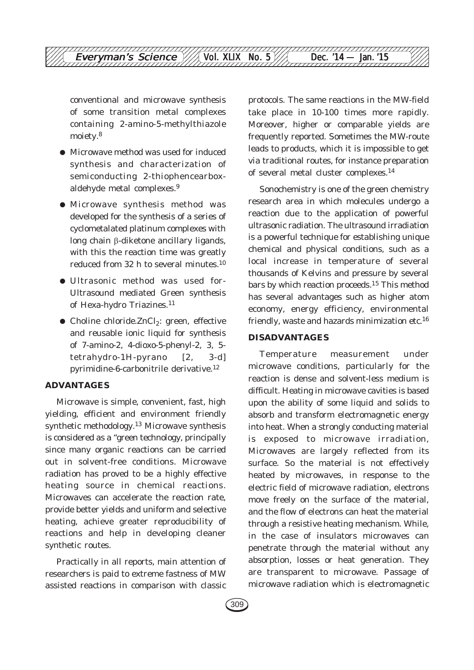

conventional and microwave synthesis of some transition metal complexes containing 2-amino-5-methylthiazole moiety.8

- Microwave method was used for induced synthesis and characterization of semiconducting 2-thiophencearboxaldehyde metal complexes.9
- Microwave synthesis method was developed for the synthesis of a series of cyclometalated platinum complexes with long chain β-diketone ancillary ligands, with this the reaction time was greatly reduced from 32 h to several minutes.10
- Ultrasonic method was used for-Ultrasound mediated Green synthesis of Hexa-hydro Triazines.11
- $\bullet$  Choline chloride.ZnCl<sub>2</sub>: green, effective and reusable ionic liquid for synthesis of 7-amino-2, 4-dioxo-5-phenyl-2, 3, 5 tetrahydro-1*H*-pyrano [2, 3-d] pyrimidine-6-carbonitrile derivative.12

#### **ADVANTAGES**

Microwave is simple, convenient, fast, high yielding, efficient and environment friendly synthetic methodology.13 Microwave synthesis is considered as a "green technology, principally since many organic reactions can be carried out in solvent-free conditions. Microwave radiation has proved to be a highly effective heating source in chemical reactions. Microwaves can accelerate the reaction rate, provide better yields and uniform and selective heating, achieve greater reproducibility of reactions and help in developing cleaner synthetic routes.

Practically in all reports, main attention of researchers is paid to extreme fastness of MW assisted reactions in comparison with classic protocols. The same reactions in the MW-field take place in 10-100 times more rapidly. Moreover, higher or comparable yields are frequently reported. Sometimes the MW-route leads to products, which it is impossible to get *via* traditional routes, for instance preparation of several metal cluster complexes.14

Sonochemistry is one of the green chemistry research area in which molecules undergo a reaction due to the application of powerful ultrasonic radiation. The ultrasound irradiation is a powerful technique for establishing unique chemical and physical conditions, such as a local increase in temperature of several thousands of Kelvins and pressure by several bars by which reaction proceeds.15 This method has several advantages such as higher atom economy, energy efficiency, environmental friendly, waste and hazards minimization etc.16

#### **DISADVANTAGES**

Temperature measurement under microwave conditions, particularly for the reaction is dense and solvent-less medium is difficult. Heating in microwave cavities is based upon the ability of some liquid and solids to absorb and transform electromagnetic energy into heat. When a strongly conducting material is exposed to microwave irradiation, Microwaves are largely reflected from its surface. So the material is not effectively heated by microwaves, in response to the electric field of microwave radiation, electrons move freely on the surface of the material, and the flow of electrons can heat the material through a resistive heating mechanism. While, in the case of insulators microwaves can penetrate through the material without any absorption, losses or heat generation. They are transparent to microwave. Passage of microwave radiation which is electromagnetic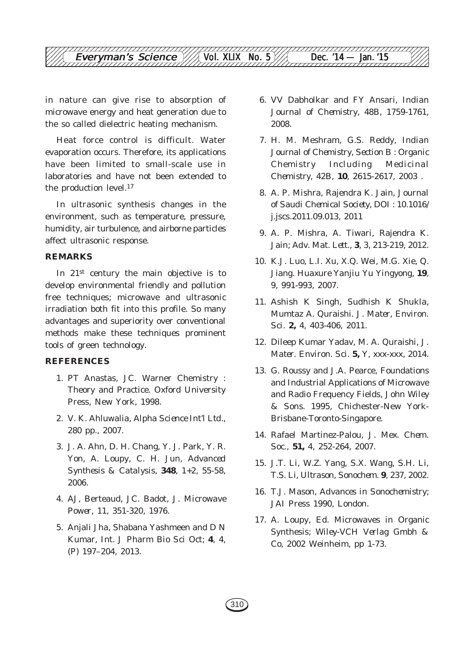in nature can give rise to absorption of microwave energy and heat generation due to the so called dielectric heating mechanism.

Heat force control is difficult. Water evaporation occurs. Therefore, its applications have been limited to small-scale use in laboratories and have not been extended to the production level.17

In ultrasonic synthesis changes in the environment, such as temperature, pressure, humidity, air turbulence, and airborne particles affect ultrasonic response.

#### **REMARKS**

In 21st century the main objective is to develop environmental friendly and pollution free techniques; microwave and ultrasonic irradiation both fit into this profile. So many advantages and superiority over conventional methods make these techniques prominent tools of green technology.

#### **REFERENCES**

- 1. PT Anastas, JC. Warner Chemistry : Theory and Practice. Oxford University Press, New York, 1998.
- 2. V. K. Ahluwalia, *Alpha Science Int'l Ltd*., 280 pp., 2007.
- 3. J. A. Ahn, D. H. Chang, Y. J. Park, Y. R. Yon, A. Loupy, C. H. Jun, *Advanced Synthesis & Catalysis*, **348**, 1+2, 55-58, 2006.
- 4. AJ, Berteaud, JC. Badot, *J. Microwave Power*, 11, 351-320, 1976.
- 5. Anjali Jha, Shabana Yashmeen and D N Kumar, *Int. J Pharm Bio Sci* Oct; **4**, 4, (P) 197–204, 2013.
- 6. VV Dabholkar and FY Ansari, *Indian Journal of Chemistry*, 48B, 1759-1761, 2008.
- 7. H. M. Meshram, G.S. Reddy, *Indian Journal of Chemistry, Section B : Organic Chemistry Including Medicinal Chemistry*, 42B, **10**, 2615-2617, 2003 .
- 8. A. P. Mishra, Rajendra K. Jain, *Journal of Saudi Chemical Society,* DOI : 10.1016/ j.jscs.2011.09.013, 2011
- 9. A. P. Mishra, A. Tiwari, Rajendra K. Jain; *Adv. Mat. Lett.*, **3**, 3, 213-219, 2012.
- 10. K.J. Luo, L.I. Xu, X.Q. Wei, M.G. Xie, Q. Jiang. *Huaxure Yanjiu Yu Yingyong*, **19**, 9, 991-993, 2007.
- 11. Ashish K Singh, Sudhish K Shukla, Mumtaz A. Quraishi. *J. Mater, Environ. Sci*. **2,** 4, 403-406, 2011.
- 12. Dileep Kumar Yadav, M. A. Quraishi, *J. Mater. Environ. Sci*. **5,** Y, xxx-xxx, 2014.
- 13. G. Roussy and J.A. Pearce, Foundations and Industrial Applications of Microwave and Radio Frequency Fields, *John Wiley & Sons*. 1995, Chichester-New York-Brisbane-Toronto-Singapore.
- 14. Rafael Martinez-Palou, *J. Mex. Chem. Soc.*, **51,** 4, 252-264, 2007.
- 15. J.T. Li, W.Z. Yang, S.X. Wang, S.H. Li, T.S. Li, *Ultrason, Sonochem*. **9**, 237, 2002.
- 16. T.J. Mason, *Advances in Sonochemistry*; JAI Press 1990, London.
- 17. A. Loupy, Ed. Microwaves in Organic Synthesis; *Wiley-VCH Verlag Gmbh & Co,* 2002 Weinheim, pp 1-73.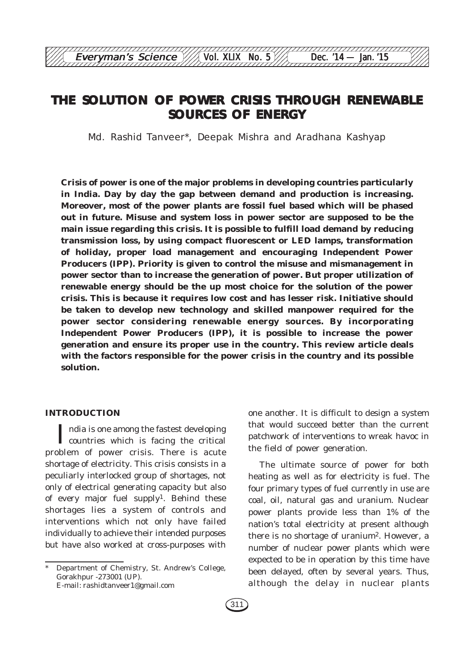# **THE SOLUTION OF POWER CRISIS THROUGH RENEWABLE SOURCES OF ENERGY**

12345678901234567890123456789012123456789012345678901234567890121234567890123456789012345678 **Everyman's Science**  $\frac{1}{\sqrt{2}}$  Vol. XLIX No. 5 Dec. '14 — Jan. '15

Md. Rashid Tanveer\*, Deepak Mishra and Aradhana Kashyap

**Crisis of power is one of the major problems in developing countries particularly in India. Day by day the gap between demand and production is increasing. Moreover, most of the power plants are fossil fuel based which will be phased out in future. Misuse and system loss in power sector are supposed to be the main issue regarding this crisis. It is possible to fulfill load demand by reducing transmission loss, by using compact fluorescent or LED lamps, transformation of holiday, proper load management and encouraging Independent Power Producers (IPP). Priority is given to control the misuse and mismanagement in power sector than to increase the generation of power. But proper utilization of renewable energy should be the up most choice for the solution of the power crisis. This is because it requires low cost and has lesser risk. Initiative should be taken to develop new technology and skilled manpower required for the power sector considering renewable energy sources. By incorporating Independent Power Producers (IPP), it is possible to increase the power generation and ensure its proper use in the country. This review article deals with the factors responsible for the power crisis in the country and its possible solution.**

#### **INTRODUCTION**

ndia is one among the fastest developing countries which is facing the critical problem of power crisis. There is acute shortage of electricity. This crisis consists in a peculiarly interlocked group of shortages, not only of electrical generating capacity but also of every major fuel supply<sup>1</sup>. Behind these shortages lies a system of controls and interventions which not only have failed individually to achieve their intended purposes but have also worked at cross-purposes with one another. It is difficult to design a system that would succeed better than the current patchwork of interventions to wreak havoc in the field of power generation.

The ultimate source of power for both heating as well as for electricity is fuel. The four primary types of fuel currently in use are coal, oil, natural gas and uranium. Nuclear power plants provide less than 1% of the nation's total electricity at present although there is no shortage of uranium2. However, a number of nuclear power plants which were expected to be in operation by this time have been delayed, often by several years. Thus, although the delay in nuclear plants

Department of Chemistry, St. Andrew's College, Gorakhpur -273001 (UP). E-mail: rashidtanveer1@gmail.com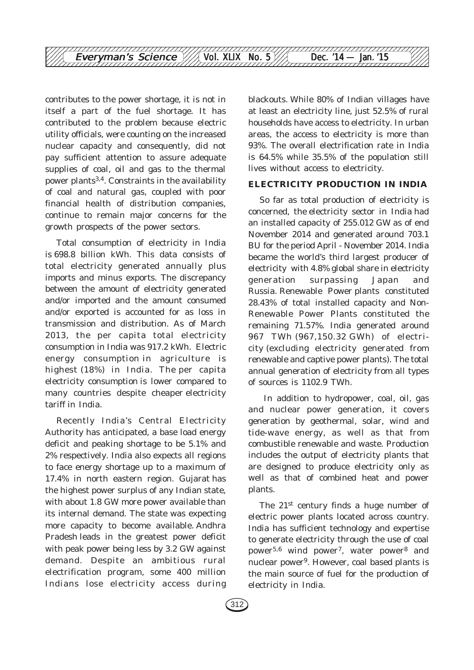

contributes to the power shortage, it is not in itself a part of the fuel shortage. It has contributed to the problem because electric utility officials, were counting on the increased nuclear capacity and consequently, did not pay sufficient attention to assure adequate supplies of coal, oil and gas to the thermal power plants $3,4$ . Constraints in the availability of coal and natural gas, coupled with poor financial health of distribution companies, continue to remain major concerns for the growth prospects of the power sectors.

Total consumption of electricity in India is 698.8 billion kWh. This data consists of total electricity generated annually plus imports and minus exports. The discrepancy between the amount of electricity generated and/or imported and the amount consumed and/or exported is accounted for as loss in transmission and distribution. As of March 2013, the per capita total electricity consumption in India was 917.2 kWh. Electric energy consumption in agriculture is highest (18%) in India. The per capita electricity consumption is lower compared to many countries despite cheaper electricity tariff in India.

Recently India's Central Electricity Authority has anticipated, a base load energy deficit and peaking shortage to be 5.1% and 2% respectively. India also expects all regions to face energy shortage up to a maximum of 17.4% in north eastern region. Gujarat has the highest power surplus of any Indian state, with about 1.8 GW more power available than its internal demand. The state was expecting more capacity to become available. Andhra Pradesh leads in the greatest power deficit with peak power being less by 3.2 GW against demand. Despite an ambitious rural electrification program, some 400 million Indians lose electricity access during blackouts. While 80% of Indian villages have at least an electricity line, just 52.5% of rural households have access to electricity. In urban areas, the access to electricity is more than 93%. The overall electrification rate in India is 64.5% while 35.5% of the population still lives without access to electricity.

#### **ELECTRICITY PRODUCTION IN INDIA**

So far as total production of electricity is concerned, the electricity sector in India had an installed capacity of 255.012 GW as of end November 2014 and generated around 703.1 BU for the period April - November 2014. India became the world's third largest producer of electricity with 4.8% global share in electricity generation surpassing Japan and Russia. Renewable Power plants constituted 28.43% of total installed capacity and Non-Renewable Power Plants constituted the remaining 71.57%. India generated around 967 TWh (967,150.32 GWh) of electricity (excluding electricity generated from renewable and captive power plants). The total annual generation of electricity from all types of sources is 1102.9 TWh.

 In addition to hydropower, coal, oil, gas and nuclear power generation, it covers generation by geothermal, solar, wind and tide-wave energy, as well as that from combustible renewable and waste. Production includes the output of electricity plants that are designed to produce electricity only as well as that of combined heat and power plants.

The 21<sup>st</sup> century finds a huge number of electric power plants located across country. India has sufficient technology and expertise to generate electricity through the use of coal power5,6 wind power7, water power8 and nuclear power9. However, coal based plants is the main source of fuel for the production of electricity in India.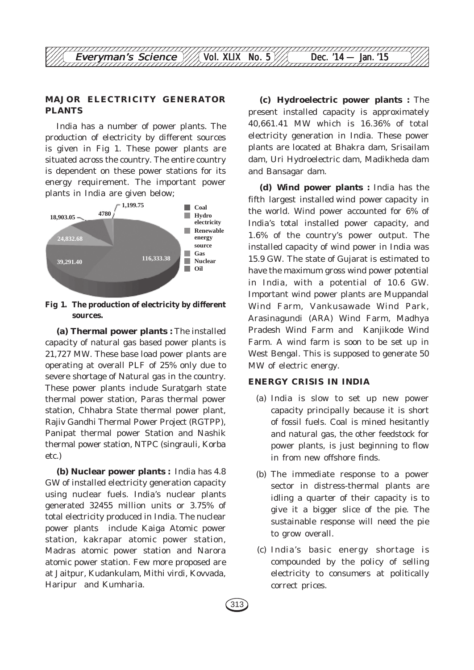

#### **MAJOR ELECTRICITY GENERATOR PLANTS**

India has a number of power plants. The production of electricity by different sources is given in Fig 1. These power plants are situated across the country. The entire country is dependent on these power stations for its energy requirement. The important power plants in India are given below;



**Fig 1. The production of electricity by different sources.**

**(a) Thermal power plants :** The installed capacity of natural gas based power plants is 21,727 MW. These base load power plants are operating at overall PLF of 25% only due to severe shortage of Natural gas in the country. These power plants include Suratgarh state thermal power station, Paras thermal power station, Chhabra State thermal power plant, Rajiv Gandhi Thermal Power Project (RGTPP), Panipat thermal power Station and Nashik thermal power station, NTPC (singrauli, Korba etc.)

**(b) Nuclear power plants :** India has 4.8 GW of installed electricity generation capacity using nuclear fuels. India's nuclear plants generated 32455 million units or 3.75% of total electricity produced in India. The nuclear power plants include Kaiga Atomic power station, kakrapar atomic power station, Madras atomic power station and Narora atomic power station. Few more proposed are at Jaitpur, Kudankulam, Mithi virdi, Kovvada, Haripur and Kumharia.

**(c) Hydroelectric power plants :** The present installed capacity is approximately 40,661.41 MW which is 16.36% of total electricity generation in India. These power plants are located at Bhakra dam, Srisailam dam, Uri Hydroelectric dam, Madikheda dam and Bansagar dam.

**(d) Wind power plants :** India has the fifth largest installed wind power capacity in the world. Wind power accounted for 6% of India's total installed power capacity, and 1.6% of the country's power output. The installed capacity of wind power in India was 15.9 GW. The state of Gujarat is estimated to have the maximum gross wind power potential in India, with a potential of 10.6 GW. Important wind power plants are Muppandal Wind Farm, Vankusawade Wind Park, Arasinagundi (ARA) Wind Farm, Madhya Pradesh Wind Farm and Kanjikode Wind Farm. A wind farm is soon to be set up in West Bengal. This is supposed to generate 50 MW of electric energy.

#### **ENERGY CRISIS IN INDIA**

- (a) India is slow to set up new power capacity principally because it is short of fossil fuels. Coal is mined hesitantly and natural gas, the other feedstock for power plants, is just beginning to flow in from new offshore finds.
- (b) The immediate response to a power sector in distress-thermal plants are idling a quarter of their capacity is to give it a bigger slice of the pie. The sustainable response will need the pie to grow overall.
- (c) India's basic energy shortage is compounded by the policy of selling electricity to consumers at politically correct prices.

313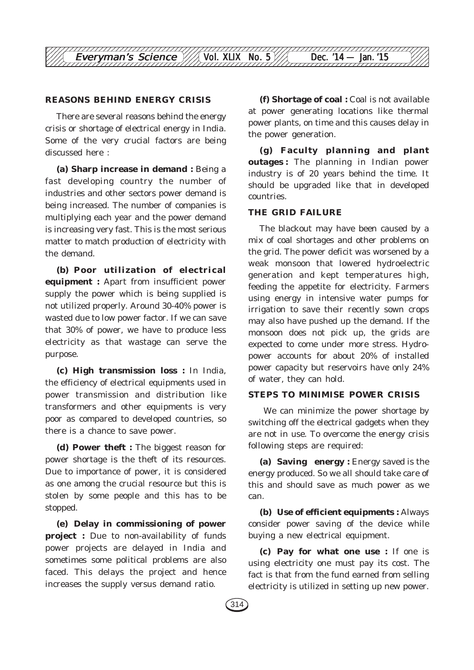

#### **REASONS BEHIND ENERGY CRISIS**

There are several reasons behind the energy crisis or shortage of electrical energy in India. Some of the very crucial factors are being discussed here :

**(a) Sharp increase in demand :** Being a fast developing country the number of industries and other sectors power demand is being increased. The number of companies is multiplying each year and the power demand is increasing very fast. This is the most serious matter to match production of electricity with the demand.

**(b) Poor utilization of electrical equipment :** Apart from insufficient power supply the power which is being supplied is not utilized properly. Around 30-40% power is wasted due to low power factor. If we can save that 30% of power, we have to produce less electricity as that wastage can serve the purpose.

**(c) High transmission loss :** In India, the efficiency of electrical equipments used in power transmission and distribution like transformers and other equipments is very poor as compared to developed countries, so there is a chance to save power.

**(d) Power theft :** The biggest reason for power shortage is the theft of its resources. Due to importance of power, it is considered as one among the crucial resource but this is stolen by some people and this has to be stopped.

**(e) Delay in commissioning of power project :** Due to non-availability of funds power projects are delayed in India and sometimes some political problems are also faced. This delays the project and hence increases the supply versus demand ratio.

**(f) Shortage of coal :** Coal is not available at power generating locations like thermal power plants, on time and this causes delay in the power generation.

**(g) Faculty planning and plant outages :** The planning in Indian power industry is of 20 years behind the time. It should be upgraded like that in developed countries.

#### **THE GRID FAILURE**

The blackout may have been caused by a mix of coal shortages and other problems on the grid. The power deficit was worsened by a weak monsoon that lowered hydroelectric generation and kept temperatures high, feeding the appetite for electricity. Farmers using energy in intensive water pumps for irrigation to save their recently sown crops may also have pushed up the demand. If the monsoon does not pick up, the grids are expected to come under more stress. Hydropower accounts for about 20% of installed power capacity but reservoirs have only 24% of water, they can hold.

#### **STEPS TO MINIMISE POWER CRISIS**

 We can minimize the power shortage by switching off the electrical gadgets when they are not in use. To overcome the energy crisis following steps are required:

**(a) Saving energy :** Energy saved is the energy produced. So we all should take care of this and should save as much power as we can.

**(b) Use of efficient equipments :** Always consider power saving of the device while buying a new electrical equipment.

**(c) Pay for what one use :** If one is using electricity one must pay its cost. The fact is that from the fund earned from selling electricity is utilized in setting up new power.

314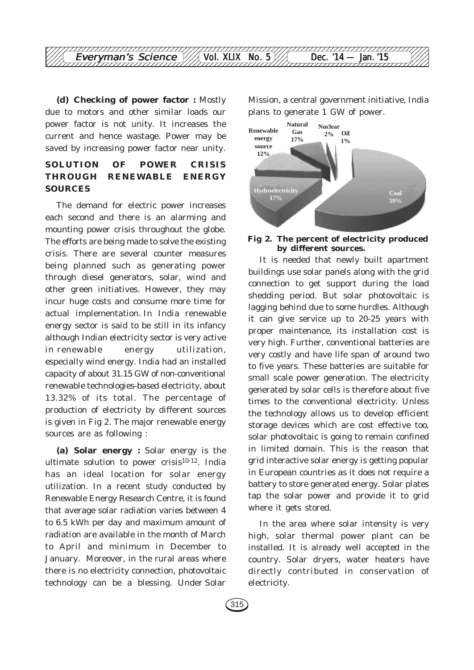

**(d) Checking of power factor :** Mostly due to motors and other similar loads our power factor is not unity. It increases the current and hence wastage. Power may be saved by increasing power factor near unity.

#### **SOLUTION OF POWER CRISIS THROUGH RENEWABLE ENERGY SOURCES**

The demand for electric power increases each second and there is an alarming and mounting power crisis throughout the globe. The efforts are being made to solve the existing crisis. There are several counter measures being planned such as generating power through diesel generators, solar, wind and other green initiatives. However, they may incur huge costs and consume more time for actual implementation. In India renewable energy sector is said to be still in its infancy although Indian electricity sector is very active in renewable energy utilization, especially wind energy. India had an installed capacity of about 31.15 GW of non-conventional renewable technologies-based electricity, about 13.32% of its total. The percentage of production of electricity by different sources is given in Fig 2. The major renewable energy sources are as following :

**(a) Solar energy :** Solar energy is the ultimate solution to power crisis $10-12$ . India has an ideal location for solar energy utilization. In a recent study conducted by Renewable Energy Research Centre, it is found that average solar radiation varies between 4 to 6.5 kWh per day and maximum amount of radiation are available in the month of March to April and minimum in December to January. Moreover, in the rural areas where there is no electricity connection, photovoltaic technology can be a blessing. Under Solar

Mission, a central government initiative, India plans to generate 1 GW of power.



#### **Fig 2. The percent of electricity produced by different sources.**

It is needed that newly built apartment buildings use solar panels along with the grid connection to get support during the load shedding period. But solar photovoltaic is lagging behind due to some hurdles. Although it can give service up to 20-25 years with proper maintenance, its installation cost is very high. Further, conventional batteries are very costly and have life span of around two to five years. These batteries are suitable for small scale power generation. The electricity generated by solar cells is therefore about five times to the conventional electricity. Unless the technology allows us to develop efficient storage devices which are cost effective too, solar photovoltaic is going to remain confined in limited domain. This is the reason that grid interactive solar energy is getting popular in European countries as it does not require a battery to store generated energy. Solar plates tap the solar power and provide it to grid where it gets stored.

In the area where solar intensity is very high, solar thermal power plant can be installed. It is already well accepted in the country. Solar dryers, water heaters have directly contributed in conservation of electricity.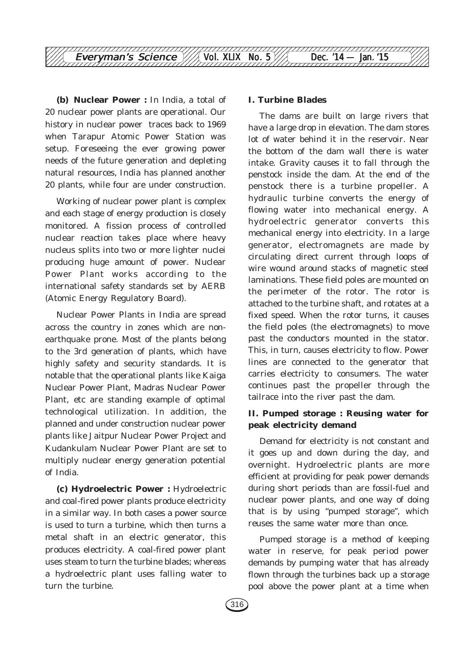

**(b) Nuclear Power :** In India, a total of 20 nuclear power plants are operational. Our history in nuclear power traces back to 1969 when Tarapur Atomic Power Station was setup. Foreseeing the ever growing power needs of the future generation and depleting natural resources, India has planned another 20 plants, while four are under construction.

Working of nuclear power plant is complex and each stage of energy production is closely monitored. A fission process of controlled nuclear reaction takes place where heavy nucleus splits into two or more lighter nuclei producing huge amount of power. Nuclear Power Plant works according to the international safety standards set by AERB (Atomic Energy Regulatory Board).

Nuclear Power Plants in India are spread across the country in zones which are nonearthquake prone. Most of the plants belong to the 3rd generation of plants, which have highly safety and security standards. It is notable that the operational plants like Kaiga Nuclear Power Plant, Madras Nuclear Power Plant, etc are standing example of optimal technological utilization. In addition, the planned and under construction nuclear power plants like Jaitpur Nuclear Power Project and Kudankulam Nuclear Power Plant are set to multiply nuclear energy generation potential of India.

**(c) Hydroelectric Power :** Hydroelectric and coal-fired power plants produce electricity in a similar way. In both cases a power source is used to turn a turbine, which then turns a metal shaft in an electric generator, this produces electricity. A coal-fired power plant uses steam to turn the turbine blades; whereas a hydroelectric plant uses falling water to turn the turbine.

#### **I. Turbine Blades**

The dams are built on large rivers that have a large drop in elevation. The dam stores lot of water behind it in the reservoir. Near the bottom of the dam wall there is water intake. Gravity causes it to fall through the penstock inside the dam. At the end of the penstock there is a turbine propeller. A hydraulic turbine converts the energy of flowing water into mechanical energy. A hydroelectric generator converts this mechanical energy into electricity. In a large generator, electromagnets are made by circulating direct current through loops of wire wound around stacks of magnetic steel laminations. These field poles are mounted on the perimeter of the rotor. The rotor is attached to the turbine shaft, and rotates at a fixed speed. When the rotor turns, it causes the field poles (the electromagnets) to move past the conductors mounted in the stator. This, in turn, causes electricity to flow. Power lines are connected to the generator that carries electricity to consumers. The water continues past the propeller through the tailrace into the river past the dam.

#### **II. Pumped storage : Reusing water for peak electricity demand**

Demand for electricity is not constant and it goes up and down during the day, and overnight. Hydroelectric plants are more efficient at providing for peak power demands during short periods than are fossil-fuel and nuclear power plants, and one way of doing that is by using "pumped storage", which reuses the same water more than once.

Pumped storage is a method of keeping water in reserve, for peak period power demands by pumping water that has already flown through the turbines back up a storage pool above the power plant at a time when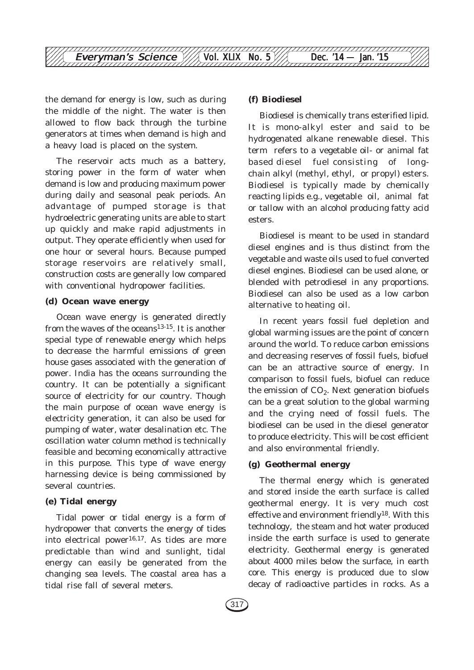

the demand for energy is low, such as during the middle of the night. The water is then allowed to flow back through the turbine generators at times when demand is high and a heavy load is placed on the system.

The reservoir acts much as a battery, storing power in the form of water when demand is low and producing maximum power during daily and seasonal peak periods. An advantage of pumped storage is that hydroelectric generating units are able to start up quickly and make rapid adjustments in output. They operate efficiently when used for one hour or several hours. Because pumped storage reservoirs are relatively small, construction costs are generally low compared with conventional hydropower facilities.

#### **(d) Ocean wave energy**

Ocean wave energy is generated directly from the waves of the oceans<sup>13-15</sup>. It is another special type of renewable energy which helps to decrease the harmful emissions of green house gases associated with the generation of power. India has the oceans surrounding the country. It can be potentially a significant source of electricity for our country. Though the main purpose of ocean wave energy is electricity generation, it can also be used for pumping of water, water desalination etc. The oscillation water column method is technically feasible and becoming economically attractive in this purpose. This type of wave energy harnessing device is being commissioned by several countries.

#### **(e) Tidal energy**

Tidal power or tidal energy is a form of hydropower that converts the energy of tides into electrical power<sup>16,17</sup>. As tides are more predictable than wind and sunlight, tidal energy can easily be generated from the changing sea levels. The coastal area has a tidal rise fall of several meters.

#### **(f) Biodiesel**

Biodiesel is chemically trans esterified lipid. It is mono-alkyl ester and said to be hydrogenated alkane renewable diesel. This term refers to a vegetable oil- or animal fat based diesel fuel consisting of longchain alkyl (methyl, ethyl, or propyl) esters. Biodiesel is typically made by chemically reacting lipids e.g., vegetable oil, animal fat or tallow with an alcohol producing fatty acid esters.

Biodiesel is meant to be used in standard diesel engines and is thus distinct from the vegetable and waste oils used to fuel converted diesel engines. Biodiesel can be used alone, or blended with petrodiesel in any proportions. Biodiesel can also be used as a low carbon alternative to heating oil.

In recent years fossil fuel depletion and global warming issues are the point of concern around the world. To reduce carbon emissions and decreasing reserves of fossil fuels, biofuel can be an attractive source of energy. In comparison to fossil fuels, biofuel can reduce the emission of  $CO<sub>2</sub>$ . Next generation biofuels can be a great solution to the global warming and the crying need of fossil fuels. The biodiesel can be used in the diesel generator to produce electricity. This will be cost efficient and also environmental friendly.

#### **(g) Geothermal energy**

The thermal energy which is generated and stored inside the earth surface is called geothermal energy. It is very much cost effective and environment friendly18. With this technology, the steam and hot water produced inside the earth surface is used to generate electricity. Geothermal energy is generated about 4000 miles below the surface, in earth core. This energy is produced due to slow decay of radioactive particles in rocks. As a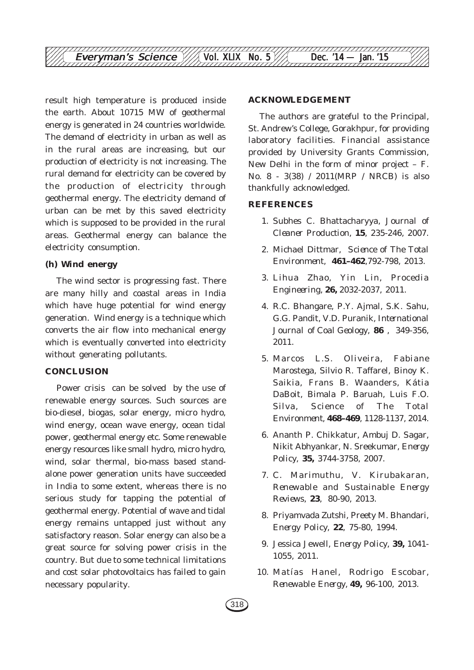

result high temperature is produced inside the earth. About 10715 MW of geothermal energy is generated in 24 countries worldwide. The demand of electricity in urban as well as in the rural areas are increasing, but our production of electricity is not increasing. The rural demand for electricity can be covered by the production of electricity through geothermal energy. The electricity demand of urban can be met by this saved electricity which is supposed to be provided in the rural areas. Geothermal energy can balance the electricity consumption.

#### **(h) Wind energy**

The wind sector is progressing fast. There are many hilly and coastal areas in India which have huge potential for wind energy generation. Wind energy is a technique which converts the air flow into mechanical energy which is eventually converted into electricity without generating pollutants.

#### **CONCLUSION**

Power crisis can be solved by the use of renewable energy sources. Such sources are bio-diesel, biogas, solar energy, micro hydro, wind energy, ocean wave energy, ocean tidal power, geothermal energy etc. Some renewable energy resources like small hydro, micro hydro, wind, solar thermal, bio-mass based standalone power generation units have succeeded in India to some extent, whereas there is no serious study for tapping the potential of geothermal energy. Potential of wave and tidal energy remains untapped just without any satisfactory reason. Solar energy can also be a great source for solving power crisis in the country. But due to some technical limitations and cost solar photovoltaics has failed to gain necessary popularity.

#### **ACKNOWLEDGEMENT**

The authors are grateful to the Principal, St. Andrew's College, Gorakhpur, for providing laboratory facilities. Financial assistance provided by University Grants Commission, New Delhi in the form of minor project – F. No. 8 - 3(38) / 2011(MRP / NRCB) is also thankfully acknowledged.

#### **REFERENCES**

- 1. Subhes C. Bhattacharyya, *Journal of Cleaner Production,* **15**, 235-246, 2007*.*
- 2. Michael Dittmar, *Science of The Total Environment,* **461–462**,792-798, 2013*.*
- 3. Lihua Zhao, Yin Lin, *Procedia Engineering,* **26,** 2032-2037, 2011.
- 4. R.C. Bhangare, P.Y. Ajmal, S.K. Sahu, G.G. Pandit, V.D. Puranik, *International Journal of Coal Geology,* **86** , 349-356, 2011.
- 5. Marcos L.S. Oliveira, Fabiane Marostega, Silvio R. Taffarel, Binoy K. Saikia, Frans B. Waanders, Kátia DaBoit, Bimala P. Baruah, Luis F.O. Silva, *Science of The Total Environment,* **468–469**, 1128-1137, 2014.
- 6. Ananth P. Chikkatur, Ambuj D. Sagar, Nikit Abhyankar, N. Sreekumar, *Energy Policy,* **35,** 3744-3758, 2007.
- 7. C. Marimuthu, V. Kirubakaran, *Renewable and Sustainable Energy Reviews,* **23**, 80-90, 2013.
- 8. Priyamvada Zutshi, Preety M. Bhandari, *Energy Policy,* **22**, 75-80, 1994.
- 9. Jessica Jewell, *Energy Policy,* **39,** 1041- 1055, 2011.
- 10. Matías Hanel, Rodrigo Escobar, *Renewable Energy,* **49,** 96-100, 2013.

318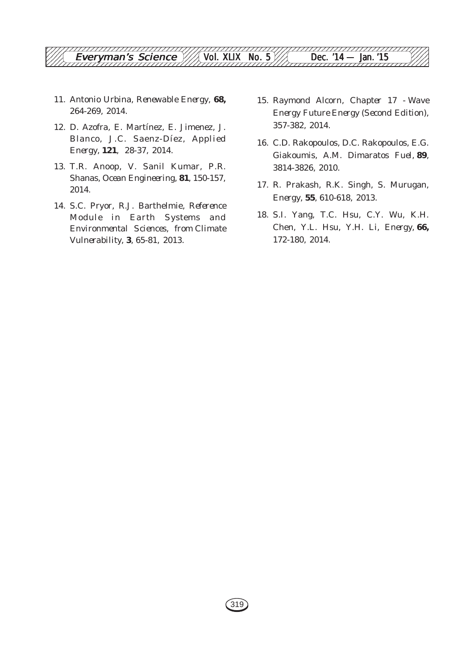- 11. Antonio Urbina, *Renewable Energy,* **68,** 264-269, 2014.
- 12. D. Azofra, E. Martínez, E. Jimenez, J. Blanco, J.C. Saenz-Díez, *Applied Energy,* **121**, 28-37, 2014.
- 13. T.R. Anoop, V. Sanil Kumar, P.R. Shanas, *Ocean Engineering,* **81**, 150-157, 2014.
- 14. S.C. Pryor, R.J. Barthelmie, *Reference Module in Earth Systems and Environmental Sciences, from Climate Vulnerability*, **3**, 65-81, 2013.
- 15. Raymond Alcorn, *Chapter 17 Wave Energy Future Energy (Second Edition),* 357-382, 2014.
- 16. C.D. Rakopoulos, D.C. Rakopoulos, E.G. Giakoumis, A.M. Dimaratos *Fuel,* **89**, 3814-3826, 2010.
- 17. R. Prakash, R.K. Singh, S. Murugan, *Energy,* **55**, 610-618, 2013.
- 18. S.I. Yang, T.C. Hsu, C.Y. Wu, K.H. Chen, Y.L. Hsu, Y.H. Li, *Energy,* **66,** 172-180, 2014.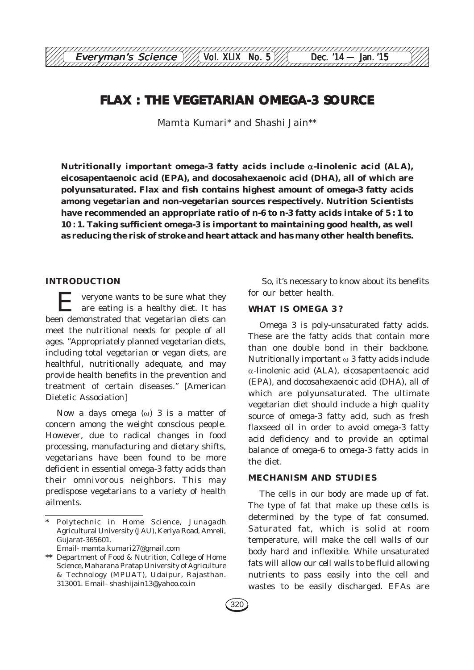# **FLAX : THE VEGETARIAN OMEGA-3 SOURCE**

12345678901234567890123456789012123456789012345678901234567890121234567890123456789012345678 **Everyman's Science**  $\frac{1}{\sqrt{2}}$  Vol. XLIX No. 5 Dec. '14 — Jan. '15

Mamta Kumari\* and Shashi Jain\*\*

**Nutritionally important omega-3 fatty acids include** α**-linolenic acid (ALA), eicosapentaenoic acid (EPA), and docosahexaenoic acid (DHA), all of which are polyunsaturated. Flax and fish contains highest amount of omega-3 fatty acids among vegetarian and non-vegetarian sources respectively. Nutrition Scientists have recommended an appropriate ratio of n-6 to n-3 fatty acids intake of 5 : 1 to 10 : 1. Taking sufficient omega-3 is important to maintaining good health, as well as reducing the risk of stroke and heart attack and has many other health benefits.**

#### **INTRODUCTION**

E veryone wants to be sure what they are eating is a healthy diet. It has been demonstrated that vegetarian diets can meet the nutritional needs for people of all ages. "Appropriately planned vegetarian diets, including total vegetarian or vegan diets, are healthful, nutritionally adequate, and may provide health benefits in the prevention and treatment of certain diseases." [American Dietetic Association]

Now a days omega (ω) 3 is a matter of concern among the weight conscious people. However, due to radical changes in food processing, manufacturing and dietary shifts, vegetarians have been found to be more deficient in essential omega-3 fatty acids than their omnivorous neighbors. This may predispose vegetarians to a variety of health ailments.

 So, it's necessary to know about its benefits for our better health.

#### **WHAT IS OMEGA 3 ?**

Omega 3 is poly-unsaturated fatty acids. These are the fatty acids that contain more than one double bond in their backbone. Nutritionally important ω 3 fatty acids include α-linolenic acid (ALA), eicosapentaenoic acid (EPA), and docosahexaenoic acid (DHA), all of which are polyunsaturated. The ultimate vegetarian diet should include a high quality source of omega-3 fatty acid, such as fresh flaxseed oil in order to avoid omega-3 fatty acid deficiency and to provide an optimal balance of omega-6 to omega-3 fatty acids in the diet.

#### **MECHANISM AND STUDIES**

The cells in our body are made up of fat. The type of fat that make up these cells is determined by the type of fat consumed. Saturated fat, which is solid at room temperature, will make the cell walls of our body hard and inflexible. While unsaturated fats will allow our cell walls to be fluid allowing nutrients to pass easily into the cell and wastes to be easily discharged. EFAs are

**<sup>\*</sup>** Polytechnic in Home Science, Junagadh Agricultural University (JAU), Keriya Road, Amreli, Gujarat-365601.

Email- mamta.kumari27@gmail.com

**<sup>\*\*</sup>** Department of Food & Nutrition, College of Home Science, Maharana Pratap University of Agriculture & Technology (MPUAT), Udaipur, Rajasthan. 313001. Email- shashijain13@yahoo.co.in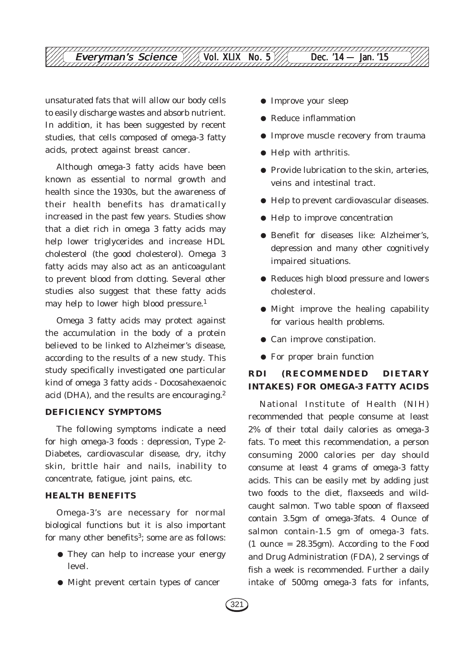unsaturated fats that will allow our body cells to easily discharge wastes and absorb nutrient. In addition, it has been suggested by recent studies, that cells composed of omega-3 fatty acids, protect against breast cancer.

Although omega-3 fatty acids have been known as essential to normal growth and health since the 1930s, but the awareness of their health benefits has dramatically increased in the past few years. Studies show that a diet rich in omega 3 fatty acids may help lower triglycerides and increase HDL cholesterol (the good cholesterol). Omega 3 fatty acids may also act as an anticoagulant to prevent blood from clotting. Several other studies also suggest that these fatty acids may help to lower high blood pressure.1

Omega 3 fatty acids may protect against the accumulation in the body of a protein believed to be linked to Alzheimer's disease, according to the results of a new study. This study specifically investigated one particular kind of omega 3 fatty acids - Docosahexaenoic acid (DHA), and the results are encouraging.2

#### **DEFICIENCY SYMPTOMS**

The following symptoms indicate a need for high omega-3 foods : depression, Type 2- Diabetes, cardiovascular disease, dry, itchy skin, brittle hair and nails, inability to concentrate, fatigue, joint pains, etc.

#### **HEALTH BENEFITS**

Omega-3's are necessary for normal biological functions but it is also important for many other benefits<sup>3</sup>; some are as follows:

- They can help to increase your energy level.
- Might prevent certain types of cancer
- Improve your sleep
- Reduce inflammation
- Improve muscle recovery from trauma
- Help with arthritis.
- Provide lubrication to the skin, arteries, veins and intestinal tract.
- Help to prevent cardiovascular diseases.
- Help to improve concentration
- Benefit for diseases like: Alzheimer's, depression and many other cognitively impaired situations.
- Reduces high blood pressure and lowers cholesterol.
- Might improve the healing capability for various health problems.
- Can improve constipation.
- For proper brain function

#### **RDI (RECOMMENDED DIETARY INTAKES) FOR OMEGA-3 FATTY ACIDS**

National Institute of Health (NIH) recommended that people consume at least 2% of their total daily calories as omega-3 fats. To meet this recommendation, a person consuming 2000 calories per day should consume at least 4 grams of omega-3 fatty acids. This can be easily met by adding just two foods to the diet, flaxseeds and wildcaught salmon. Two table spoon of flaxseed contain 3.5gm of omega-3fats. 4 Ounce of salmon contain-1.5 gm of omega-3 fats. (1 ounce = 28.35gm). According to the Food and Drug Administration (FDA), 2 servings of fish a week is recommended. Further a daily intake of 500mg omega-3 fats for infants,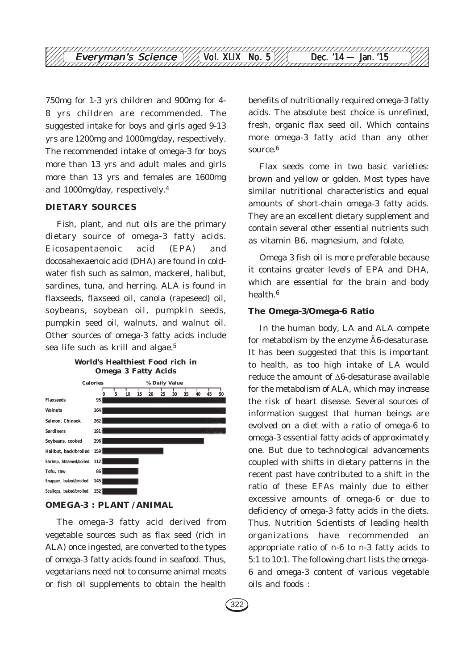

750mg for 1-3 yrs children and 900mg for 4- 8 yrs children are recommended. The suggested intake for boys and girls aged 9-13 yrs are 1200mg and 1000mg/day, respectively. The recommended intake of omega-3 for boys more than 13 yrs and adult males and girls more than 13 yrs and females are 1600mg and 1000mg/day, respectively.4

#### **DIETARY SOURCES**

Fish, plant, and nut oils are the primary dietary source of omega-3 fatty acids. Eicosapentaenoic acid (EPA) and docosahexaenoic acid (DHA) are found in coldwater fish such as salmon, mackerel, halibut, sardines, tuna, and herring. ALA is found in flaxseeds, flaxseed oil, canola (rapeseed) oil, soybeans, soybean oil, pumpkin seeds, pumpkin seed oil, walnuts, and walnut oil. Other sources of omega-3 fatty acids include sea life such as krill and algae.<sup>5</sup>



#### **OMEGA-3 : PLANT / ANIMAL**

The omega-3 fatty acid derived from vegetable sources such as flax seed (rich in ALA) once ingested, are converted to the types of omega-3 fatty acids found in seafood. Thus, vegetarians need not to consume animal meats or fish oil supplements to obtain the health benefits of nutritionally required omega-3 fatty acids. The absolute best choice is unrefined, fresh, organic flax seed oil. Which contains more omega-3 fatty acid than any other source.6

Flax seeds come in two basic varieties: brown and yellow or golden. Most types have similar nutritional characteristics and equal amounts of short-chain omega-3 fatty acids. They are an excellent dietary supplement and contain several other essential nutrients such as vitamin B6, magnesium, and folate.

Omega 3 fish oil is more preferable because it contains greater levels of EPA and DHA, which are essential for the brain and body health.6

#### **The Omega-3/Omega-6 Ratio**

In the human body, LA and ALA compete for metabolism by the enzyme Ä6-desaturase. It has been suggested that this is important to health, as too high intake of LA would reduce the amount of Δ6-desaturase available for the metabolism of ALA, which may increase the risk of heart disease. Several sources of information suggest that human beings are evolved on a diet with a ratio of omega-6 to omega-3 essential fatty acids of approximately one. But due to technological advancements coupled with shifts in dietary patterns in the recent past have contributed to a shift in the ratio of these EFAs mainly due to either excessive amounts of omega-6 or due to deficiency of omega-3 fatty acids in the diets. Thus, Nutrition Scientists of leading health organizations have recommended appropriate ratio of n-6 to n-3 fatty acids to 5:1 to 10:1. The following chart lists the omega-6 and omega-3 content of various vegetable oils and foods :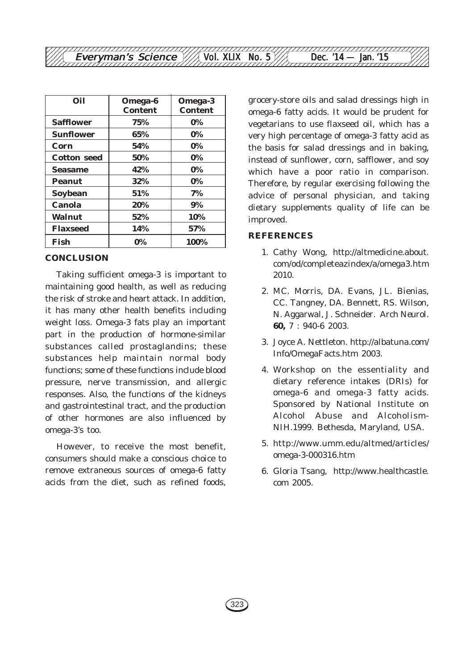#### 12345678901234567890123456789012123456789012345678901234567890121234567890123456789012345678 123456789012345<del>689012345678901234567891234567891212345</del>789123456789012345678901234567890123456789012345678901234 Which Everyman's Science  $\mathbb{V}/\mathbb{A}$  Vol. XLIX No. 5  $\mathbb{V}/\mathbb{A}$  Dec. '14 — Jan. '15 12345678901234567890123456789012123456789012345678901234567890121234567890123456789012345678

| Oil                | Omega-6<br><b>Content</b> | Omega-3<br><b>Content</b> |
|--------------------|---------------------------|---------------------------|
| <b>Safflower</b>   | 75%                       | $0\%$                     |
| <b>Sunflower</b>   | 65%                       | $0\%$                     |
| Corn               | 54%                       | $0\%$                     |
| <b>Cotton seed</b> | 50%                       | $0\%$                     |
| <b>Seasame</b>     | 42%                       | $0\%$                     |
| <b>Peanut</b>      | 32%                       | $0\%$                     |
| Soybean            | 51%                       | 7%                        |
| Canola             | 20%                       | 9%                        |
| Walnut             | 52%                       | 10%                       |
| <b>Flaxseed</b>    | 14%                       | 57%                       |
| Fish               | $0\%$                     | 100%                      |

#### **CONCLUSION**

Taking sufficient omega-3 is important to maintaining good health, as well as reducing the risk of stroke and heart attack. In addition, it has many other health benefits including weight loss. Omega-3 fats play an important part in the production of hormone-similar substances called prostaglandins; these substances help maintain normal body functions; some of these functions include blood pressure, nerve transmission, and allergic responses. Also, the functions of the kidneys and gastrointestinal tract, and the production of other hormones are also influenced by omega-3's too.

However, to receive the most benefit, consumers should make a conscious choice to remove extraneous sources of omega-6 fatty acids from the diet, such as refined foods, grocery-store oils and salad dressings high in omega-6 fatty acids. It would be prudent for vegetarians to use flaxseed oil, which has a very high percentage of omega-3 fatty acid as the basis for salad dressings and in baking, instead of sunflower, corn, safflower, and soy which have a poor ratio in comparison. Therefore, by regular exercising following the advice of personal physician, and taking dietary supplements quality of life can be improved.

#### **REFERENCES**

- 1. Cathy Wong, http://altmedicine.about. com/od/completeazindex/a/omega3.htm 2010.
- 2. MC. Morris, DA. Evans, JL. Bienias, CC. Tangney, DA. Bennett, RS. Wilson, N. Aggarwal, J. Schneider. *Arch Neurol*. **60,** 7 : 940-6 2003.
- 3. Joyce A. Nettleton. http://albatuna.com/ Info/OmegaFacts.htm 2003.
- 4. Workshop on the essentiality and dietary reference intakes (DRIs) for omega-6 and omega-3 fatty acids. Sponsored by National Institute on Alcohol Abuse and Alcoholism-NIH.1999. Bethesda, Maryland, USA.
- 5. http://www.umm.edu/altmed/articles/ omega-3-000316.htm
- 6. Gloria Tsang, http://www.healthcastle. com 2005.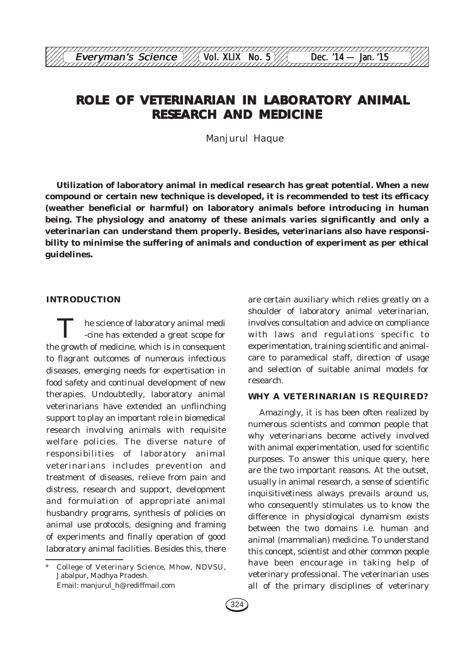# **ROLE OF VETERINARIAN IN LABORATORY ANIMAL RESEARCH AND MEDICINE**

Manjurul Haque

**Utilization of laboratory animal in medical research has great potential. When a new compound or certain new technique is developed, it is recommended to test its efficacy (weather beneficial or harmful) on laboratory animals before introducing in human being. The physiology and anatomy of these animals varies significantly and only a veterinarian can understand them properly. Besides, veterinarians also have responsibility to minimise the suffering of animals and conduction of experiment as per ethical guidelines.**

#### **INTRODUCTION**

he science of laboratory animal medi -cine has extended a great scope for the growth of medicine, which is in consequent to flagrant outcomes of numerous infectious diseases, emerging needs for expertisation in food safety and continual development of new therapies. Undoubtedly, laboratory animal veterinarians have extended an unflinching support to play an important role in biomedical research involving animals with requisite welfare policies. The diverse nature of responsibilities of laboratory animal veterinarians includes prevention and treatment of diseases, relieve from pain and distress, research and support, development and formulation of appropriate animal husbandry programs, synthesis of policies on animal use protocols, designing and framing of experiments and finally operation of good laboratory animal facilities. Besides this, there

College of Veterinary Science, Mhow, NDVSU, Jabalpur, Madhya Pradesh. Email: manjurul\_h@ rediffmail.com

are certain auxiliary which relies greatly on a shoulder of laboratory animal veterinarian, involves consultation and advice on compliance with laws and regulations specific to experimentation, training scientific and animalcare to paramedical staff, direction of usage and selection of suitable animal models for research.

#### **WHY A VETERINARIAN IS REQUIRED?**

Amazingly, it is has been often realized by numerous scientists and common people that why veterinarians become actively involved with animal experimentation, used for scientific purposes. To answer this unique query, here are the two important reasons. At the outset, usually in animal research, a sense of scientific inquisitivetiness always prevails around us, who consequently stimulates us to know the difference in physiological dynamism exists between the two domains i.e. human and animal (mammalian) medicine. To understand this concept, scientist and other common people have been encourage in taking help of veterinary professional. The veterinarian uses all of the primary disciplines of veterinary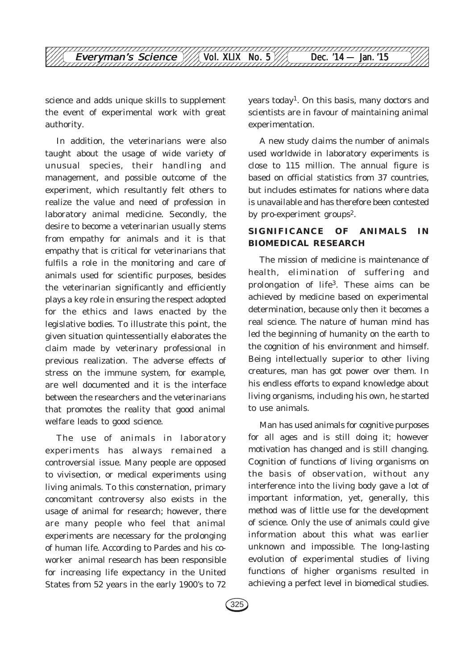

science and adds unique skills to supplement the event of experimental work with great authority.

In addition, the veterinarians were also taught about the usage of wide variety of unusual species, their handling and management, and possible outcome of the experiment, which resultantly felt others to realize the value and need of profession in laboratory animal medicine. Secondly, the desire to become a veterinarian usually stems from empathy for animals and it is that empathy that is critical for veterinarians that fulfils a role in the monitoring and care of animals used for scientific purposes, besides the veterinarian significantly and efficiently plays a key role in ensuring the respect adopted for the ethics and laws enacted by the legislative bodies. To illustrate this point, the given situation quintessentially elaborates the claim made by veterinary professional in previous realization. The adverse effects of stress on the immune system, for example, are well documented and it is the interface between the researchers and the veterinarians that promotes the reality that good animal welfare leads to good science.

The use of animals in laboratory experiments has always remained a controversial issue. Many people are opposed to vivisection, or medical experiments using living animals. To this consternation, primary concomitant controversy also exists in the usage of animal for research; however, there are many people who feel that animal experiments are necessary for the prolonging of human life. According to Pardes and his coworker animal research has been responsible for increasing life expectancy in the United States from 52 years in the early 1900's to 72

years today1. On this basis, many doctors and scientists are in favour of maintaining animal experimentation.

A new study claims the number of animals used worldwide in laboratory experiments is close to 115 million. The annual figure is based on official statistics from 37 countries, but includes estimates for nations where data is unavailable and has therefore been contested by pro-experiment groups<sup>2</sup>.

#### **SIGNIFICANCE OF ANIMALS IN BIOMEDICAL RESEARCH**

The mission of medicine is maintenance of health, elimination of suffering and prolongation of life3. These aims can be achieved by medicine based on experimental determination, because only then it becomes a real science. The nature of human mind has led the beginning of humanity on the earth to the cognition of his environment and himself. Being intellectually superior to other living creatures, man has got power over them. In his endless efforts to expand knowledge about living organisms, including his own, he started to use animals.

Man has used animals for cognitive purposes for all ages and is still doing it; however motivation has changed and is still changing. Cognition of functions of living organisms on the basis of observation, without any interference into the living body gave a lot of important information, yet, generally, this method was of little use for the development of science. Only the use of animals could give information about this what was earlier unknown and impossible. The long-lasting evolution of experimental studies of living functions of higher organisms resulted in achieving a perfect level in biomedical studies.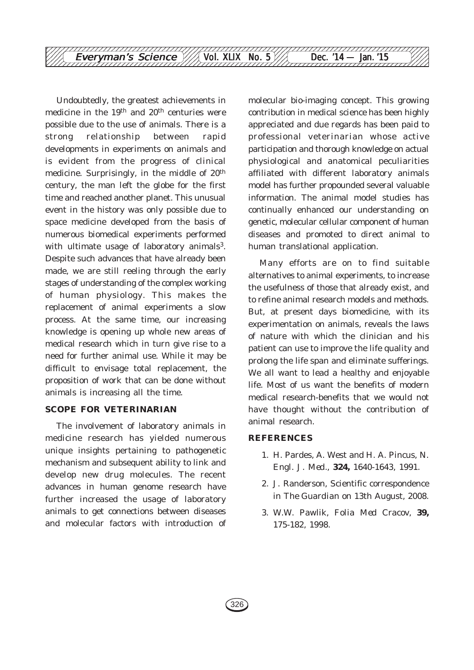Undoubtedly, the greatest achievements in medicine in the 19th and 20th centuries were possible due to the use of animals. There is a strong relationship between rapid developments in experiments on animals and is evident from the progress of clinical medicine. Surprisingly, in the middle of  $20<sup>th</sup>$ century, the man left the globe for the first time and reached another planet. This unusual event in the history was only possible due to space medicine developed from the basis of numerous biomedical experiments performed with ultimate usage of laboratory animals<sup>3</sup>. Despite such advances that have already been made, we are still reeling through the early stages of understanding of the complex working of human physiology. This makes the replacement of animal experiments a slow process. At the same time, our increasing knowledge is opening up whole new areas of medical research which in turn give rise to a need for further animal use. While it may be difficult to envisage total replacement, the proposition of work that can be done without animals is increasing all the time.

#### **SCOPE FOR VETERINARIAN**

The involvement of laboratory animals in medicine research has yielded numerous unique insights pertaining to pathogenetic mechanism and subsequent ability to link and develop new drug molecules. The recent advances in human genome research have further increased the usage of laboratory animals to get connections between diseases and molecular factors with introduction of molecular bio-imaging concept. This growing contribution in medical science has been highly appreciated and due regards has been paid to professional veterinarian whose active participation and thorough knowledge on actual physiological and anatomical peculiarities affiliated with different laboratory animals model has further propounded several valuable information. The animal model studies has continually enhanced our understanding on genetic, molecular cellular component of human diseases and promoted to direct animal to human translational application.

Many efforts are on to find suitable alternatives to animal experiments, to increase the usefulness of those that already exist, and to refine animal research models and methods. But, at present days biomedicine, with its experimentation on animals, reveals the laws of nature with which the clinician and his patient can use to improve the life quality and prolong the life span and eliminate sufferings. We all want to lead a healthy and enjoyable life. Most of us want the benefits of modern medical research-benefits that we would not have thought without the contribution of animal research.

#### **REFERENCES**

- 1. H. Pardes, A. West and H. A. Pincus, *N. Engl. J. Med*., **324,** 1640-1643, 1991.
- 2. J. Randerson, Scientific correspondence in *The Guardian* on 13th August, 2008.
- 3. W.W. Pawlik, *Folia Med Cracov*, **39,** 175-182, 1998.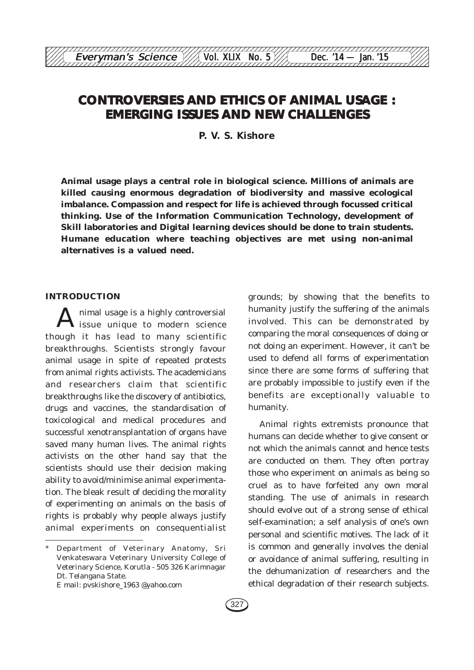# **CONTROVERSIES AND ETHICS OF ANIMAL USAGE : EMERGING ISSUES AND NEW CHALLENGES**

**P. V. S. Kishore**

**Animal usage plays a central role in biological science. Millions of animals are killed causing enormous degradation of biodiversity and massive ecological imbalance. Compassion and respect for life is achieved through focussed critical thinking. Use of the Information Communication Technology, development of Skill laboratories and Digital learning devices should be done to train students. Humane education where teaching objectives are met using non-animal alternatives is a valued need.**

#### **INTRODUCTION**

nimal usage is a highly controversial I issue unique to modern science though it has lead to many scientific breakthroughs. Scientists strongly favour animal usage in spite of repeated protests from animal rights activists. The academicians and researchers claim that scientific breakthroughs like the discovery of antibiotics, drugs and vaccines, the standardisation of toxicological and medical procedures and successful xenotransplantation of organs have saved many human lives. The animal rights activists on the other hand say that the scientists should use their decision making ability to avoid/minimise animal experimentation. The bleak result of deciding the morality of experimenting on animals on the basis of rights is probably why people always justify animal experiments on consequentialist grounds; by showing that the benefits to humanity justify the suffering of the animals involved. This can be demonstrated by comparing the moral consequences of doing or not doing an experiment. However, it can't be used to defend all forms of experimentation since there are some forms of suffering that are probably impossible to justify even if the benefits are exceptionally valuable to humanity.

Animal rights extremists pronounce that humans can decide whether to give consent or not which the animals cannot and hence tests are conducted on them. They often portray those who experiment on animals as being so cruel as to have forfeited any own moral standing. The use of animals in research should evolve out of a strong sense of ethical self-examination; a self analysis of one's own personal and scientific motives. The lack of it is common and generally involves the denial or avoidance of animal suffering, resulting in the dehumanization of researchers and the ethical degradation of their research subjects.

Department of Veterinary Anatomy, Sri Venkateswara Veterinary University College of Veterinary Science, Korutla - 505 326 Karimnagar Dt. Telangana State.

E mail: pvskishore\_1963 @yahoo.com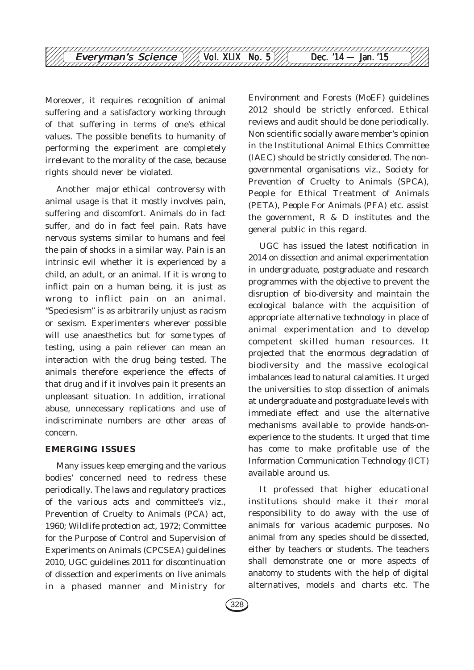Moreover, it requires recognition of animal suffering and a satisfactory working through of that suffering in terms of one's ethical values. The possible benefits to humanity of performing the experiment are completely irrelevant to the morality of the case, because rights should never be violated.

Another major ethical controversy with animal usage is that it mostly involves pain, suffering and discomfort. Animals do in fact suffer, and do in fact feel pain. Rats have nervous systems similar to humans and feel the pain of shocks in a similar way. Pain is an intrinsic evil whether it is experienced by a child, an adult, or an animal. If it is wrong to inflict pain on a human being, it is just as wrong to inflict pain on an animal. "Speciesism" is as arbitrarily unjust as racism or sexism. Experimenters wherever possible will use anaesthetics but for some types of testing, using a pain reliever can mean an interaction with the drug being tested. The animals therefore experience the effects of that drug and if it involves pain it presents an unpleasant situation. In addition, irrational abuse, unnecessary replications and use of indiscriminate numbers are other areas of concern.

#### **EMERGING ISSUES**

Many issues keep emerging and the various bodies' concerned need to redress these periodically. The laws and regulatory practices of the various acts and committee's viz., Prevention of Cruelty to Animals (PCA) act, 1960; Wildlife protection act, 1972; Committee for the Purpose of Control and Supervision of Experiments on Animals (CPCSEA) guidelines 2010, UGC guidelines 2011 for discontinuation of dissection and experiments on live animals in a phased manner and Ministry for

Environment and Forests (MoEF) guidelines 2012 should be strictly enforced. Ethical reviews and audit should be done periodically. Non scientific socially aware member's opinion in the Institutional Animal Ethics Committee (IAEC) should be strictly considered. The nongovernmental organisations viz., Society for Prevention of Cruelty to Animals (SPCA), People for Ethical Treatment of Animals (PETA), People For Animals (PFA) etc. assist the government, R & D institutes and the general public in this regard.

UGC has issued the latest notification in 2014 on dissection and animal experimentation in undergraduate, postgraduate and research programmes with the objective to prevent the disruption of bio-diversity and maintain the ecological balance with the acquisition of appropriate alternative technology in place of animal experimentation and to develop competent skilled human resources. It projected that the enormous degradation of biodiversity and the massive ecological imbalances lead to natural calamities. It urged the universities to stop dissection of animals at undergraduate and postgraduate levels with immediate effect and use the alternative mechanisms available to provide hands-onexperience to the students. It urged that time has come to make profitable use of the Information Communication Technology (ICT) available around us.

It professed that higher educational institutions should make it their moral responsibility to do away with the use of animals for various academic purposes. No animal from any species should be dissected, either by teachers or students. The teachers shall demonstrate one or more aspects of anatomy to students with the help of digital alternatives, models and charts etc. The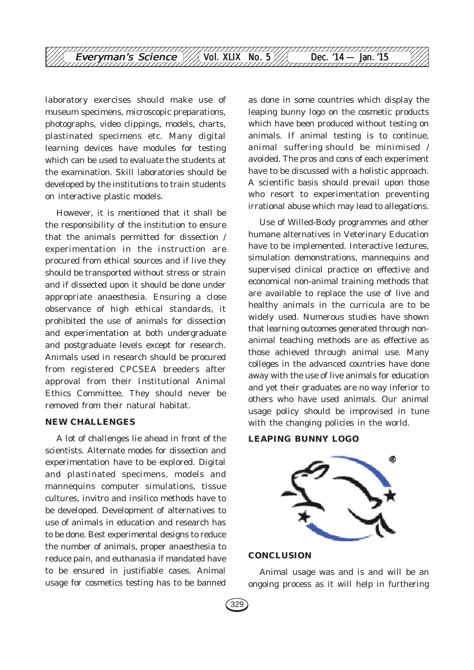

laboratory exercises should make use of museum specimens, microscopic preparations, photographs, video clippings, models, charts, plastinated specimens etc. Many digital learning devices have modules for testing which can be used to evaluate the students at the examination. Skill laboratories should be developed by the institutions to train students on interactive plastic models.

However, it is mentioned that it shall be the responsibility of the institution to ensure that the animals permitted for dissection / experimentation in the instruction are procured from ethical sources and if live they should be transported without stress or strain and if dissected upon it should be done under appropriate anaesthesia. Ensuring a close observance of high ethical standards, it prohibited the use of animals for dissection and experimentation at both undergraduate and postgraduate levels except for research. Animals used in research should be procured from registered CPCSEA breeders after approval from their Institutional Animal Ethics Committee. They should never be removed from their natural habitat.

#### **NEW CHALLENGES**

A lot of challenges lie ahead in front of the scientists. Alternate modes for dissection and experimentation have to be explored. Digital and plastinated specimens, models and mannequins computer simulations, tissue cultures, *invitro* and *insilico* methods have to be developed. Development of alternatives to use of animals in education and research has to be done. Best experimental designs to reduce the number of animals, proper anaesthesia to reduce pain, and euthanasia if mandated have to be ensured in justifiable cases. Animal usage for cosmetics testing has to be banned as done in some countries which display the leaping bunny logo on the cosmetic products which have been produced without testing on animals. If animal testing is to continue, animal suffering should be minimised / avoided. The pros and cons of each experiment have to be discussed with a holistic approach. A scientific basis should prevail upon those who resort to experimentation preventing irrational abuse which may lead to allegations.

Use of Willed-Body programmes and other humane alternatives in Veterinary Education have to be implemented. Interactive lectures, simulation demonstrations, mannequins and supervised clinical practice on effective and economical non-animal training methods that are available to replace the use of live and healthy animals in the curricula are to be widely used. Numerous studies have shown that learning outcomes generated through nonanimal teaching methods are as effective as those achieved through animal use. Many colleges in the advanced countries have done away with the use of live animals for education and yet their graduates are no way inferior to others who have used animals. Our animal usage policy should be improvised in tune with the changing policies in the world.

#### **LEAPING BUNNY LOGO**



#### **CONCLUSION**

Animal usage was and is and will be an ongoing process as it will help in furthering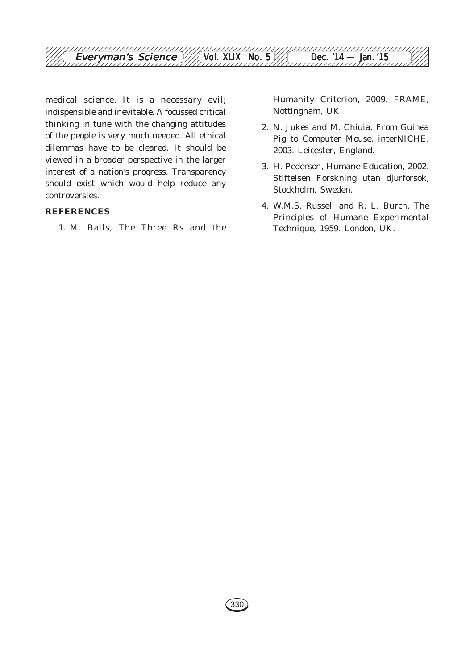

medical science. It is a necessary evil; indispensible and inevitable. A focussed critical thinking in tune with the changing attitudes of the people is very much needed. All ethical dilemmas have to be cleared. It should be viewed in a broader perspective in the larger interest of a nation's progress. Transparency should exist which would help reduce any controversies.

#### **REFERENCES**

1. M. Balls, The Three Rs and the

Humanity Criterion, 2009. FRAME, Nottingham, UK.

- 2. N. Jukes and M. Chiuia, From Guinea Pig to Computer Mouse, interNICHE, 2003. Leicester, England.
- 3. H. Pederson, Humane Education, 2002. Stiftelsen Forskning utan djurforsok, Stockholm, Sweden.
- 4. W.M.S. Russell and R. L. Burch, The Principles of Humane Experimental Technique, 1959. London, UK.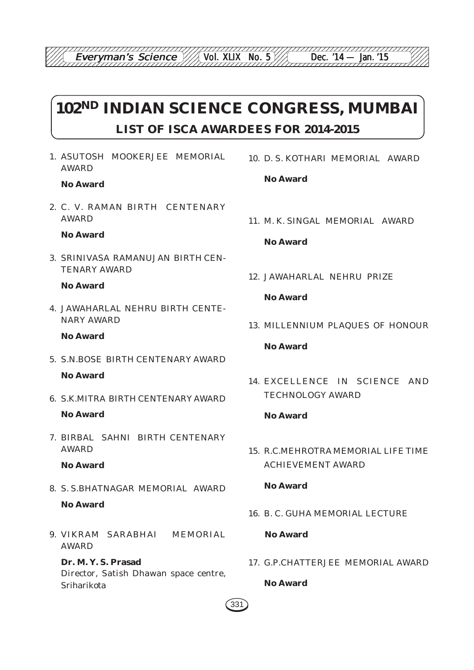#### 123456789012345<del>689012345678901234567891234567891212345</del>789123456789012345678901234567890123456789012345678901234 Which Everyman's Science  $\mathbb{V}/\mathbb{A}$  Vol. XLIX No. 5  $\mathbb{V}/\mathbb{A}$  Dec. '14 — Jan. '15

# **102ND INDIAN SCIENCE CONGRESS, MUMBAI LIST OF ISCA AWARDEES FOR 2014-2015**

12345678901234567890123456789012123456789012345678901234567890121234567890123456789012345678

12345678901234567890123456789012123456789012345678901234567890121234567890123456789012345678

1. *ASUTOSH MOOKERJEE MEMORIAL AWARD*

**No Award**

2. *C. V. RAMAN BIRTH CENTENARY AWARD*

**No Award**

3. *SRINIVASA RAMANUJAN BIRTH CEN-TENARY AWARD*

**No Award**

4. *JAWAHARLAL NEHRU BIRTH CENTE-NARY AWARD*

**No Award**

5. *S.N.BOSE BIRTH CENTENARY AWARD*

**No Award**

- 6. *S.K.MITRA BIRTH CENTENARY AWARD* **No Award**
- 7. *BIRBAL SAHNI BIRTH CENTENARY AWARD*

**No Award**

- 8. *S. S.BHATNAGAR MEMORIAL AWARD* **No Award**
- 9. *VIKRAM SARABHAI MEMORIAL AWARD*

**Dr. M. Y. S. Prasad** Director, Satish Dhawan space centre, Sriharikota

10. *D. S. KOTHARI MEMORIAL AWARD*

**No Award**

- 11. *M. K. SINGAL MEMORIAL AWARD* **No Award**
- 12. *JAWAHARLAL NEHRU PRIZE* **No Award**
- 13. *MILLENNIUM PLAQUES OF HONOUR* **No Award**
- 14. *EXCELLENCE IN SCIENCE AND TECHNOLOGY AWARD*

**No Award**

15. *R.C.MEHROTRA MEMORIAL LIFE TIME ACHIEVEMENT AWARD*

**No Award**

16. *B. C. GUHA MEMORIAL LECTURE*

**No Award**

17. *G.P.CHATTERJEE MEMORIAL AWARD*

**No Award**

 $33'$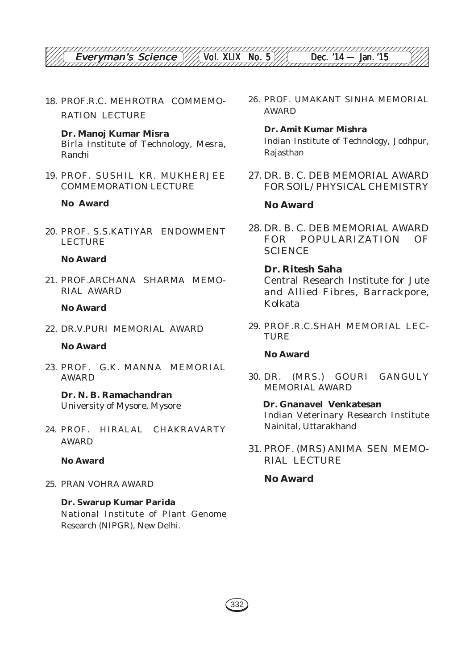#### 12345678901234567890123456789012123456789012345678901234567890121234567890123456789012345678 123456789012345<del>689012345678901234567891234567891212345</del>789123456789012345678901234567890123456789012345678901234 Which Everyman's Science  $\mathbb{V}/\mathbb{A}$  Vol. XLIX No. 5  $\mathbb{V}/\mathbb{A}$  Dec. '14 — Jan. '15 12345678901234567890123456789012123456789012345678901234567890121234567890123456789012345678

18. *PROF.R.C. MEHROTRA COMMEMO-RATION LECTURE*

**Dr. Manoj Kumar Misra** Birla Institute of Technology, Mesra, Ranchi

19. *PROF. SUSHIL KR. MUKHERJEE COMMEMORATION LECTURE*

**No Award**

20. *PROF. S.S.KATIYAR ENDOWMENT LECTURE*

**No Award**

21. *PROF.ARCHANA SHARMA MEMO-RIAL AWARD*

**No Award**

22. *DR.V.PURI MEMORIAL AWARD*

**No Award**

23. *PROF. G.K. MANNA MEMORIAL AWARD*

**Dr. N. B. Ramachandran** University of Mysore, Mysore

24. *PROF. HIRALAL CHAKRAVARTY AWARD*

**No Award**

25. *PRAN VOHRA AWARD*

**Dr. Swarup Kumar Parida** National Institute of Plant Genome Research (NIPGR), New Delhi.

26. *PROF. UMAKANT SINHA MEMORIAL AWARD*

**Dr. Amit Kumar Mishra**

Indian Institute of Technology, Jodhpur, Rajasthan

27. *DR. B. C. DEB MEMORIAL AWARD FOR SOIL/PHYSICAL CHEMISTRY*

#### **No Award**

28. *DR. B. C. DEB MEMORIAL AWARD FOR POPULARIZATION OF SCIENCE*

#### **Dr. Ritesh Saha**

Central Research Institute for Jute and Allied Fibres, Barrackpore, Kolkata

29. *PROF.R.C.SHAH MEMORIAL LEC-TURE*

#### **No Award**

30. *DR. (MRS.) GOURI GANGULY MEMORIAL AWARD*

 **Dr. Gnanavel Venkatesan** Indian Veterinary Research Institute Nainital, Uttarakhand

31. *PROF. (MRS) ANIMA SEN MEMO-RIAL LECTURE*

**No Award**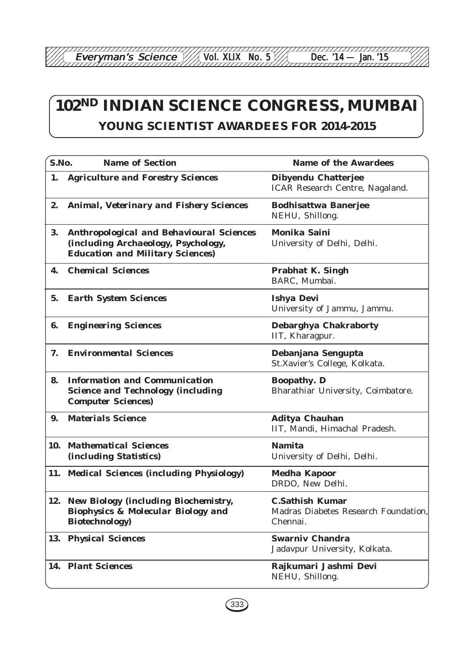12345678901234567890123456789012123456789012345678901234567890121234567890123456789012345678

# **102ND INDIAN SCIENCE CONGRESS, MUMBAI YOUNG SCIENTIST AWARDEES FOR 2014-2015**

| S.No. | <b>Name of Section</b>                                                                                                            | <b>Name of the Awardees</b>                                                |
|-------|-----------------------------------------------------------------------------------------------------------------------------------|----------------------------------------------------------------------------|
| 1.    | <b>Agriculture and Forestry Sciences</b>                                                                                          | <b>Dibyendu Chatterjee</b><br>ICAR Research Centre, Nagaland.              |
| 2.    | <b>Animal, Veterinary and Fishery Sciences</b>                                                                                    | <b>Bodhisattwa Banerjee</b><br>NEHU, Shillong.                             |
| 3.    | <b>Anthropological and Behavioural Sciences</b><br>(including Archaeology, Psychology,<br><b>Education and Military Sciences)</b> | <b>Monika Saini</b><br>University of Delhi, Delhi.                         |
| 4.    | <b>Chemical Sciences</b>                                                                                                          | <b>Prabhat K. Singh</b><br>BARC, Mumbai.                                   |
| 5.    | <b>Earth System Sciences</b>                                                                                                      | <b>Ishya Devi</b><br>University of Jammu, Jammu.                           |
| 6.    | <b>Engineering Sciences</b>                                                                                                       | Debarghya Chakraborty<br>IIT, Kharagpur.                                   |
| 7.    | <b>Environmental Sciences</b>                                                                                                     | Debanjana Sengupta<br>St.Xavier's College, Kolkata.                        |
| 8.    | <b>Information and Communication</b><br><b>Science and Technology (including</b><br><b>Computer Sciences)</b>                     | <b>Boopathy. D</b><br>Bharathiar University, Coimbatore.                   |
| 9.    | <b>Materials Science</b>                                                                                                          | <b>Aditya Chauhan</b><br>IIT, Mandi, Himachal Pradesh.                     |
| 10.   | <b>Mathematical Sciences</b><br><i>(including Statistics)</i>                                                                     | <b>Namita</b><br>University of Delhi, Delhi.                               |
|       | 11. Medical Sciences (including Physiology)                                                                                       | <b>Medha Kapoor</b><br>DRDO, New Delhi.                                    |
| 12.   | <b>New Biology (including Biochemistry,</b><br><b>Biophysics &amp; Molecular Biology and</b><br><b>Biotechnology</b> )            | <b>C.Sathish Kumar</b><br>Madras Diabetes Research Foundation.<br>Chennai. |
| 13.   | <b>Physical Sciences</b>                                                                                                          | <b>Swarniv Chandra</b><br>Jadavpur University, Kolkata.                    |
|       | 14. Plant Sciences                                                                                                                | Rajkumari Jashmi Devi<br>NEHU, Shillong.                                   |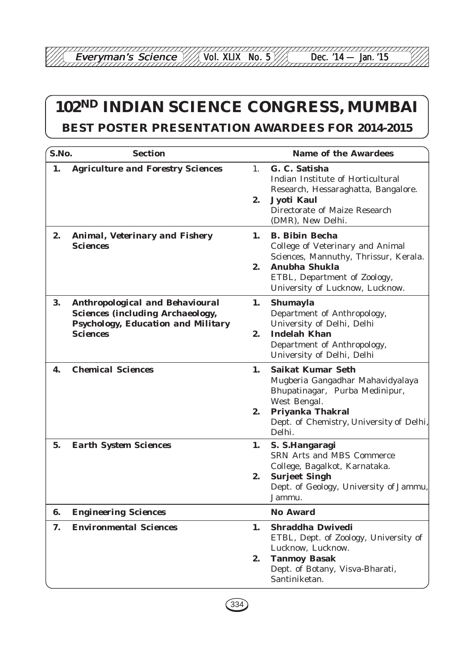# **102ND INDIAN SCIENCE CONGRESS, MUMBAI**

### **BEST POSTER PRESENTATION AWARDEES FOR 2014-2015**

| S.No. | <b>Section</b>                                                                                                                                    |          | <b>Name of the Awardees</b>                                                                                                                                                              |
|-------|---------------------------------------------------------------------------------------------------------------------------------------------------|----------|------------------------------------------------------------------------------------------------------------------------------------------------------------------------------------------|
| 1.    | <b>Agriculture and Forestry Sciences</b>                                                                                                          | 1.<br>2. | G. C. Satisha<br>Indian Institute of Horticultural<br>Research, Hessaraghatta, Bangalore.<br>Jyoti Kaul<br>Directorate of Maize Research<br>(DMR), New Delhi.                            |
| 2.    | <b>Animal, Veterinary and Fishery</b><br><b>Sciences</b>                                                                                          | 1.<br>2. | <b>B.</b> Bibin Becha<br>College of Veterinary and Animal<br>Sciences, Mannuthy, Thrissur, Kerala.<br>Anubha Shukla<br>ETBL, Department of Zoology,<br>University of Lucknow, Lucknow.   |
| 3.    | <b>Anthropological and Behavioural</b><br><b>Sciences (including Archaeology,</b><br><b>Psychology, Education and Military</b><br><b>Sciences</b> | 1.<br>2. | Shumayla<br>Department of Anthropology,<br>University of Delhi, Delhi<br><b>Indelah Khan</b><br>Department of Anthropology,<br>University of Delhi, Delhi                                |
| 4.    | <b>Chemical Sciences</b>                                                                                                                          | 1.<br>2. | <b>Saikat Kumar Seth</b><br>Mugberia Gangadhar Mahavidyalaya<br>Bhupatinagar, Purba Medinipur,<br>West Bengal.<br>Priyanka Thakral<br>Dept. of Chemistry, University of Delhi,<br>Delhi. |
| 5.    | <b>Earth System Sciences</b>                                                                                                                      | 1.<br>2. | S. S.Hangaragi<br><b>SRN Arts and MBS Commerce</b><br>College, Bagalkot, Karnataka.<br><b>Surjeet Singh</b><br>Dept. of Geology, University of Jammu,<br>Jammu.                          |
| 6.    | <b>Engineering Sciences</b>                                                                                                                       |          | <b>No Award</b>                                                                                                                                                                          |
| 7.    | <b>Environmental Sciences</b>                                                                                                                     | 1.<br>2. | <b>Shraddha Dwivedi</b><br>ETBL, Dept. of Zoology, University of<br>Lucknow, Lucknow.<br><b>Tanmoy Basak</b><br>Dept. of Botany, Visva-Bharati,<br>Santiniketan.                         |

 $(334)$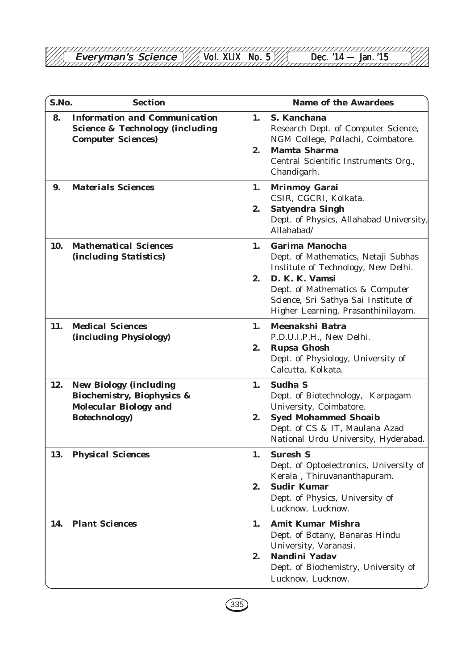12345678901234567890123456789012123456789012345678901234567890121234567890123456789012345678 12345678901234567890123456789012123456789012345678901234567890121234567890123456789012345678 12345678901234567890123456789012123456789012345678901234567890121234567890123456789012345678 1 8 12345678901234567890123456789012123456789012345678901234567890121234567890123456789012345678 12345678901234567890123456789012123456789012345678901234567890121234567890123456789012345678 <u>Everyman's Science /// Vol. XLIX No. 5 /</u><br>| Everyman's Science // Vol. XLIX No. 5 /

| S.No. | <b>Section</b>                                                                                                                  | <b>Name of the Awardees</b>                                                                                                                                                                                                                 |
|-------|---------------------------------------------------------------------------------------------------------------------------------|---------------------------------------------------------------------------------------------------------------------------------------------------------------------------------------------------------------------------------------------|
| 8.    | <b>Information and Communication</b><br><b>Science &amp; Technology (including</b><br><b>Computer Sciences)</b>                 | S. Kanchana<br>1.<br>Research Dept. of Computer Science,<br>NGM College, Pollachi, Coimbatore.<br><b>Mamta Sharma</b><br>2.<br>Central Scientific Instruments Org.,<br>Chandigarh.                                                          |
| 9.    | <b>Materials Sciences</b>                                                                                                       | 1.<br><b>Mrinmoy Garai</b><br>CSIR, CGCRI, Kolkata.<br>2.<br><b>Satyendra Singh</b><br>Dept. of Physics, Allahabad University,<br>Allahabad/                                                                                                |
| 10.   | <b>Mathematical Sciences</b><br><i>(including Statistics)</i>                                                                   | Garima Manocha<br>1.<br>Dept. of Mathematics, Netaji Subhas<br>Institute of Technology, New Delhi.<br>D. K. K. Vamsi<br>2.<br>Dept. of Mathematics & Computer<br>Science, Sri Sathya Sai Institute of<br>Higher Learning, Prasanthinilayam. |
| 11.   | <b>Medical Sciences</b><br>(including Physiology)                                                                               | Meenakshi Batra<br>1.<br>P.D.U.I.P.H., New Delhi.<br><b>Rupsa Ghosh</b><br>2.<br>Dept. of Physiology, University of<br>Calcutta, Kolkata.                                                                                                   |
| 12.   | <b>New Biology (including</b><br><b>Biochemistry, Biophysics &amp;</b><br><b>Molecular Biology and</b><br><b>Botechnology</b> ) | Sudha S<br>1.<br>Dept. of Biotechnology, Karpagam<br>University, Coimbatore.<br><b>Syed Mohammed Shoaib</b><br>2.<br>Dept. of CS & IT, Maulana Azad<br>National Urdu University, Hyderabad.                                                 |
| 13.   | <b>Physical Sciences</b>                                                                                                        | <b>Suresh S</b><br>1.<br>Dept. of Optoelectronics, University of<br>Kerala, Thiruvananthapuram.<br><b>Sudir Kumar</b><br>2.<br>Dept. of Physics, University of<br>Lucknow, Lucknow.                                                         |
| 14.   | <b>Plant Sciences</b>                                                                                                           | <b>Amit Kumar Mishra</b><br>1.<br>Dept. of Botany, Banaras Hindu<br>University, Varanasi.<br>Nandini Yadav<br>2.<br>Dept. of Biochemistry, University of<br>Lucknow, Lucknow.                                                               |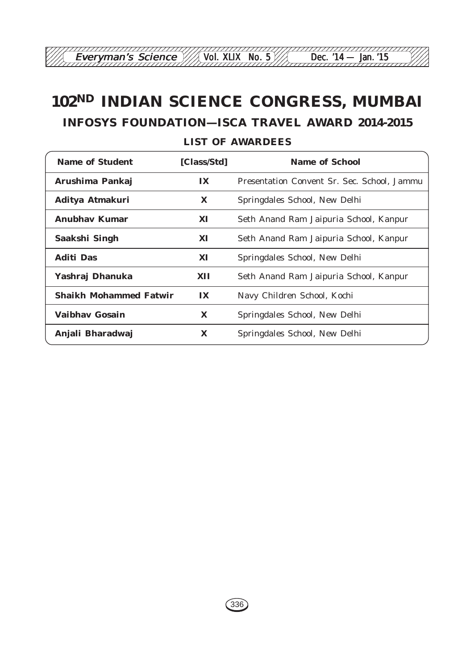# **102ND INDIAN SCIENCE CONGRESS, MUMBAI INFOSYS FOUNDATION—ISCA TRAVEL AWARD 2014-2015**

12345678901234567890123456789012123456789012345678901234567890121234567890123456789012345678

| <b>Name of Student</b>        | [Class/Std] | <b>Name of School</b>                       |
|-------------------------------|-------------|---------------------------------------------|
| Arushima Pankaj               | IX          | Presentation Convent Sr. Sec. School, Jammu |
| Aditya Atmakuri               | X           | Springdales School, New Delhi               |
| Anubhay Kumar                 | XI          | Seth Anand Ram Jaipuria School, Kanpur      |
| Saakshi Singh                 | XI          | Seth Anand Ram Jaipuria School, Kanpur      |
| <b>Aditi Das</b>              | XI          | Springdales School, New Delhi               |
| Yashraj Dhanuka               | XII         | Seth Anand Ram Jaipuria School, Kanpur      |
| <b>Shaikh Mohammed Fatwir</b> | IX          | Navy Children School, Kochi                 |
| <b>Vaibhay Gosain</b>         | X           | Springdales School, New Delhi               |
| Anjali Bharadwaj              | X           | Springdales School, New Delhi               |

#### **LIST OF AWARDEES**

 $\left(336\right)$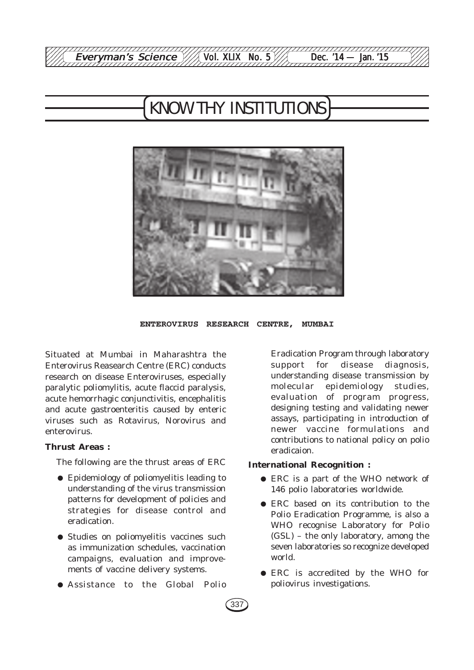

# KNOW THY INSTITUTIONS



#### **ENTEROVIRUS RESEARCH CENTRE, MUMBAI**

Situated at Mumbai in Maharashtra the Enterovirus Reasearch Centre (ERC) conducts research on disease Enteroviruses, especially paralytic poliomylitis, acute flaccid paralysis, acute hemorrhagic conjunctivitis, encephalitis and acute gastroenteritis caused by enteric viruses such as Rotavirus, Norovirus and enterovirus.

#### **Thrust Areas :**

The following are the thrust areas of ERC

- Epidemiology of poliomyelitis leading to understanding of the virus transmission patterns for development of policies and strategies for disease control and eradication.
- Studies on poliomyelitis vaccines such as immunization schedules, vaccination campaigns, evaluation and improvements of vaccine delivery systems.
- Assistance to the Global Polio

Eradication Program through laboratory support for disease diagnosis, understanding disease transmission by molecular epidemiology studies, evaluation of program progress, designing testing and validating newer assays, participating in introduction of newer vaccine formulations and contributions to national policy on polio eradicaion.

#### **International Recognition :**

- ERC is a part of the WHO network of 146 polio laboratories worldwide.
- ERC based on its contribution to the Polio Eradication Programme, is also a WHO recognise Laboratory for Polio (GSL) – the only laboratory, among the seven laboratories so recognize developed world.
- ERC is accredited by the WHO for poliovirus investigations.

337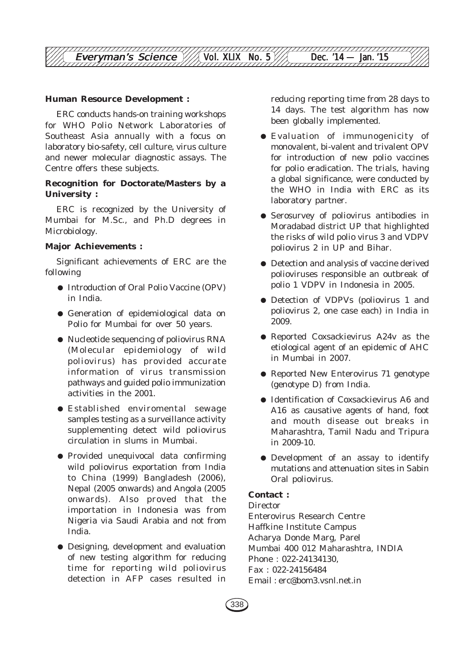

#### **Human Resource Development :**

ERC conducts hands-on training workshops for WHO Polio Network Laboratories of Southeast Asia annually with a focus on laboratory bio-safety, cell culture, virus culture and newer molecular diagnostic assays. The Centre offers these subjects.

#### **Recognition for Doctorate/Masters by a University :**

ERC is recognized by the University of Mumbai for M.Sc., and Ph.D degrees in Microbiology.

#### **Major Achievements :**

Significant achievements of ERC are the following

- Introduction of Oral Polio Vaccine (OPV) in India.
- Generation of epidemiological data on Polio for Mumbai for over 50 years.
- Nucleotide sequencing of poliovirus RNA (Molecular epidemiology of wild poliovirus) has provided accurate information of virus transmission pathways and guided polio immunization activities in the 2001.
- Established enviromental sewage samples testing as a surveillance activity supplementing detect wild poliovirus circulation in slums in Mumbai.
- Provided unequivocal data confirming wild poliovirus exportation from India to China (1999) Bangladesh (2006), Nepal (2005 onwards) and Angola (2005 onwards). Also proved that the importation in Indonesia was from Nigeria via Saudi Arabia and not from India.
- Designing, development and evaluation of new testing algorithm for reducing time for reporting wild poliovirus detection in AFP cases resulted in

reducing reporting time from 28 days to 14 days. The test algorithm has now been globally implemented.

- Evaluation of immunogenicity of monovalent, bi-valent and trivalent OPV for introduction of new polio vaccines for polio eradication. The trials, having a global significance, were conducted by the WHO in India with ERC as its laboratory partner.
- Serosurvey of poliovirus antibodies in Moradabad district UP that highlighted the risks of wild polio virus 3 and VDPV poliovirus 2 in UP and Bihar.
- Detection and analysis of vaccine derived polioviruses responsible an outbreak of polio 1 VDPV in Indonesia in 2005.
- Detection of VDPVs (poliovirus 1 and poliovirus 2, one case each) in India in 2009.
- Reported Coxsackievirus A24v as the etiological agent of an epidemic of AHC in Mumbai in 2007.
- Reported New Enterovirus 71 genotype (genotype D) from India.
- Identification of Coxsackievirus A6 and A16 as causative agents of hand, foot and mouth disease out breaks in Maharashtra, Tamil Nadu and Tripura in 2009-10.
- Development of an assay to identify mutations and attenuation sites in Sabin Oral poliovirus.

#### **Contact :**

#### Director

Enterovirus Research Centre Haffkine Institute Campus Acharya Donde Marg, Parel Mumbai 400 012 Maharashtra, INDIA Phone : 022-24134130, Fax : 022-24156484 Email : erc@bom3.vsnl.net.in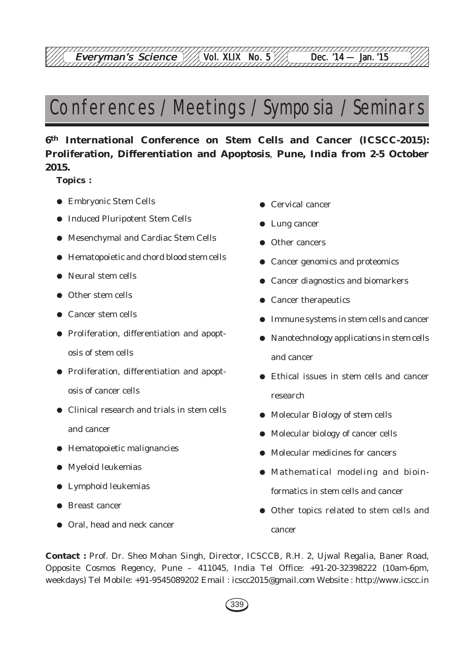# Conferences / Meetings / Symposia / Seminars

12345678901234567890123456789012123456789012345678901234567890121234567890123456789012345678 123456789012345<del>689012345678901234567891234567891212345</del>789123456789012345678901234567890123456789012345678901234 Which Everyman's Science  $\mathbb{V}/\mathbb{A}$  Vol. XLIX No. 5  $\mathbb{V}/\mathbb{A}$  Dec. '14 — Jan. '15 12345678901234567890123456789012123456789012345678901234567890121234567890123456789012345678

### **6th International Conference on Stem Cells and Cancer (ICSCC-2015): Proliferation, Differentiation and Apoptosis**, **Pune, India from 2-5 October 2015.**

**Topics :**

- Embryonic Stem Cells
- Induced Pluripotent Stem Cells
- Mesenchymal and Cardiac Stem Cells
- Hematopoietic and chord blood stem cells
- Neural stem cells
- Other stem cells
- Cancer stem cells
- Proliferation, differentiation and apoptosis of stem cells
- Proliferation, differentiation and apoptosis of cancer cells
- Clinical research and trials in stem cells and cancer
- Hematopoietic malignancies
- Myeloid leukemias
- Lymphoid leukemias
- Breast cancer
- Oral, head and neck cancer
- Cervical cancer
- Lung cancer
- Other cancers
- Cancer genomics and proteomics
- Cancer diagnostics and biomarkers
- Cancer therapeutics
- Immune systems in stem cells and cancer
- Nanotechnology applications in stem cells and cancer
- Ethical issues in stem cells and cancer research
- Molecular Biology of stem cells
- Molecular biology of cancer cells
- Molecular medicines for cancers
- Mathematical modeling and bioinformatics in stem cells and cancer
- Other topics related to stem cells and cancer

**Contact :** Prof. Dr. Sheo Mohan Singh, Director, ICSCCB, R.H. 2, Ujwal Regalia, Baner Road, Opposite Cosmos Regency, Pune – 411045, India Tel Office: +91-20-32398222 (10am-6pm, weekdays) Tel Mobile: +91-9545089202 Email : icscc2015@gmail.com Website : http://www.icscc.in

339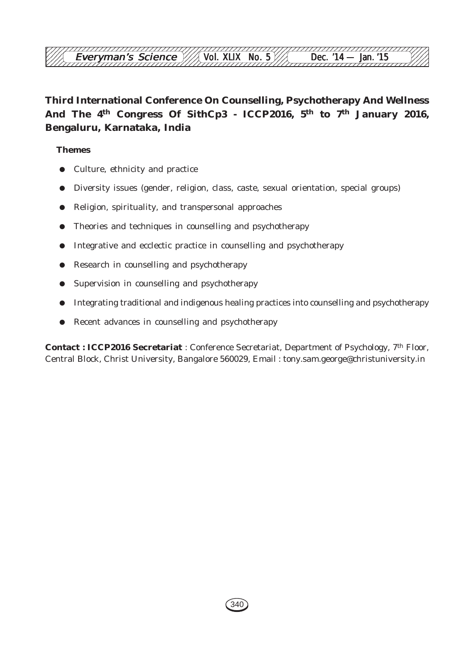#### 12345678901234567890123456789012123456789012345678901234567890121234567890123456789012345678 **Everyman's Science /// Vol. XLIX No. 5 /// Dec. '14 — Jan. '15** 12345678901234567890123456789012123456789012345678901234567890121234567890123456789012345678

### **Third International Conference On Counselling, Psychotherapy And Wellness And The 4th Congress Of SithCp3 - ICCP2016, 5th to 7th January 2016, Bengaluru, Karnataka, India**

#### **Themes**

- Culture, ethnicity and practice
- Diversity issues (gender, religion, class, caste, sexual orientation, special groups)
- Religion, spirituality, and transpersonal approaches
- Theories and techniques in counselling and psychotherapy
- Integrative and ecclectic practice in counselling and psychotherapy
- Research in counselling and psychotherapy
- Supervision in counselling and psychotherapy
- Integrating traditional and indigenous healing practices into counselling and psychotherapy
- Recent advances in counselling and psychotherapy

**Contact : ICCP2016 Secretariat** : Conference Secretariat, Department of Psychology, 7th Floor, Central Block, Christ University, Bangalore 560029, Email : tony.sam.george@christuniversity.in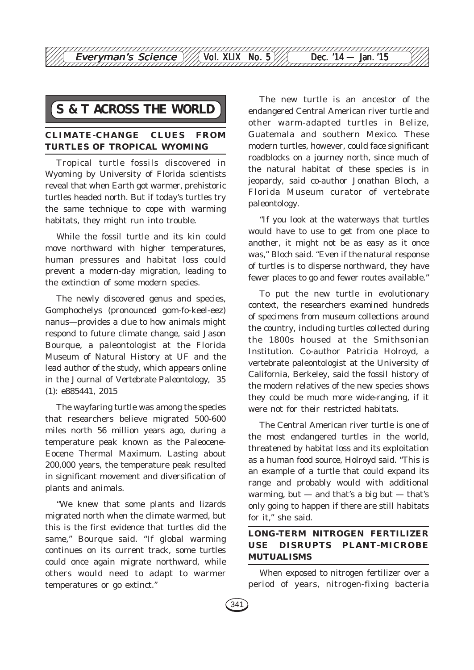12345678901234567890123456789012123456789012345678901234567890121234567890123456789012345678

# **S & T ACROSS THE WORLD**

#### **CLIMATE-CHANGE CLUES FROM TURTLES OF TROPICAL WYOMING**

Tropical turtle fossils discovered in Wyoming by University of Florida scientists reveal that when Earth got warmer, prehistoric turtles headed north. But if today's turtles try the same technique to cope with warming habitats, they might run into trouble.

While the fossil turtle and its kin could move northward with higher temperatures, human pressures and habitat loss could prevent a modern-day migration, leading to the extinction of some modern species.

The newly discovered genus and species, Gomphochelys (pronounced gom-fo-keel-eez) nanus—provides a clue to how animals might respond to future climate change, said Jason Bourque, a paleontologist at the Florida Museum of Natural History at UF and the lead author of the study, which appears online in the *Journal of Vertebrate Paleontology*, 35 (1): e885441, 2015

The wayfaring turtle was among the species that researchers believe migrated 500-600 miles north 56 million years ago, during a temperature peak known as the Paleocene-Eocene Thermal Maximum. Lasting about 200,000 years, the temperature peak resulted in significant movement and diversification of plants and animals.

"We knew that some plants and lizards migrated north when the climate warmed, but this is the first evidence that turtles did the same," Bourque said. "If global warming continues on its current track, some turtles could once again migrate northward, while others would need to adapt to warmer temperatures or go extinct."

The new turtle is an ancestor of the endangered Central American river turtle and other warm-adapted turtles in Belize, Guatemala and southern Mexico. These modern turtles, however, could face significant roadblocks on a journey north, since much of the natural habitat of these species is in jeopardy, said co-author Jonathan Bloch, a Florida Museum curator of vertebrate paleontology.

"If you look at the waterways that turtles would have to use to get from one place to another, it might not be as easy as it once was," Bloch said. "Even if the natural response of turtles is to disperse northward, they have fewer places to go and fewer routes available."

To put the new turtle in evolutionary context, the researchers examined hundreds of specimens from museum collections around the country, including turtles collected during the 1800s housed at the Smithsonian Institution. Co-author Patricia Holroyd, a vertebrate paleontologist at the University of California, Berkeley, said the fossil history of the modern relatives of the new species shows they could be much more wide-ranging, if it were not for their restricted habitats.

The Central American river turtle is one of the most endangered turtles in the world, threatened by habitat loss and its exploitation as a human food source, Holroyd said. "This is an example of a turtle that could expand its range and probably would with additional warming, but  $-$  and that's a big but  $-$  that's only going to happen if there are still habitats for it," she said.

#### **LONG-TERM NITROGEN FERTILIZER USE DISRUPTS PLANT-MICROBE MUTUALISMS**

When exposed to nitrogen fertilizer over a period of years, nitrogen-fixing bacteria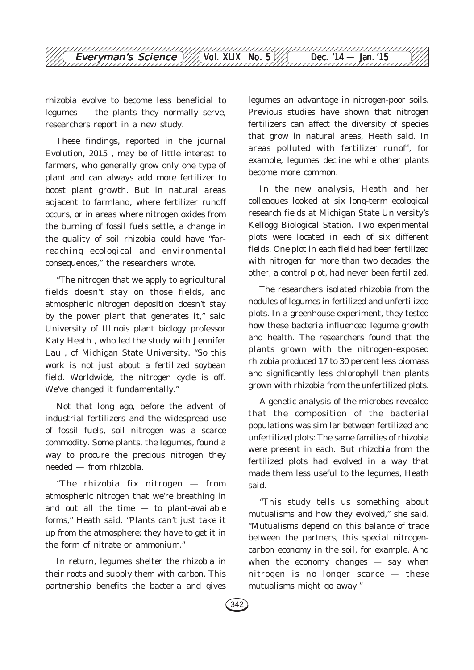

rhizobia evolve to become less beneficial to legumes — the plants they normally serve, researchers report in a new study.

These findings, reported in the journal *Evolution, 2015* , may be of little interest to farmers, who generally grow only one type of plant and can always add more fertilizer to boost plant growth. But in natural areas adjacent to farmland, where fertilizer runoff occurs, or in areas where nitrogen oxides from the burning of fossil fuels settle, a change in the quality of soil rhizobia could have "farreaching ecological and environmental consequences," the researchers wrote.

"The nitrogen that we apply to agricultural fields doesn't stay on those fields, and atmospheric nitrogen deposition doesn't stay by the power plant that generates it," said University of Illinois plant biology professor Katy Heath , who led the study with Jennifer Lau , of Michigan State University. "So this work is not just about a fertilized soybean field. Worldwide, the nitrogen cycle is off. We've changed it fundamentally."

Not that long ago, before the advent of industrial fertilizers and the widespread use of fossil fuels, soil nitrogen was a scarce commodity. Some plants, the legumes, found a way to procure the precious nitrogen they needed — from rhizobia.

"The rhizobia fix nitrogen — from atmospheric nitrogen that we're breathing in and out all the time — to plant-available forms," Heath said. "Plants can't just take it up from the atmosphere; they have to get it in the form of nitrate or ammonium."

In return, legumes shelter the rhizobia in their roots and supply them with carbon. This partnership benefits the bacteria and gives legumes an advantage in nitrogen-poor soils. Previous studies have shown that nitrogen fertilizers can affect the diversity of species that grow in natural areas, Heath said. In areas polluted with fertilizer runoff, for example, legumes decline while other plants become more common.

In the new analysis, Heath and her colleagues looked at six long-term ecological research fields at Michigan State University's Kellogg Biological Station. Two experimental plots were located in each of six different fields. One plot in each field had been fertilized with nitrogen for more than two decades; the other, a control plot, had never been fertilized.

The researchers isolated rhizobia from the nodules of legumes in fertilized and unfertilized plots. In a greenhouse experiment, they tested how these bacteria influenced legume growth and health. The researchers found that the plants grown with the nitrogen-exposed rhizobia produced 17 to 30 percent less biomass and significantly less chlorophyll than plants grown with rhizobia from the unfertilized plots.

A genetic analysis of the microbes revealed that the composition of the bacterial populations was similar between fertilized and unfertilized plots: The same families of rhizobia were present in each. But rhizobia from the fertilized plots had evolved in a way that made them less useful to the legumes, Heath said.

"This study tells us something about mutualisms and how they evolved," she said. "Mutualisms depend on this balance of trade between the partners, this special nitrogencarbon economy in the soil, for example. And when the economy changes — say when nitrogen is no longer scarce — these mutualisms might go away."

342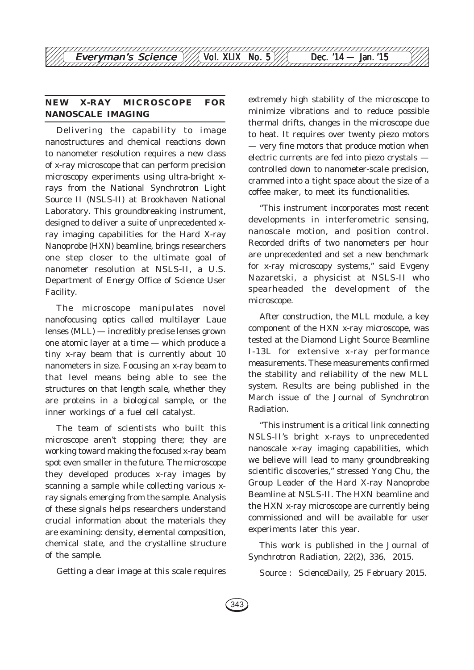#### **NEW X-RAY MICROSCOPE FOR NANOSCALE IMAGING**

Delivering the capability to image nanostructures and chemical reactions down to nanometer resolution requires a new class of x-ray microscope that can perform precision microscopy experiments using ultra-bright xrays from the National Synchrotron Light Source II (NSLS-II) at Brookhaven National Laboratory. This groundbreaking instrument, designed to deliver a suite of unprecedented xray imaging capabilities for the Hard X-ray Nanoprobe (HXN) beamline, brings researchers one step closer to the ultimate goal of nanometer resolution at NSLS-II, a U.S. Department of Energy Office of Science User Facility.

The microscope manipulates novel nanofocusing optics called multilayer Laue lenses (MLL) — incredibly precise lenses grown one atomic layer at a time — which produce a tiny x-ray beam that is currently about 10 nanometers in size. Focusing an x-ray beam to that level means being able to see the structures on that length scale, whether they are proteins in a biological sample, or the inner workings of a fuel cell catalyst.

The team of scientists who built this microscope aren't stopping there; they are working toward making the focused x-ray beam spot even smaller in the future. The microscope they developed produces x-ray images by scanning a sample while collecting various xray signals emerging from the sample. Analysis of these signals helps researchers understand crucial information about the materials they are examining: density, elemental composition, chemical state, and the crystalline structure of the sample.

Getting a clear image at this scale requires

extremely high stability of the microscope to minimize vibrations and to reduce possible thermal drifts, changes in the microscope due to heat. It requires over twenty piezo motors — very fine motors that produce motion when electric currents are fed into piezo crystals controlled down to nanometer-scale precision, crammed into a tight space about the size of a coffee maker, to meet its functionalities.

"This instrument incorporates most recent developments in interferometric sensing, nanoscale motion, and position control. Recorded drifts of two nanometers per hour are unprecedented and set a new benchmark for x-ray microscopy systems," said Evgeny Nazaretski, a physicist at NSLS-II who spearheaded the development of the microscope.

After construction, the MLL module, a key component of the HXN x-ray microscope, was tested at the Diamond Light Source Beamline I-13L for extensive x-ray performance measurements. These measurements confirmed the stability and reliability of the new MLL system. Results are being published in the March issue of the Journal of Synchrotron Radiation.

"This instrument is a critical link connecting NSLS-II's bright x-rays to unprecedented nanoscale x-ray imaging capabilities, which we believe will lead to many groundbreaking scientific discoveries," stressed Yong Chu, the Group Leader of the Hard X-ray Nanoprobe Beamline at NSLS-II. The HXN beamline and the HXN x-ray microscope are currently being commissioned and will be available for user experiments later this year.

This work is published in the *Journal of Synchrotron Radiation*, 22(2), 336, 2015.

*Source : ScienceDaily, 25 February 2015.*